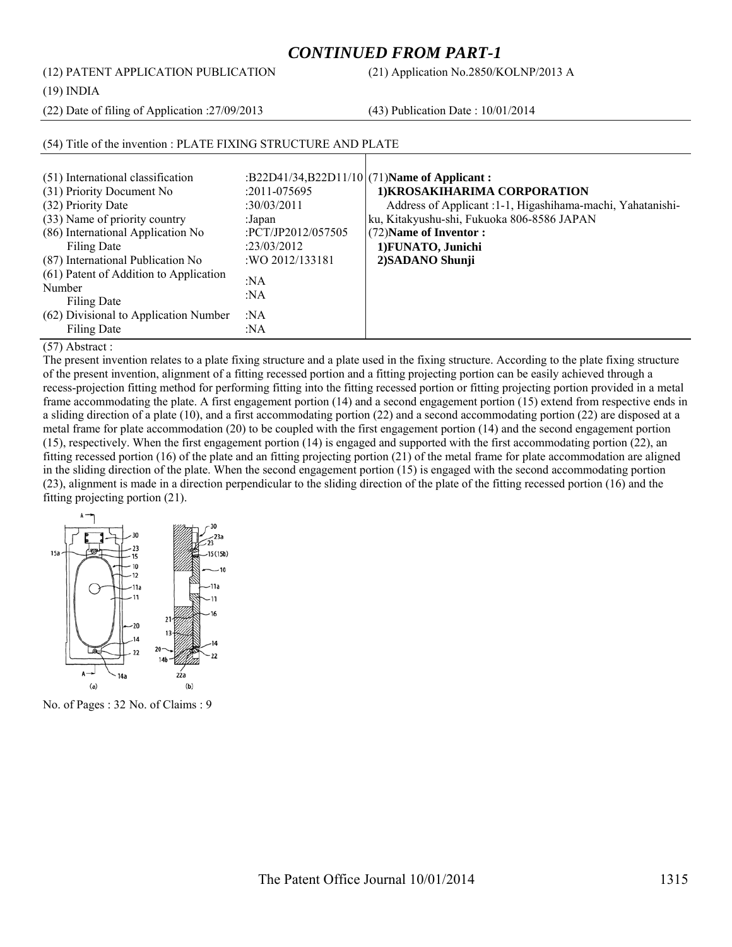# *CONTINUED FROM PART-1*

(12) PATENT APPLICATION PUBLICATION (21) Application No.2850/KOLNP/2013 A

(19) INDIA

(22) Date of filing of Application :27/09/2013 (43) Publication Date : 10/01/2014

| (51) International classification      |                    | :B22D41/34,B22D11/10 $(71)$ Name of Applicant:              |
|----------------------------------------|--------------------|-------------------------------------------------------------|
| (31) Priority Document No              | $:2011 - 075695$   | 1) KROSAKIHARIMA CORPORATION                                |
| (32) Priority Date                     | :30/03/2011        | Address of Applicant : 1-1, Higashihama-machi, Yahatanishi- |
| (33) Name of priority country          | :Japan             | ku, Kitakyushu-shi, Fukuoka 806-8586 JAPAN                  |
| (86) International Application No      | :PCT/JP2012/057505 | (72) Name of Inventor:                                      |
| Filing Date                            | :23/03/2012        | 1) FUNATO, Junichi                                          |
| (87) International Publication No      | : WO 2012/133181   | 2) SADANO Shunji                                            |
| (61) Patent of Addition to Application | :NA                |                                                             |
| Number                                 | :NA                |                                                             |
| Filing Date                            |                    |                                                             |
| (62) Divisional to Application Number  | :NA                |                                                             |
| Filing Date                            | :NA                |                                                             |

# (54) Title of the invention : PLATE FIXING STRUCTURE AND PLATE

(57) Abstract :

The present invention relates to a plate fixing structure and a plate used in the fixing structure. According to the plate fixing structure of the present invention, alignment of a fitting recessed portion and a fitting projecting portion can be easily achieved through a recess-projection fitting method for performing fitting into the fitting recessed portion or fitting projecting portion provided in a metal frame accommodating the plate. A first engagement portion (14) and a second engagement portion (15) extend from respective ends in a sliding direction of a plate (10), and a first accommodating portion (22) and a second accommodating portion (22) are disposed at a metal frame for plate accommodation (20) to be coupled with the first engagement portion (14) and the second engagement portion (15), respectively. When the first engagement portion (14) is engaged and supported with the first accommodating portion (22), an fitting recessed portion (16) of the plate and an fitting projecting portion (21) of the metal frame for plate accommodation are aligned in the sliding direction of the plate. When the second engagement portion (15) is engaged with the second accommodating portion (23), alignment is made in a direction perpendicular to the sliding direction of the plate of the fitting recessed portion (16) and the fitting projecting portion (21).



No. of Pages : 32 No. of Claims : 9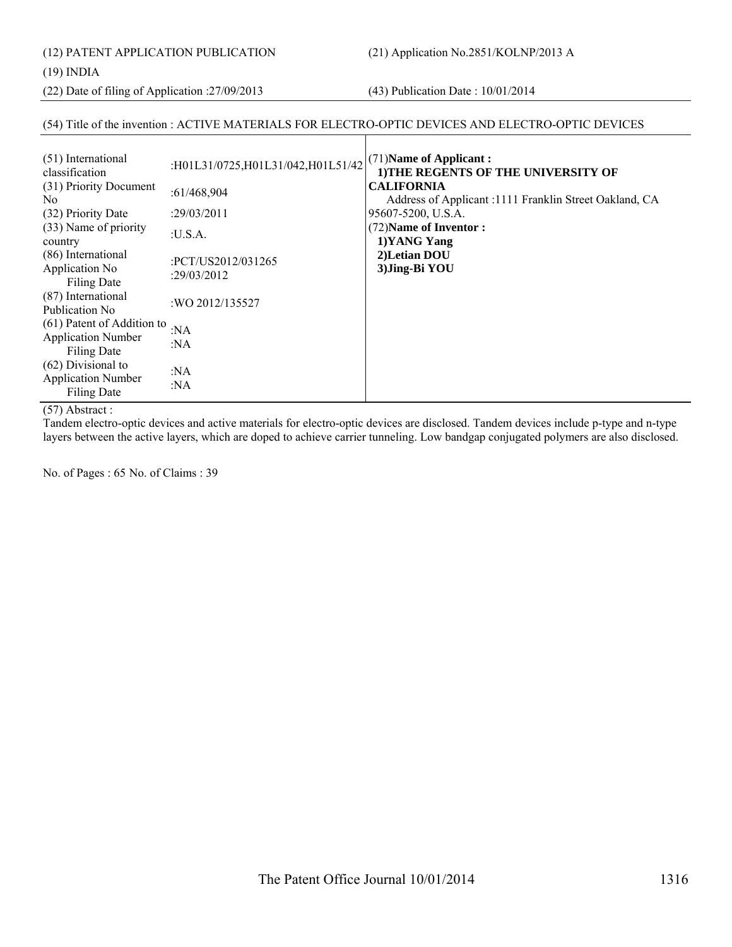(12) PATENT APPLICATION PUBLICATION (21) Application No.2851/KOLNP/2013 A

(19) INDIA

(22) Date of filing of Application :27/09/2013 (43) Publication Date : 10/01/2014

# (54) Title of the invention : ACTIVE MATERIALS FOR ELECTRO-OPTIC DEVICES AND ELECTRO-OPTIC DEVICES

| (51) International<br>classification                | :H01L31/0725,H01L31/042,H01L51/42 | (71) Name of Applicant:<br>1) THE REGENTS OF THE UNIVERSITY OF              |
|-----------------------------------------------------|-----------------------------------|-----------------------------------------------------------------------------|
| (31) Priority Document<br>N <sub>0</sub>            | :61/468,904                       | <b>CALIFORNIA</b><br>Address of Applicant :1111 Franklin Street Oakland, CA |
| (32) Priority Date                                  | :29/03/2011                       | 95607-5200, U.S.A.                                                          |
| (33) Name of priority<br>country                    | :U.S.A.                           | (72) Name of Inventor:<br>1) YANG Yang                                      |
| (86) International<br>Application No<br>Filing Date | :PCT/US2012/031265<br>:29/03/2012 | 2) Letian DOU<br>3) Jing-Bi YOU                                             |
| (87) International<br>Publication No.               | :WO 2012/135527                   |                                                                             |
| (61) Patent of Addition to                          | : $NA$                            |                                                                             |
| <b>Application Number</b><br>Filing Date            | :NA                               |                                                                             |
| (62) Divisional to                                  | :NA                               |                                                                             |
| <b>Application Number</b><br>Filing Date            | : $NA$                            |                                                                             |

#### (57) Abstract :

Tandem electro-optic devices and active materials for electro-optic devices are disclosed. Tandem devices include p-type and n-type layers between the active layers, which are doped to achieve carrier tunneling. Low bandgap conjugated polymers are also disclosed.

No. of Pages : 65 No. of Claims : 39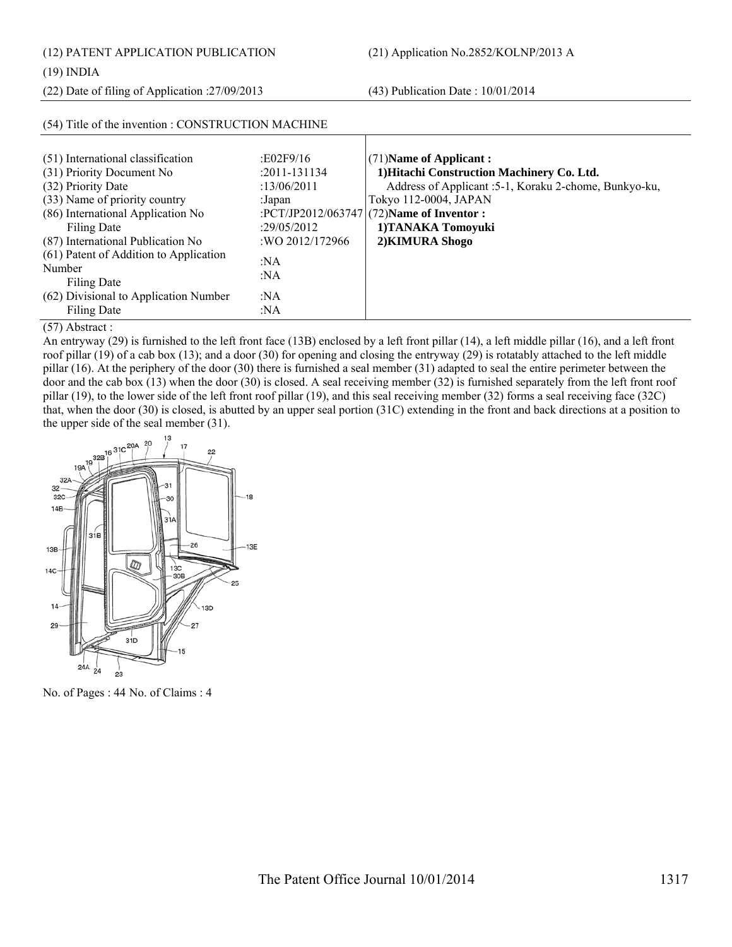(12) PATENT APPLICATION PUBLICATION (21) Application No.2852/KOLNP/2013 A

(22) Date of filing of Application :27/09/2013 (43) Publication Date : 10/01/2014

| (51) International classification                | :E02F9/16         | $(71)$ Name of Applicant:                              |
|--------------------------------------------------|-------------------|--------------------------------------------------------|
| (31) Priority Document No                        | $: 2011 - 131134$ | 1) Hitachi Construction Machinery Co. Ltd.             |
| (32) Priority Date                               | :13/06/2011       | Address of Applicant : 5-1, Koraku 2-chome, Bunkyo-ku, |
| (33) Name of priority country                    | :Japan            | Tokyo 112-0004, JAPAN                                  |
| (86) International Application No                |                   | :PCT/JP2012/063747 (72)Name of Inventor :              |
| Filing Date                                      | :29/05/2012       | 1) TANAKA Tomoyuki                                     |
| (87) International Publication No                | :WO 2012/172966   | 2) KIMURA Shogo                                        |
| (61) Patent of Addition to Application<br>Number | :NA               |                                                        |
| Filing Date                                      | :NA               |                                                        |
| (62) Divisional to Application Number            | :NA               |                                                        |
| Filing Date                                      | :NA               |                                                        |

# (54) Title of the invention : CONSTRUCTION MACHINE

(57) Abstract :

An entryway (29) is furnished to the left front face (13B) enclosed by a left front pillar (14), a left middle pillar (16), and a left front roof pillar (19) of a cab box (13); and a door (30) for opening and closing the entryway (29) is rotatably attached to the left middle pillar (16). At the periphery of the door (30) there is furnished a seal member (31) adapted to seal the entire perimeter between the door and the cab box (13) when the door (30) is closed. A seal receiving member (32) is furnished separately from the left front roof pillar (19), to the lower side of the left front roof pillar (19), and this seal receiving member (32) forms a seal receiving face (32C) that, when the door (30) is closed, is abutted by an upper seal portion (31C) extending in the front and back directions at a position to the upper side of the seal member (31).



No. of Pages : 44 No. of Claims : 4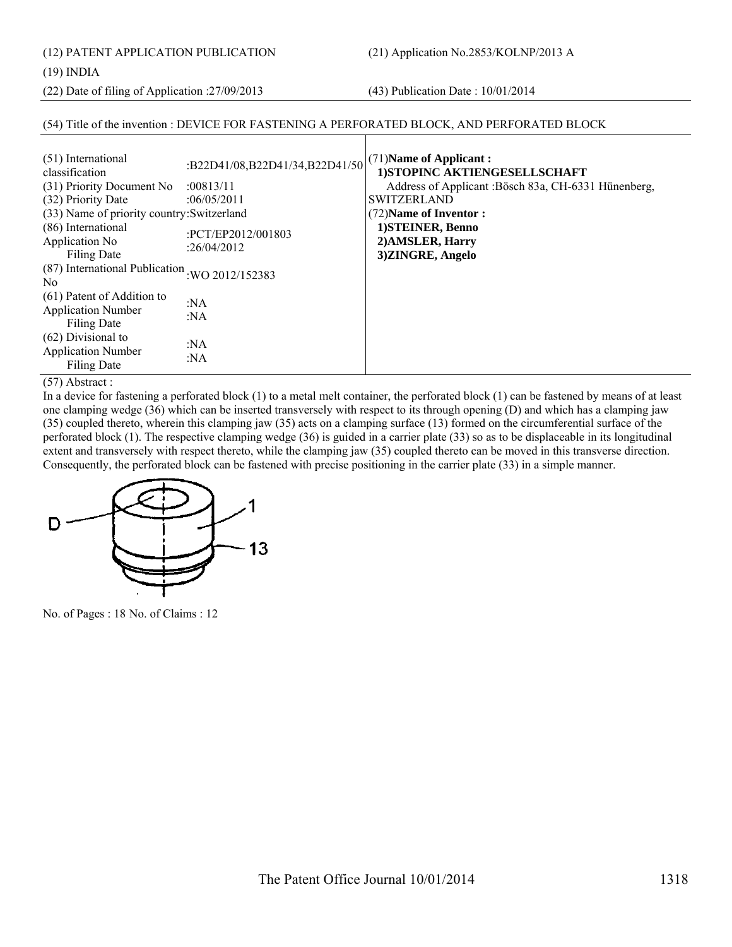(12) PATENT APPLICATION PUBLICATION (21) Application No.2853/KOLNP/2013 A

#### (19) INDIA

(22) Date of filing of Application :27/09/2013 (43) Publication Date : 10/01/2014

# (54) Title of the invention : DEVICE FOR FASTENING A PERFORATED BLOCK, AND PERFORATED BLOCK

| (51) International<br>classification<br>(31) Priority Document No<br>(32) Priority Date | :B22D41/08,B22D41/34,B22D41/50<br>:00813/11<br>:06/05/2011 | (71) Name of Applicant:<br>1) STOPINC AKTIENGESELLSCHAFT<br>Address of Applicant : Bösch 83a, CH-6331 Hünenberg,<br><b>SWITZERLAND</b> |
|-----------------------------------------------------------------------------------------|------------------------------------------------------------|----------------------------------------------------------------------------------------------------------------------------------------|
| (33) Name of priority country: Switzerland                                              |                                                            | (72) Name of Inventor:                                                                                                                 |
| (86) International<br>Application No<br>Filing Date                                     | :PCT/EP2012/001803<br>:26/04/2012                          | 1) STEINER, Benno<br>2) AMSLER, Harry<br>3)ZINGRE, Angelo                                                                              |
| (87) International Publication : WO 2012/152383<br>N <sub>0</sub>                       |                                                            |                                                                                                                                        |
| (61) Patent of Addition to<br><b>Application Number</b><br>Filing Date                  | :NA<br>: $NA$                                              |                                                                                                                                        |
| $(62)$ Divisional to<br><b>Application Number</b><br><b>Filing Date</b>                 | :NA<br>:NA                                                 |                                                                                                                                        |

(57) Abstract :

In a device for fastening a perforated block (1) to a metal melt container, the perforated block (1) can be fastened by means of at least one clamping wedge (36) which can be inserted transversely with respect to its through opening (D) and which has a clamping jaw (35) coupled thereto, wherein this clamping jaw (35) acts on a clamping surface (13) formed on the circumferential surface of the perforated block (1). The respective clamping wedge (36) is guided in a carrier plate (33) so as to be displaceable in its longitudinal extent and transversely with respect thereto, while the clamping jaw (35) coupled thereto can be moved in this transverse direction. Consequently, the perforated block can be fastened with precise positioning in the carrier plate (33) in a simple manner.



No. of Pages : 18 No. of Claims : 12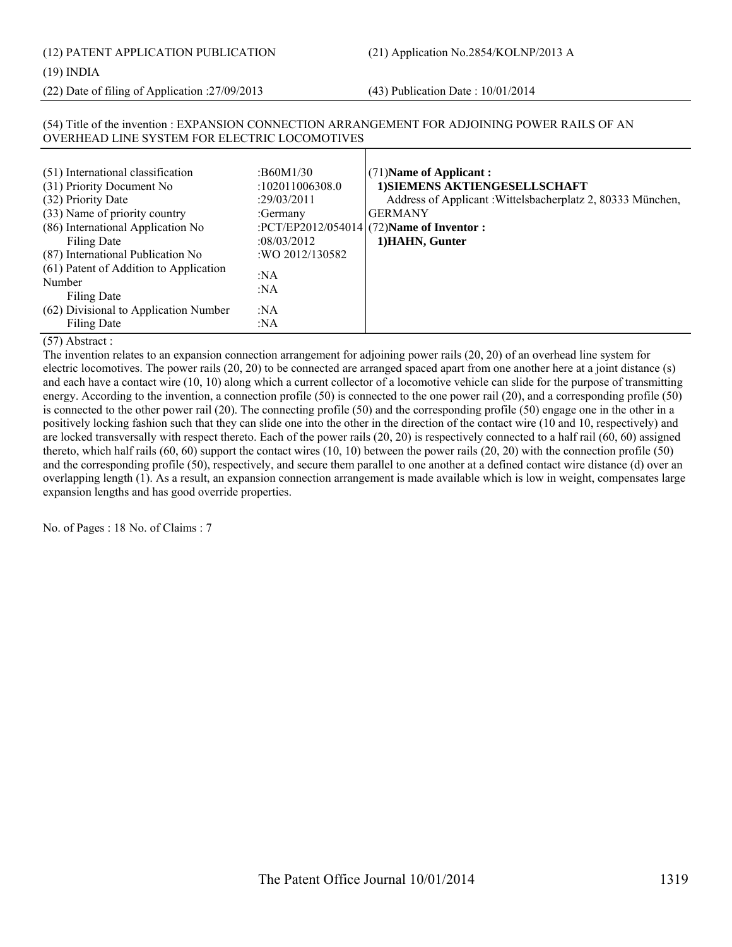# (12) PATENT APPLICATION PUBLICATION (21) Application No.2854/KOLNP/2013 A

# (19) INDIA

(22) Date of filing of Application :27/09/2013 (43) Publication Date : 10/01/2014

# (54) Title of the invention : EXPANSION CONNECTION ARRANGEMENT FOR ADJOINING POWER RAILS OF AN OVERHEAD LINE SYSTEM FOR ELECTRIC LOCOMOTIVES

| (51) International classification<br>(31) Priority Document No<br>(32) Priority Date<br>(33) Name of priority country<br>(86) International Application No<br>Filing Date<br>(87) International Publication No<br>(61) Patent of Addition to Application<br>Number<br>Filing Date<br>(62) Divisional to Application Number<br>Filing Date | :B60M1/30<br>:102011006308.0<br>:29/03/2011<br>:Germany<br>:08/03/2012<br>: WO 2012/130582<br>:NA<br>:NA<br>:NA<br>:NA | (71) Name of Applicant:<br>1) SIEMENS AKTIENGESELLSCHAFT<br>Address of Applicant: Wittelsbacherplatz 2, 80333 München,<br><b>GERMANY</b><br>:PCT/EP2012/054014 (72) Name of Inventor :<br>1) HAHN, Gunter |
|-------------------------------------------------------------------------------------------------------------------------------------------------------------------------------------------------------------------------------------------------------------------------------------------------------------------------------------------|------------------------------------------------------------------------------------------------------------------------|-----------------------------------------------------------------------------------------------------------------------------------------------------------------------------------------------------------|
|-------------------------------------------------------------------------------------------------------------------------------------------------------------------------------------------------------------------------------------------------------------------------------------------------------------------------------------------|------------------------------------------------------------------------------------------------------------------------|-----------------------------------------------------------------------------------------------------------------------------------------------------------------------------------------------------------|

# (57) Abstract :

The invention relates to an expansion connection arrangement for adjoining power rails (20, 20) of an overhead line system for electric locomotives. The power rails (20, 20) to be connected are arranged spaced apart from one another here at a joint distance (s) and each have a contact wire (10, 10) along which a current collector of a locomotive vehicle can slide for the purpose of transmitting energy. According to the invention, a connection profile (50) is connected to the one power rail (20), and a corresponding profile (50) is connected to the other power rail (20). The connecting profile (50) and the corresponding profile (50) engage one in the other in a positively locking fashion such that they can slide one into the other in the direction of the contact wire (10 and 10, respectively) and are locked transversally with respect thereto. Each of the power rails (20, 20) is respectively connected to a half rail (60, 60) assigned thereto, which half rails (60, 60) support the contact wires (10, 10) between the power rails (20, 20) with the connection profile (50) and the corresponding profile (50), respectively, and secure them parallel to one another at a defined contact wire distance (d) over an overlapping length (1). As a result, an expansion connection arrangement is made available which is low in weight, compensates large expansion lengths and has good override properties.

No. of Pages : 18 No. of Claims : 7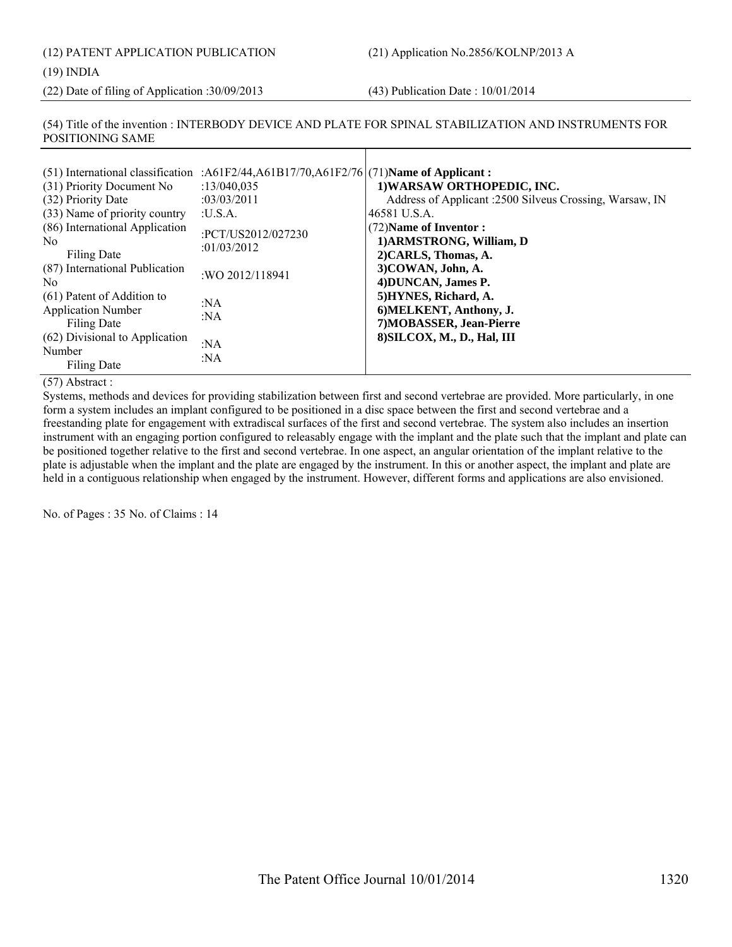(12) PATENT APPLICATION PUBLICATION (21) Application No.2856/KOLNP/2013 A

(19) INDIA

(22) Date of filing of Application :30/09/2013 (43) Publication Date : 10/01/2014

(54) Title of the invention : INTERBODY DEVICE AND PLATE FOR SPINAL STABILIZATION AND INSTRUMENTS FOR POSITIONING SAME

| (31) Priority Document No<br>(32) Priority Date<br>(33) Name of priority country<br>(86) International Application<br>No.<br>Filing Date<br>(87) International Publication<br>No.<br>(61) Patent of Addition to<br><b>Application Number</b><br>Filing Date<br>(62) Divisional to Application | (51) International classification : $A61F2/44, A61B17/70, A61F2/76$ (71) Name of Applicant:<br>:13/040.035<br>:03/03/2011<br>:U.S.A.<br>:PCT/US2012/027230<br>:01/03/2012<br>:WO 2012/118941<br>:NA<br>:NA | 1) WARSAW ORTHOPEDIC, INC.<br>Address of Applicant :2500 Silveus Crossing, Warsaw, IN<br>46581 U.S.A.<br>(72) Name of Inventor:<br>1) ARMSTRONG, William, D<br>2) CARLS, Thomas, A.<br>3) COWAN, John, A.<br>4) DUNCAN, James P.<br>5) HYNES, Richard, A.<br>6) MELKENT, Anthony, J.<br>7) MOBASSER, Jean-Pierre<br>8) SILCOX, M., D., Hal, III |
|-----------------------------------------------------------------------------------------------------------------------------------------------------------------------------------------------------------------------------------------------------------------------------------------------|------------------------------------------------------------------------------------------------------------------------------------------------------------------------------------------------------------|-------------------------------------------------------------------------------------------------------------------------------------------------------------------------------------------------------------------------------------------------------------------------------------------------------------------------------------------------|
| Number<br>Filing Date                                                                                                                                                                                                                                                                         | :NA<br>: $NA$                                                                                                                                                                                              |                                                                                                                                                                                                                                                                                                                                                 |

(57) Abstract :

Systems, methods and devices for providing stabilization between first and second vertebrae are provided. More particularly, in one form a system includes an implant configured to be positioned in a disc space between the first and second vertebrae and a freestanding plate for engagement with extradiscal surfaces of the first and second vertebrae. The system also includes an insertion instrument with an engaging portion configured to releasably engage with the implant and the plate such that the implant and plate can be positioned together relative to the first and second vertebrae. In one aspect, an angular orientation of the implant relative to the plate is adjustable when the implant and the plate are engaged by the instrument. In this or another aspect, the implant and plate are held in a contiguous relationship when engaged by the instrument. However, different forms and applications are also envisioned.

No. of Pages : 35 No. of Claims : 14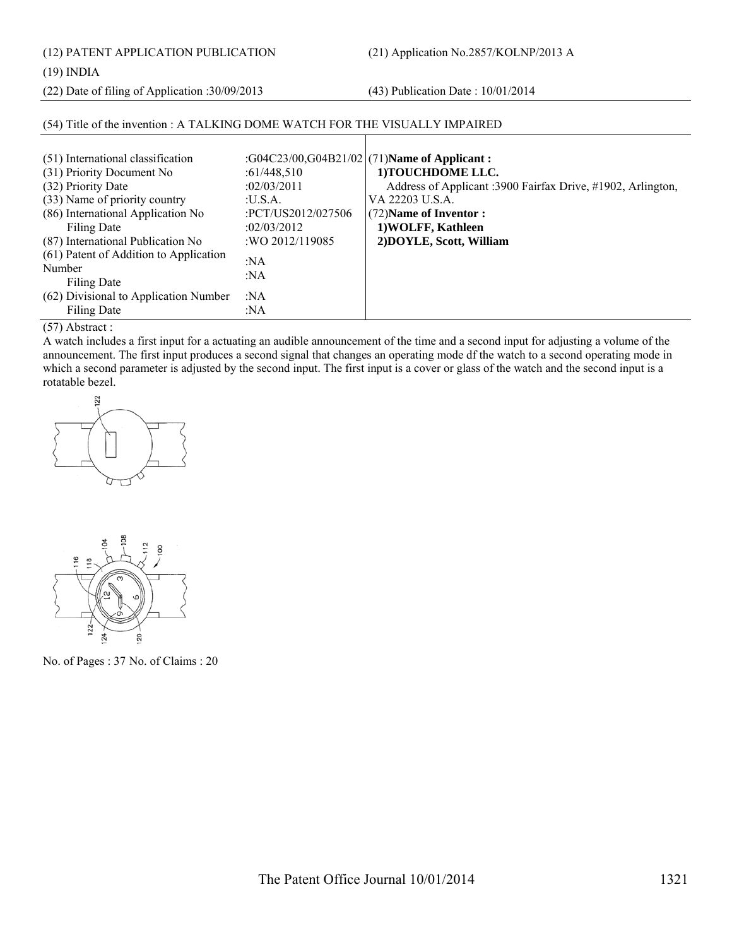(12) PATENT APPLICATION PUBLICATION (21) Application No.2857/KOLNP/2013 A

(19) INDIA

(22) Date of filing of Application :30/09/2013 (43) Publication Date : 10/01/2014

# (54) Title of the invention : A TALKING DOME WATCH FOR THE VISUALLY IMPAIRED

| (51) International classification      |                    | :G04C23/00,G04B21/02 (71)Name of Applicant:                 |
|----------------------------------------|--------------------|-------------------------------------------------------------|
| (31) Priority Document No              | :61/448,510        | 1) TOUCHDOME LLC.                                           |
| (32) Priority Date                     | :02/03/2011        | Address of Applicant :3900 Fairfax Drive, #1902, Arlington, |
| (33) Name of priority country          | : <b>U.S.A.</b>    | VA 22203 U.S.A.                                             |
| (86) International Application No      | :PCT/US2012/027506 | $(72)$ Name of Inventor :                                   |
| <b>Filing Date</b>                     | :02/03/2012        | 1) WOLFF, Kathleen                                          |
| (87) International Publication No      | : WO 2012/119085   | 2) DOYLE, Scott, William                                    |
| (61) Patent of Addition to Application | :NA                |                                                             |
| Number                                 | : $NA$             |                                                             |
| Filing Date                            |                    |                                                             |
| (62) Divisional to Application Number  | :NA                |                                                             |
| Filing Date                            | :NA                |                                                             |

 $\mathbf{I}$ 

# (57) Abstract :

A watch includes a first input for a actuating an audible announcement of the time and a second input for adjusting a volume of the announcement. The first input produces a second signal that changes an operating mode df the watch to a second operating mode in which a second parameter is adjusted by the second input. The first input is a cover or glass of the watch and the second input is a rotatable bezel.





No. of Pages : 37 No. of Claims : 20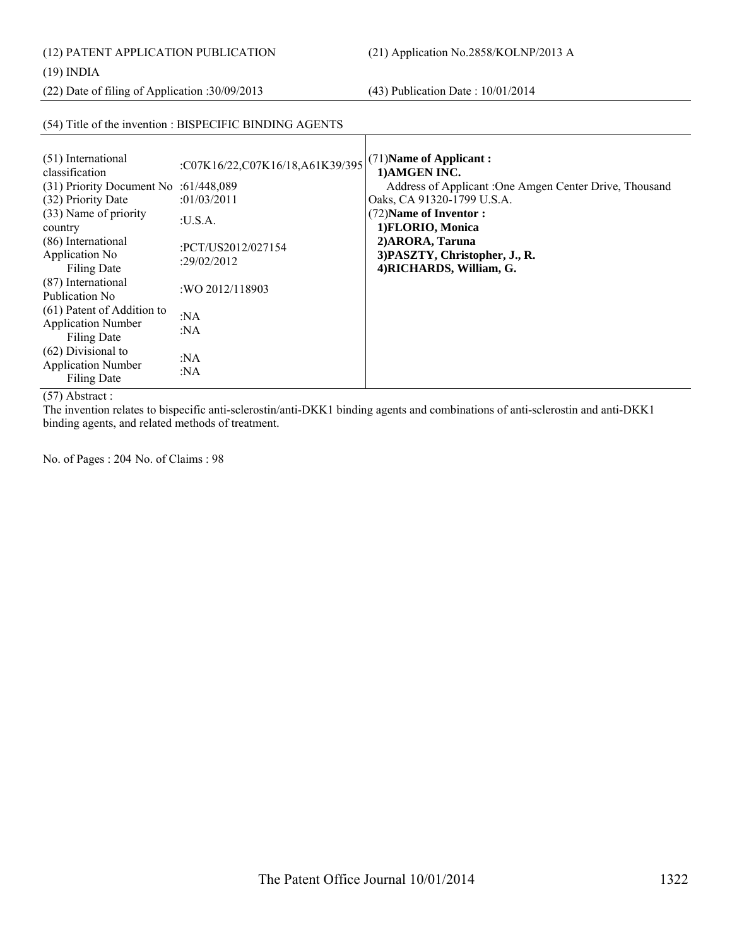(12) PATENT APPLICATION PUBLICATION (21) Application No.2858/KOLNP/2013 A

# (19) INDIA

(22) Date of filing of Application :30/09/2013 (43) Publication Date : 10/01/2014

# (54) Title of the invention : BISPECIFIC BINDING AGENTS

| (51) International<br>classification<br>$(31)$ Priority Document No :61/448,089<br>(32) Priority Date<br>(33) Name of priority<br>country<br>(86) International<br>Application No.<br><b>Filing Date</b><br>(87) International<br>Publication No.<br>(61) Patent of Addition to<br><b>Application Number</b> | :C07K16/22,C07K16/18,A61K39/395<br>:01/03/2011<br>:U.S.A.<br>:PCT/US2012/027154<br>:29/02/2012<br>: WO 2012/118903<br>: $NA$<br>:NA | (71) Name of Applicant:<br>1) AMGEN INC.<br>Address of Applicant : One Amgen Center Drive, Thousand<br>Oaks, CA 91320-1799 U.S.A.<br>(72) Name of Inventor:<br>1) FLORIO, Monica<br>2) ARORA, Taruna<br>3) PASZTY, Christopher, J., R.<br>4) RICHARDS, William, G. |
|--------------------------------------------------------------------------------------------------------------------------------------------------------------------------------------------------------------------------------------------------------------------------------------------------------------|-------------------------------------------------------------------------------------------------------------------------------------|--------------------------------------------------------------------------------------------------------------------------------------------------------------------------------------------------------------------------------------------------------------------|
| <b>Filing Date</b><br>$(62)$ Divisional to                                                                                                                                                                                                                                                                   |                                                                                                                                     |                                                                                                                                                                                                                                                                    |
| <b>Application Number</b><br>Filing Date                                                                                                                                                                                                                                                                     | :NA<br>: $NA$                                                                                                                       |                                                                                                                                                                                                                                                                    |

# (57) Abstract :

The invention relates to bispecific anti-sclerostin/anti-DKK1 binding agents and combinations of anti-sclerostin and anti-DKK1 binding agents, and related methods of treatment.

No. of Pages : 204 No. of Claims : 98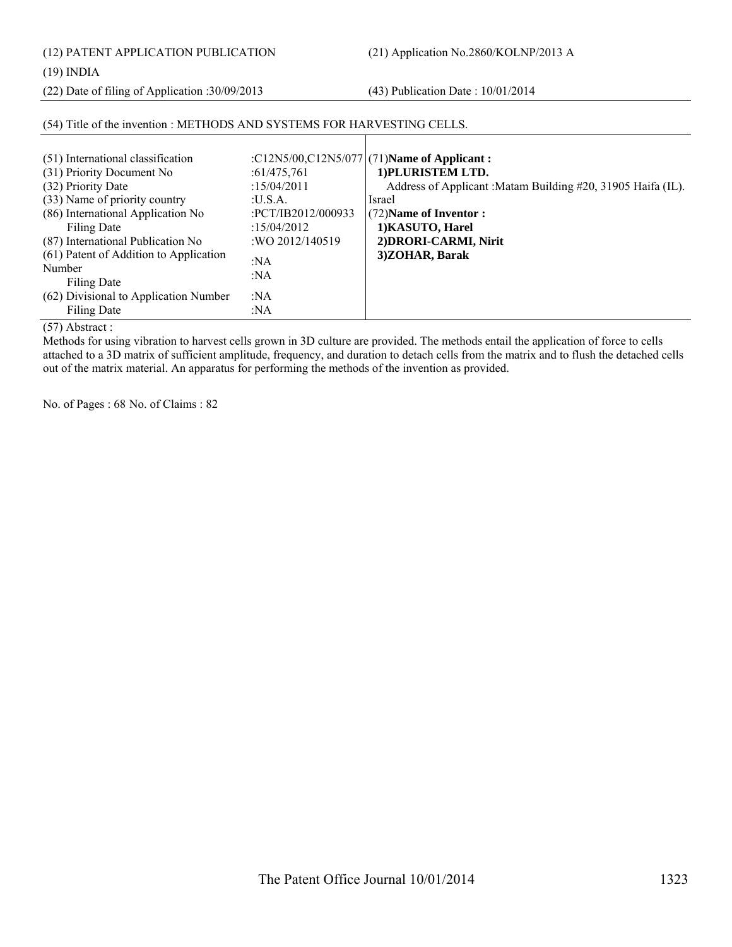(12) PATENT APPLICATION PUBLICATION (21) Application No.2860/KOLNP/2013 A

(19) INDIA

(22) Date of filing of Application :30/09/2013 (43) Publication Date : 10/01/2014

| (51) International classification<br>(31) Priority Document No<br>(32) Priority Date<br>(33) Name of priority country<br>(86) International Application No<br>Filing Date<br>(87) International Publication No<br>(61) Patent of Addition to Application<br>Number<br>Filing Date | :61/475,761<br>:15/04/2011<br>: <b>U.S.A.</b><br>:PCT/IB2012/000933<br>: $15/04/2012$<br>:WO 2012/140519<br>:NA<br>:NA<br>:NA | :C12N5/00,C12N5/077 (71) Name of Applicant:<br>1) PLURISTEM LTD.<br>Address of Applicant : Matam Building #20, 31905 Haifa (IL).<br>Israel<br>(72) Name of Inventor:<br>1) KASUTO, Harel<br>2) DRORI-CARMI, Nirit<br>3)ZOHAR, Barak |
|-----------------------------------------------------------------------------------------------------------------------------------------------------------------------------------------------------------------------------------------------------------------------------------|-------------------------------------------------------------------------------------------------------------------------------|-------------------------------------------------------------------------------------------------------------------------------------------------------------------------------------------------------------------------------------|
| (62) Divisional to Application Number<br>Filing Date                                                                                                                                                                                                                              | :NA                                                                                                                           |                                                                                                                                                                                                                                     |

# (54) Title of the invention : METHODS AND SYSTEMS FOR HARVESTING CELLS.

(57) Abstract :

Methods for using vibration to harvest cells grown in 3D culture are provided. The methods entail the application of force to cells attached to a 3D matrix of sufficient amplitude, frequency, and duration to detach cells from the matrix and to flush the detached cells out of the matrix material. An apparatus for performing the methods of the invention as provided.

No. of Pages : 68 No. of Claims : 82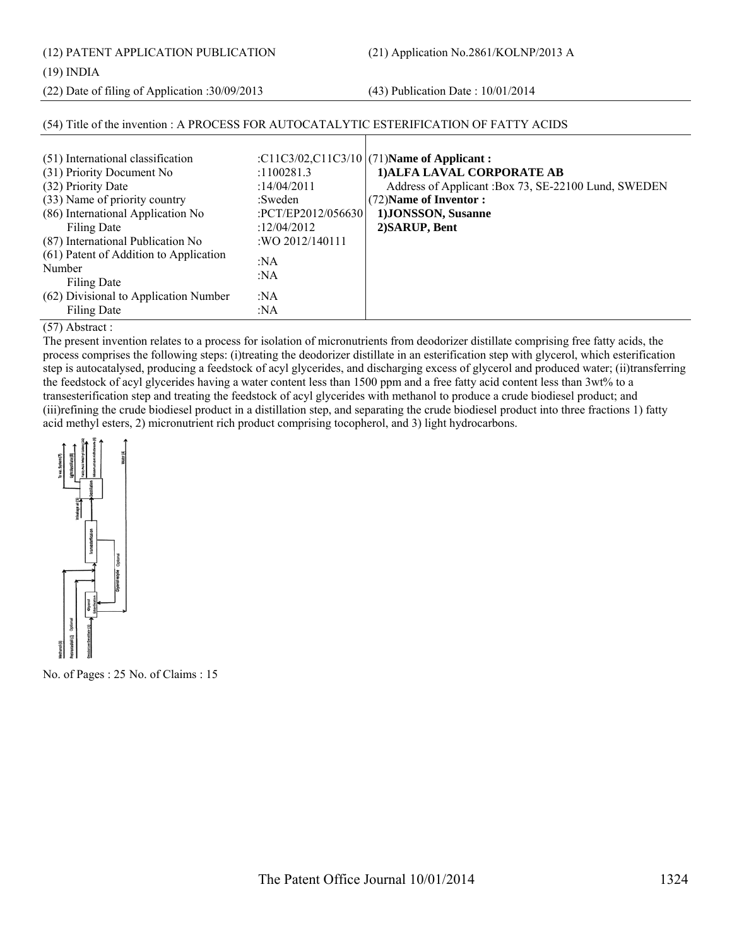(12) PATENT APPLICATION PUBLICATION (21) Application No.2861/KOLNP/2013 A

(19) INDIA

(22) Date of filing of Application :30/09/2013 (43) Publication Date : 10/01/2014

| (54) Title of the invention : A PROCESS FOR AUTOCATALYTIC ESTERIFICATION OF FATTY ACIDS                                                                                                                        |                                                                                               |                                                                                                                                                                                                          |
|----------------------------------------------------------------------------------------------------------------------------------------------------------------------------------------------------------------|-----------------------------------------------------------------------------------------------|----------------------------------------------------------------------------------------------------------------------------------------------------------------------------------------------------------|
| (51) International classification<br>(31) Priority Document No<br>(32) Priority Date<br>(33) Name of priority country<br>(86) International Application No<br>Filing Date<br>(87) International Publication No | :1100281.3<br>:14/04/2011<br>:Sweden<br>:PCT/EP2012/056630<br>:12/04/2012<br>: WO 2012/140111 | : $C11C3/02$ , $C11C3/10$ (71)Name of Applicant:<br>1) ALFA LAVAL CORPORATE AB<br>Address of Applicant :Box 73, SE-22100 Lund, SWEDEN<br>(72) Name of Inventor:<br>1) JONSSON, Susanne<br>2) SARUP, Bent |
| (61) Patent of Addition to Application<br>Number<br>Filing Date<br>(62) Divisional to Application Number                                                                                                       | :NA<br>: $NA$<br>:NA                                                                          |                                                                                                                                                                                                          |
| Filing Date                                                                                                                                                                                                    | :NA                                                                                           |                                                                                                                                                                                                          |

(57) Abstract :

The present invention relates to a process for isolation of micronutrients from deodorizer distillate comprising free fatty acids, the process comprises the following steps: (i)treating the deodorizer distillate in an esterification step with glycerol, which esterification step is autocatalysed, producing a feedstock of acyl glycerides, and discharging excess of glycerol and produced water; (ii)transferring the feedstock of acyl glycerides having a water content less than 1500 ppm and a free fatty acid content less than 3wt% to a transesterification step and treating the feedstock of acyl glycerides with methanol to produce a crude biodiesel product; and (iii)refining the crude biodiesel product in a distillation step, and separating the crude biodiesel product into three fractions 1) fatty acid methyl esters, 2) micronutrient rich product comprising tocopherol, and 3) light hydrocarbons.



No. of Pages : 25 No. of Claims : 15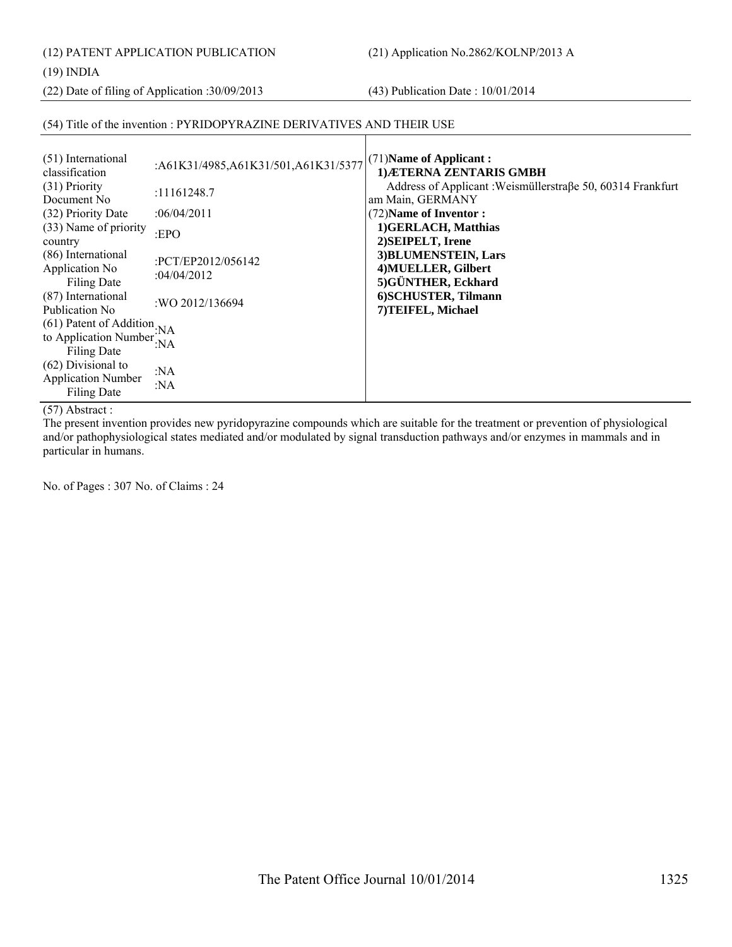(12) PATENT APPLICATION PUBLICATION (21) Application No.2862/KOLNP/2013 A

(19) INDIA

(22) Date of filing of Application :30/09/2013 (43) Publication Date : 10/01/2014

# (54) Title of the invention : PYRIDOPYRAZINE DERIVATIVES AND THEIR USE

| (51) International<br>classification                             | :A61K31/4985,A61K31/501,A61K31/5377 | $(71)$ Name of Applicant:<br>1) ÆTERNA ZENTARIS GMBH                           |
|------------------------------------------------------------------|-------------------------------------|--------------------------------------------------------------------------------|
| (31) Priority<br>Document No.                                    | :11161248.7                         | Address of Applicant: Weismüllerstraße 50, 60314 Frankfurt<br>am Main, GERMANY |
| (32) Priority Date                                               | :06/04/2011                         | (72) Name of Inventor:                                                         |
| (33) Name of priority<br>country                                 | : $EPO$                             | 1) GERLACH, Matthias<br>2) SEIPELT, Irene                                      |
| (86) International<br>Application No<br>Filing Date              | :PCT/EP2012/056142<br>:04/04/2012   | 3) BLUMENSTEIN, Lars<br>4) MUELLER, Gilbert<br>5) GÜNTHER, Eckhard             |
| (87) International<br>Publication No.                            | :WO 2012/136694                     | 6) SCHUSTER, Tilmann<br>7) TEIFEL, Michael                                     |
| (61) Patent of Addition                                          | ':NA                                |                                                                                |
| to Application Number<br><b>Filing Date</b>                      | : $NA$                              |                                                                                |
| $(62)$ Divisional to<br><b>Application Number</b><br>Filing Date | :NA<br>: $NA$                       |                                                                                |

(57) Abstract :

The present invention provides new pyridopyrazine compounds which are suitable for the treatment or prevention of physiological and/or pathophysiological states mediated and/or modulated by signal transduction pathways and/or enzymes in mammals and in particular in humans.

No. of Pages : 307 No. of Claims : 24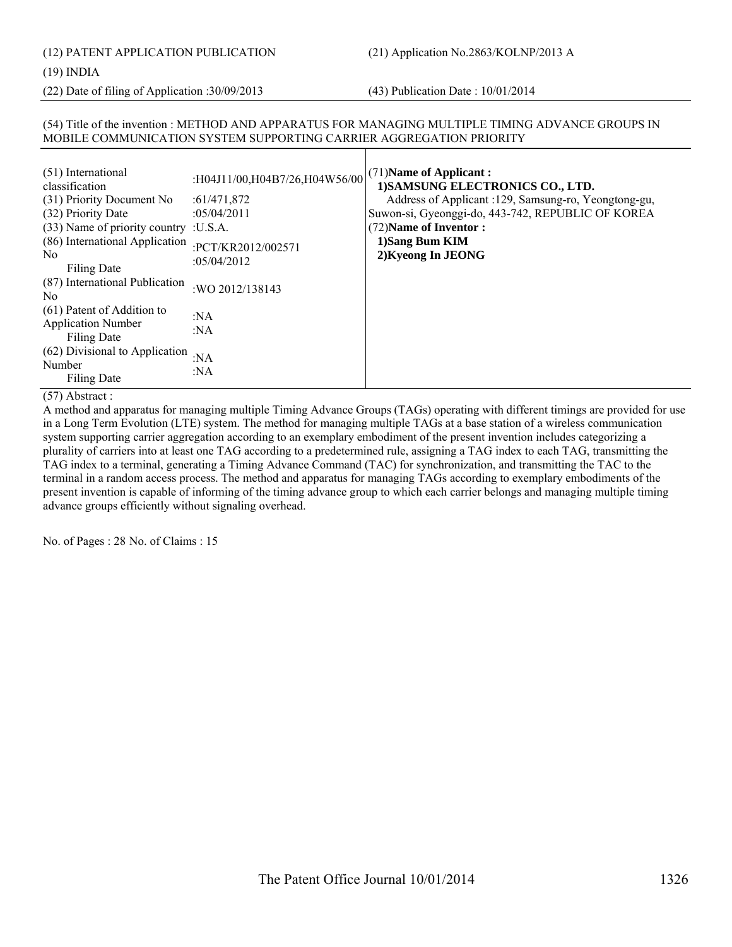(12) PATENT APPLICATION PUBLICATION (21) Application No.2863/KOLNP/2013 A

#### (19) INDIA

(22) Date of filing of Application :30/09/2013 (43) Publication Date : 10/01/2014

# (54) Title of the invention : METHOD AND APPARATUS FOR MANAGING MULTIPLE TIMING ADVANCE GROUPS IN MOBILE COMMUNICATION SYSTEM SUPPORTING CARRIER AGGREGATION PRIORITY

| (51) International<br>classification<br>(31) Priority Document No<br>(32) Priority Date<br>(33) Name of priority country : U.S.A.<br>(86) International Application<br>No. | :H04J11/00,H04B7/26,H04W56/00<br>:61/471,872<br>:05/04/2011<br>:PCT/KR2012/002571<br>:05/04/2012 | $(71)$ Name of Applicant:<br>1) SAMSUNG ELECTRONICS CO., LTD.<br>Address of Applicant : 129, Samsung-ro, Yeongtong-gu,<br>Suwon-si, Gyeonggi-do, 443-742, REPUBLIC OF KOREA<br>(72) Name of Inventor:<br>1)Sang Bum KIM<br>2) Kyeong In JEONG |
|----------------------------------------------------------------------------------------------------------------------------------------------------------------------------|--------------------------------------------------------------------------------------------------|-----------------------------------------------------------------------------------------------------------------------------------------------------------------------------------------------------------------------------------------------|
| Filing Date<br>(87) International Publication<br>No.                                                                                                                       | :WO 2012/138143                                                                                  |                                                                                                                                                                                                                                               |
| (61) Patent of Addition to<br><b>Application Number</b><br><b>Filing Date</b>                                                                                              | :NA<br>: $NA$                                                                                    |                                                                                                                                                                                                                                               |
| (62) Divisional to Application<br>Number<br>Filing Date                                                                                                                    | : $NA$<br>:NA                                                                                    |                                                                                                                                                                                                                                               |

#### (57) Abstract :

A method and apparatus for managing multiple Timing Advance Groups (TAGs) operating with different timings are provided for use in a Long Term Evolution (LTE) system. The method for managing multiple TAGs at a base station of a wireless communication system supporting carrier aggregation according to an exemplary embodiment of the present invention includes categorizing a plurality of carriers into at least one TAG according to a predetermined rule, assigning a TAG index to each TAG, transmitting the TAG index to a terminal, generating a Timing Advance Command (TAC) for synchronization, and transmitting the TAC to the terminal in a random access process. The method and apparatus for managing TAGs according to exemplary embodiments of the present invention is capable of informing of the timing advance group to which each carrier belongs and managing multiple timing advance groups efficiently without signaling overhead.

No. of Pages : 28 No. of Claims : 15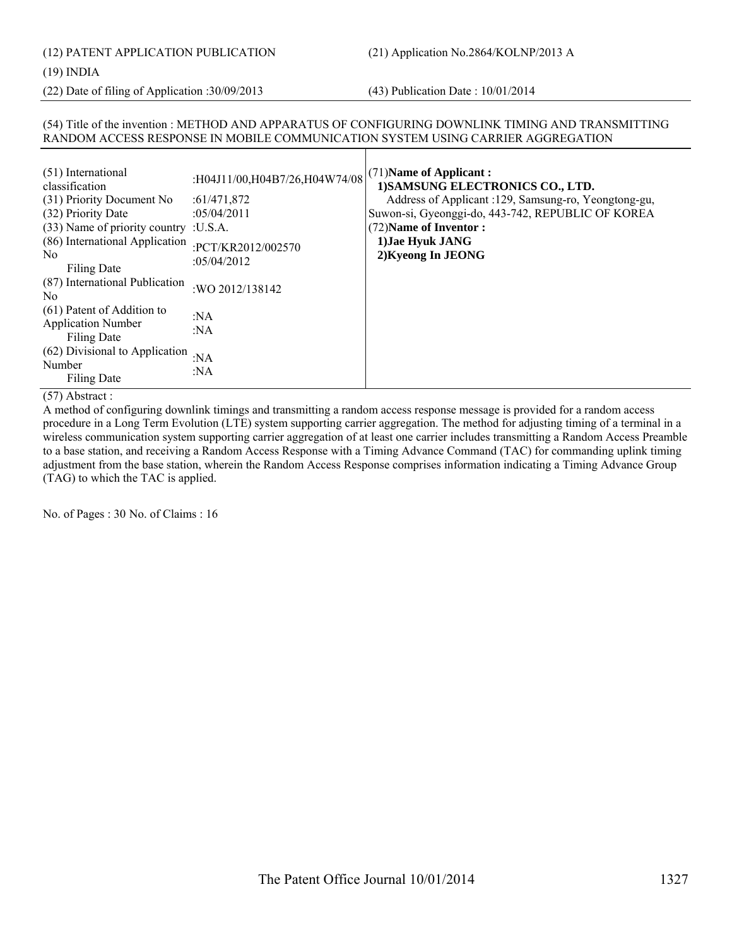# (19) INDIA

(22) Date of filing of Application :30/09/2013 (43) Publication Date : 10/01/2014

# (54) Title of the invention : METHOD AND APPARATUS OF CONFIGURING DOWNLINK TIMING AND TRANSMITTING RANDOM ACCESS RESPONSE IN MOBILE COMMUNICATION SYSTEM USING CARRIER AGGREGATION

| (51) International<br>classification                                   | :H04J11/00,H04B7/26,H04W74/08        | $(71)$ Name of Applicant:<br>1) SAMSUNG ELECTRONICS CO., LTD. |
|------------------------------------------------------------------------|--------------------------------------|---------------------------------------------------------------|
| (31) Priority Document No                                              | :61/471,872                          | Address of Applicant : 129, Samsung-ro, Yeongtong-gu,         |
| (32) Priority Date                                                     | :05/04/2011                          | Suwon-si, Gyeonggi-do, 443-742, REPUBLIC OF KOREA             |
| (33) Name of priority country : U.S.A.                                 |                                      | (72) Name of Inventor:                                        |
| (86) International Application<br>N <sub>0</sub><br>Filing Date        | :PCT/KR2012/002570<br>: $05/04/2012$ | 1) Jae Hyuk JANG<br>2) Kyeong In JEONG                        |
| (87) International Publication<br>N <sub>0</sub>                       | : WO 2012/138142                     |                                                               |
| (61) Patent of Addition to<br><b>Application Number</b><br>Filing Date | :NA<br>: $NA$                        |                                                               |
| (62) Divisional to Application<br>Number<br>Filing Date                | : $NA$<br>: $NA$                     |                                                               |

# (57) Abstract :

A method of configuring downlink timings and transmitting a random access response message is provided for a random access procedure in a Long Term Evolution (LTE) system supporting carrier aggregation. The method for adjusting timing of a terminal in a wireless communication system supporting carrier aggregation of at least one carrier includes transmitting a Random Access Preamble to a base station, and receiving a Random Access Response with a Timing Advance Command (TAC) for commanding uplink timing adjustment from the base station, wherein the Random Access Response comprises information indicating a Timing Advance Group (TAG) to which the TAC is applied.

No. of Pages : 30 No. of Claims : 16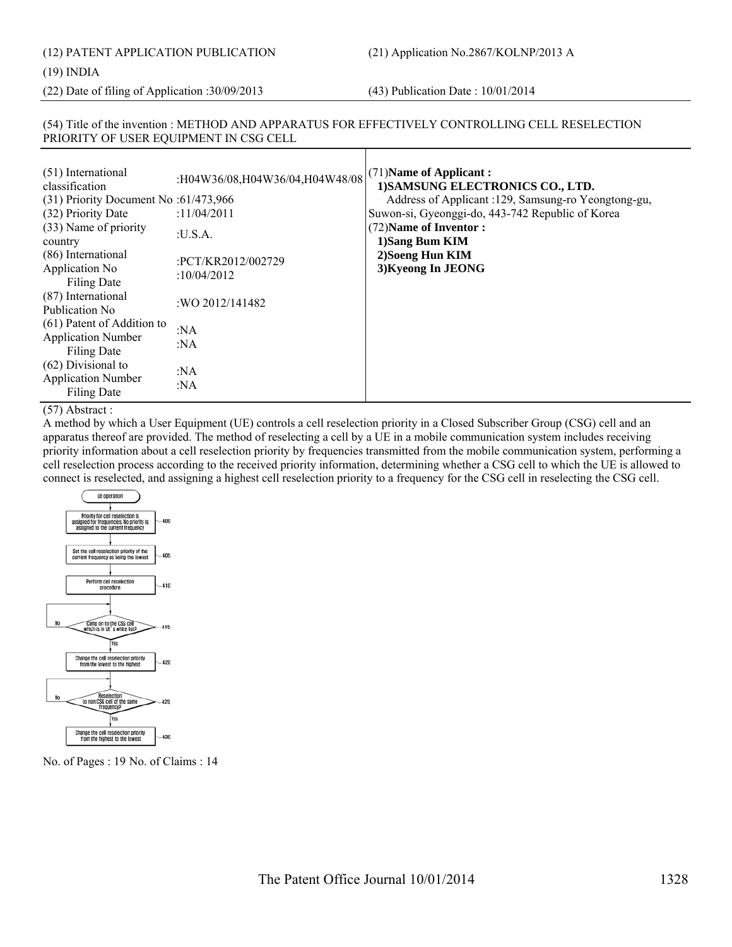(12) PATENT APPLICATION PUBLICATION (21) Application No.2867/KOLNP/2013 A

#### (19) INDIA

(22) Date of filing of Application :30/09/2013 (43) Publication Date : 10/01/2014

# (54) Title of the invention : METHOD AND APPARATUS FOR EFFECTIVELY CONTROLLING CELL RESELECTION PRIORITY OF USER EQUIPMENT IN CSG CELL

| (51) International<br>classification<br>$(31)$ Priority Document No :61/473,966 | :H04W36/08,H04W36/04,H04W48/08<br>:11/04/2011 | $(71)$ Name of Applicant:<br>1) SAMSUNG ELECTRONICS CO., LTD.<br>Address of Applicant : 129, Samsung-ro Yeongtong-gu, |
|---------------------------------------------------------------------------------|-----------------------------------------------|-----------------------------------------------------------------------------------------------------------------------|
| (32) Priority Date<br>(33) Name of priority<br>country                          | :U.S.A.                                       | Suwon-si, Gyeonggi-do, 443-742 Republic of Korea<br>(72) Name of Inventor:<br>1)Sang Bum KIM                          |
| (86) International<br>Application No<br><b>Filing Date</b>                      | :PCT/KR2012/002729<br>: $10/04/2012$          | 2) Soeng Hun KIM<br>3) Kyeong In JEONG                                                                                |
| (87) International<br>Publication No.                                           | :WO 2012/141482                               |                                                                                                                       |
| (61) Patent of Addition to<br><b>Application Number</b><br><b>Filing Date</b>   | : $NA$<br>: $NA$                              |                                                                                                                       |
| $(62)$ Divisional to<br><b>Application Number</b><br><b>Filing Date</b>         | : $NA$<br>:NA                                 |                                                                                                                       |

#### (57) Abstract :

A method by which a User Equipment (UE) controls a cell reselection priority in a Closed Subscriber Group (CSG) cell and an apparatus thereof are provided. The method of reselecting a cell by a UE in a mobile communication system includes receiving priority information about a cell reselection priority by frequencies transmitted from the mobile communication system, performing a cell reselection process according to the received priority information, determining whether a CSG cell to which the UE is allowed to connect is reselected, and assigning a highest cell reselection priority to a frequency for the CSG cell in reselecting the CSG cell.



No. of Pages : 19 No. of Claims : 14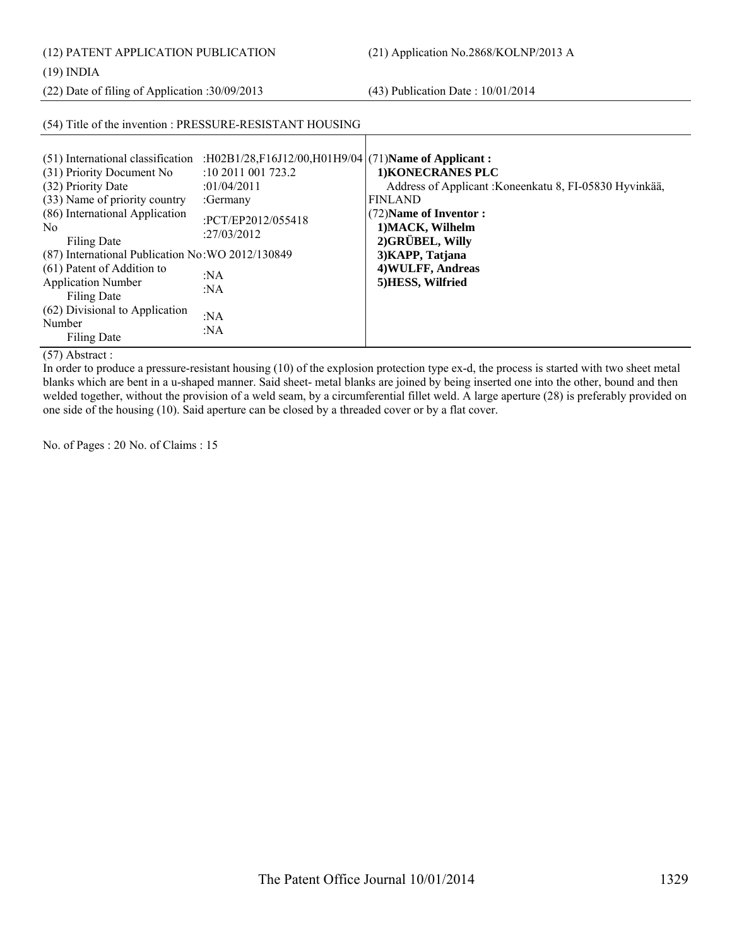(12) PATENT APPLICATION PUBLICATION (21) Application No.2868/KOLNP/2013 A

(19) INDIA

(22) Date of filing of Application :30/09/2013 (43) Publication Date : 10/01/2014

|                                                                                                                                                                                                                                                                                                                                                                                           | (54) Title of the invention : PRESSURE-RESISTANT HOUSING                                                                                                                            |                                                                                                                                                                                                                                |
|-------------------------------------------------------------------------------------------------------------------------------------------------------------------------------------------------------------------------------------------------------------------------------------------------------------------------------------------------------------------------------------------|-------------------------------------------------------------------------------------------------------------------------------------------------------------------------------------|--------------------------------------------------------------------------------------------------------------------------------------------------------------------------------------------------------------------------------|
| (51) International classification<br>(31) Priority Document No<br>(32) Priority Date<br>(33) Name of priority country<br>(86) International Application<br>N <sub>0</sub><br>Filing Date<br>(87) International Publication No: WO 2012/130849<br>(61) Patent of Addition to<br><b>Application Number</b><br>Filing Date<br>(62) Divisional to Application<br>Number<br><b>Filing Date</b> | :H02B1/28,F16J12/00,H01H9/04 $(71)$ Name of Applicant:<br>$:10\,2011\,001\,723.2$<br>:01/04/2011<br>:Germany<br>:PCT/EP2012/055418<br>:27/03/2012<br>: $NA$<br>:NA<br>: $NA$<br>:NA | 1) KONECRANES PLC<br>Address of Applicant : Koneenkatu 8, FI-05830 Hyvinkää,<br><b>FINLAND</b><br>(72) Name of Inventor:<br>1) MACK, Wilhelm<br>2) GRÜBEL, Willy<br>3) KAPP, Tatjana<br>4) WULFF, Andreas<br>5) HESS, Wilfried |

(57) Abstract :

In order to produce a pressure-resistant housing (10) of the explosion protection type ex-d, the process is started with two sheet metal blanks which are bent in a u-shaped manner. Said sheet- metal blanks are joined by being inserted one into the other, bound and then welded together, without the provision of a weld seam, by a circumferential fillet weld. A large aperture (28) is preferably provided on one side of the housing (10). Said aperture can be closed by a threaded cover or by a flat cover.

No. of Pages : 20 No. of Claims : 15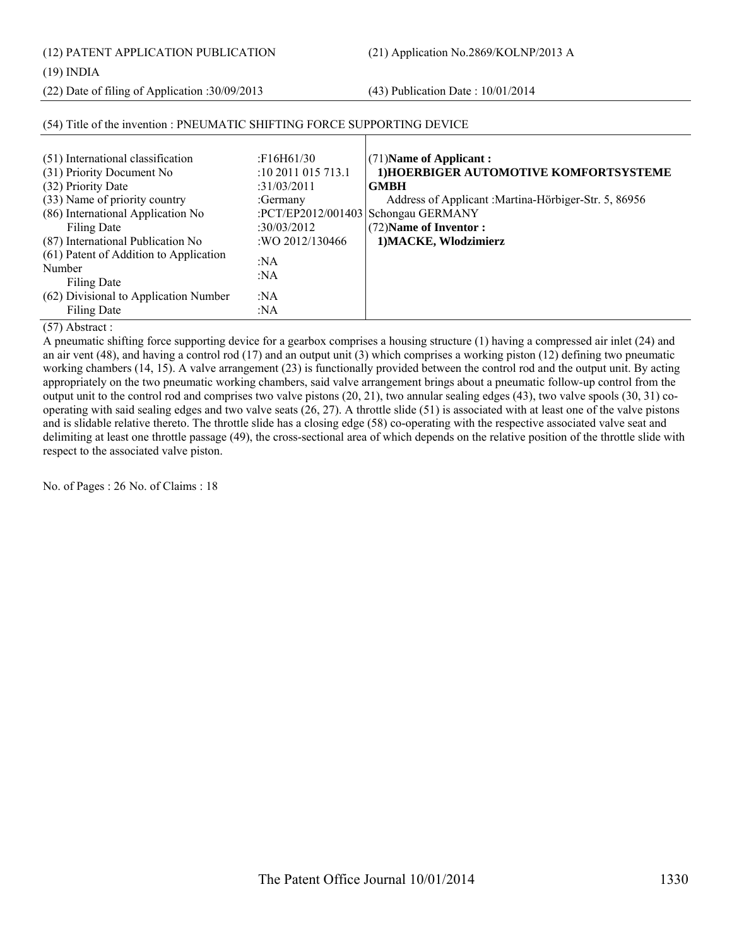(12) PATENT APPLICATION PUBLICATION (21) Application No.2869/KOLNP/2013 A

(19) INDIA

(22) Date of filing of Application :30/09/2013 (43) Publication Date : 10/01/2014

| (51) International classification<br>(31) Priority Document No<br>(32) Priority Date<br>(33) Name of priority country<br>(86) International Application No<br>Filing Date<br>(87) International Publication No<br>(61) Patent of Addition to Application<br>Number<br>Filing Date<br>(62) Divisional to Application Number | :F16H61/30<br>$:10\,2011\,015\,713.1$<br>:31/03/2011<br>:Germany<br>:30/03/2012<br>:WO 2012/130466<br>:NA<br>:NA<br>:NA | $(71)$ Name of Applicant:<br>1) HOERBIGER AUTOMOTIVE KOMFORTSYSTEME<br><b>GMBH</b><br>Address of Applicant : Martina-Hörbiger-Str. 5, 86956<br>:PCT/EP2012/001403 Schongau GERMANY<br>(72) Name of Inventor:<br>1) MACKE, Wlodzimierz |
|----------------------------------------------------------------------------------------------------------------------------------------------------------------------------------------------------------------------------------------------------------------------------------------------------------------------------|-------------------------------------------------------------------------------------------------------------------------|---------------------------------------------------------------------------------------------------------------------------------------------------------------------------------------------------------------------------------------|
| Filing Date                                                                                                                                                                                                                                                                                                                | :NA                                                                                                                     |                                                                                                                                                                                                                                       |

# (54) Title of the invention : PNEUMATIC SHIFTING FORCE SUPPORTING DEVICE

(57) Abstract :

A pneumatic shifting force supporting device for a gearbox comprises a housing structure (1) having a compressed air inlet (24) and an air vent (48), and having a control rod (17) and an output unit (3) which comprises a working piston (12) defining two pneumatic working chambers (14, 15). A valve arrangement (23) is functionally provided between the control rod and the output unit. By acting appropriately on the two pneumatic working chambers, said valve arrangement brings about a pneumatic follow-up control from the output unit to the control rod and comprises two valve pistons (20, 21), two annular sealing edges (43), two valve spools (30, 31) cooperating with said sealing edges and two valve seats (26, 27). A throttle slide (51) is associated with at least one of the valve pistons and is slidable relative thereto. The throttle slide has a closing edge (58) co-operating with the respective associated valve seat and delimiting at least one throttle passage (49), the cross-sectional area of which depends on the relative position of the throttle slide with respect to the associated valve piston.

No. of Pages : 26 No. of Claims : 18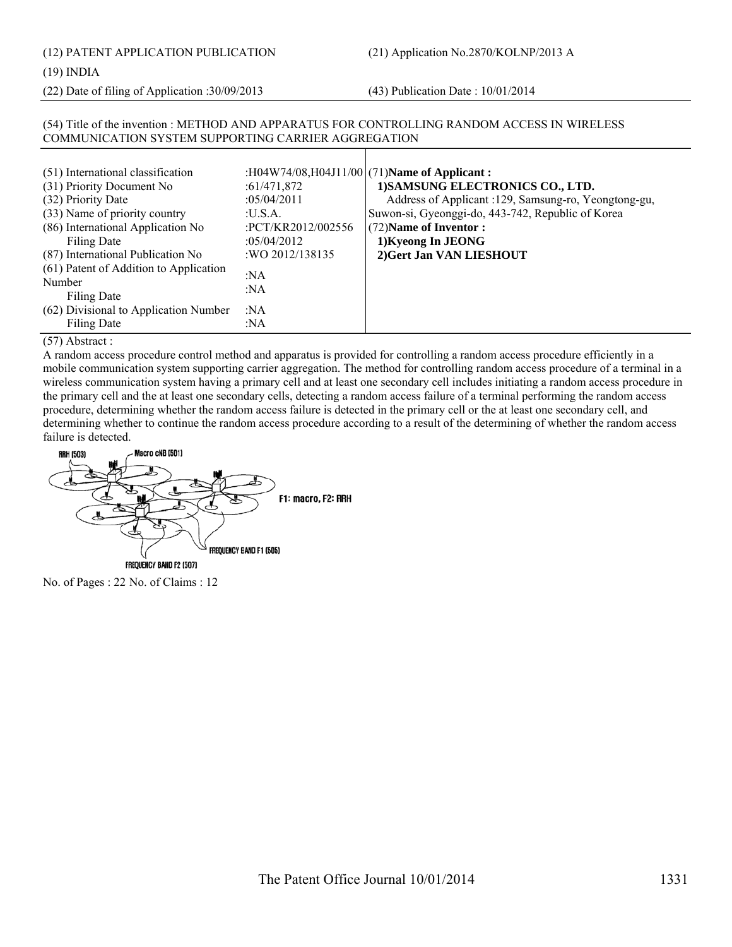(12) PATENT APPLICATION PUBLICATION (21) Application No.2870/KOLNP/2013 A

#### (19) INDIA

(22) Date of filing of Application :30/09/2013 (43) Publication Date : 10/01/2014

# (54) Title of the invention : METHOD AND APPARATUS FOR CONTROLLING RANDOM ACCESS IN WIRELESS COMMUNICATION SYSTEM SUPPORTING CARRIER AGGREGATION

| (51) International classification<br>(31) Priority Document No              | :61/471,872                       | :H04W74/08,H04J11/00 $(71)$ Name of Applicant:<br>1) SAMSUNG ELECTRONICS CO., LTD.                         |
|-----------------------------------------------------------------------------|-----------------------------------|------------------------------------------------------------------------------------------------------------|
| (32) Priority Date<br>(33) Name of priority country                         | :05/04/2011<br>:U.S.A.            | Address of Applicant : 129, Samsung-ro, Yeongtong-gu,<br>Suwon-si, Gyeonggi-do, 443-742, Republic of Korea |
| (86) International Application No<br>Filing Date                            | :PCT/KR2012/002556<br>:05/04/2012 | (72) Name of Inventor:<br>1) Kyeong In JEONG                                                               |
| (87) International Publication No<br>(61) Patent of Addition to Application | : WO 2012/138135<br>:NA           | 2) Gert Jan VAN LIESHOUT                                                                                   |
| Number<br>Filing Date                                                       | :NA                               |                                                                                                            |
| (62) Divisional to Application Number<br>Filing Date                        | :NA<br>:NA                        |                                                                                                            |

# (57) Abstract :

A random access procedure control method and apparatus is provided for controlling a random access procedure efficiently in a mobile communication system supporting carrier aggregation. The method for controlling random access procedure of a terminal in a wireless communication system having a primary cell and at least one secondary cell includes initiating a random access procedure in the primary cell and the at least one secondary cells, detecting a random access failure of a terminal performing the random access procedure, determining whether the random access failure is detected in the primary cell or the at least one secondary cell, and determining whether to continue the random access procedure according to a result of the determining of whether the random access failure is detected.



No. of Pages : 22 No. of Claims : 12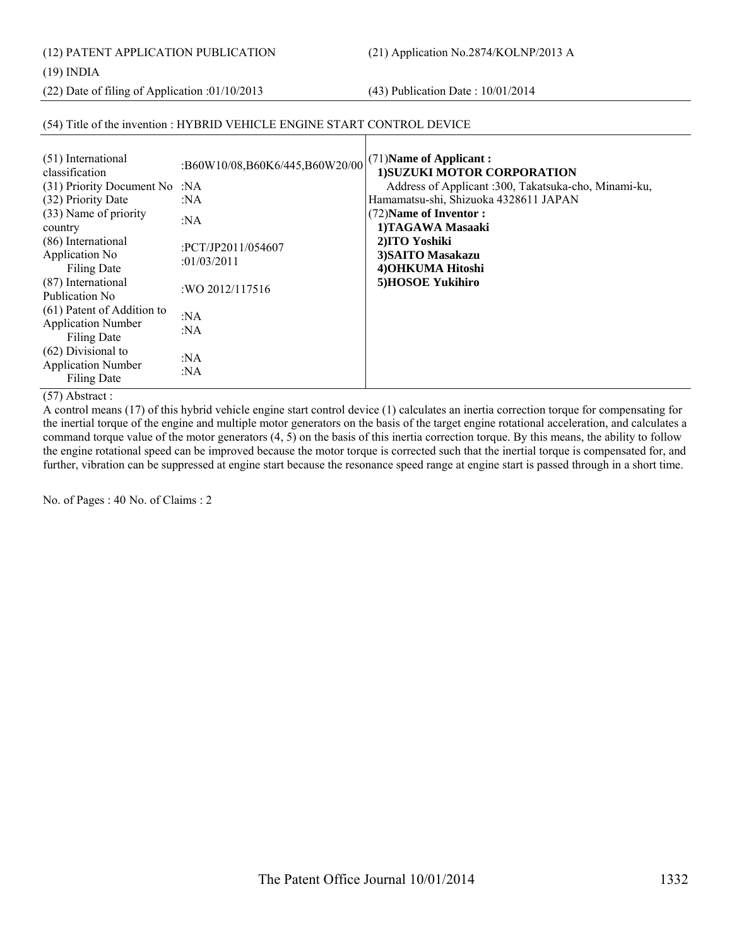(12) PATENT APPLICATION PUBLICATION (21) Application No.2874/KOLNP/2013 A

(19) INDIA

(22) Date of filing of Application :01/10/2013 (43) Publication Date : 10/01/2014

# (54) Title of the invention : HYBRID VEHICLE ENGINE START CONTROL DEVICE

| (51) International<br>classification<br>(31) Priority Document No :NA   | :B60W10/08,B60K6/445,B60W20/00    | (71) Name of Applicant:<br>1) SUZUKI MOTOR CORPORATION<br>Address of Applicant :300, Takatsuka-cho, Minami-ku,<br>Hamamatsu-shi, Shizuoka 4328611 JAPAN |
|-------------------------------------------------------------------------|-----------------------------------|---------------------------------------------------------------------------------------------------------------------------------------------------------|
| (32) Priority Date<br>(33) Name of priority<br>country                  | :NA<br>:NA                        | (72) Name of Inventor:<br>1)TAGAWA Masaaki                                                                                                              |
| (86) International<br>Application No<br><b>Filing Date</b>              | :PCT/JP2011/054607<br>:01/03/2011 | 2)ITO Yoshiki<br>3) SAITO Masakazu<br>4) OHKUMA Hitoshi                                                                                                 |
| (87) International<br>Publication No                                    | : WO 2012/117516                  | 5)HOSOE Yukihiro                                                                                                                                        |
| (61) Patent of Addition to<br><b>Application Number</b><br>Filing Date  | :NA<br>:NA                        |                                                                                                                                                         |
| $(62)$ Divisional to<br><b>Application Number</b><br><b>Filing Date</b> | :NA<br>: $NA$                     |                                                                                                                                                         |

# (57) Abstract :

A control means (17) of this hybrid vehicle engine start control device (1) calculates an inertia correction torque for compensating for the inertial torque of the engine and multiple motor generators on the basis of the target engine rotational acceleration, and calculates a command torque value of the motor generators (4, 5) on the basis of this inertia correction torque. By this means, the ability to follow the engine rotational speed can be improved because the motor torque is corrected such that the inertial torque is compensated for, and further, vibration can be suppressed at engine start because the resonance speed range at engine start is passed through in a short time.

No. of Pages : 40 No. of Claims : 2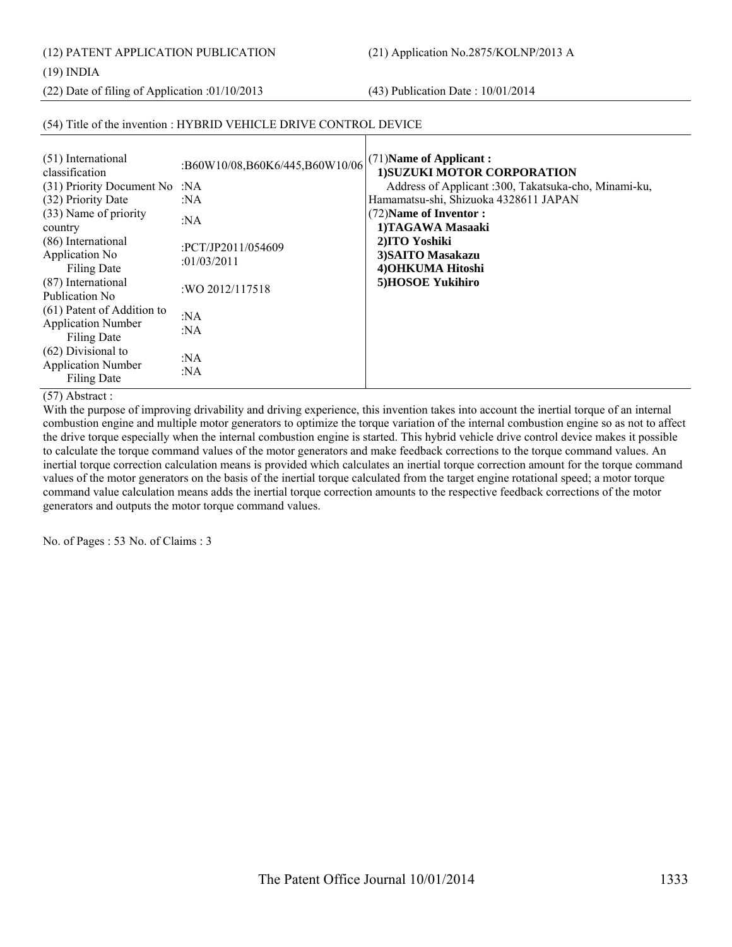(12) PATENT APPLICATION PUBLICATION (21) Application No.2875/KOLNP/2013 A

(19) INDIA

(22) Date of filing of Application :01/10/2013 (43) Publication Date : 10/01/2014

# (54) Title of the invention : HYBRID VEHICLE DRIVE CONTROL DEVICE

(57) Abstract :

With the purpose of improving drivability and driving experience, this invention takes into account the inertial torque of an internal combustion engine and multiple motor generators to optimize the torque variation of the internal combustion engine so as not to affect the drive torque especially when the internal combustion engine is started. This hybrid vehicle drive control device makes it possible to calculate the torque command values of the motor generators and make feedback corrections to the torque command values. An inertial torque correction calculation means is provided which calculates an inertial torque correction amount for the torque command values of the motor generators on the basis of the inertial torque calculated from the target engine rotational speed; a motor torque command value calculation means adds the inertial torque correction amounts to the respective feedback corrections of the motor generators and outputs the motor torque command values.

No. of Pages : 53 No. of Claims : 3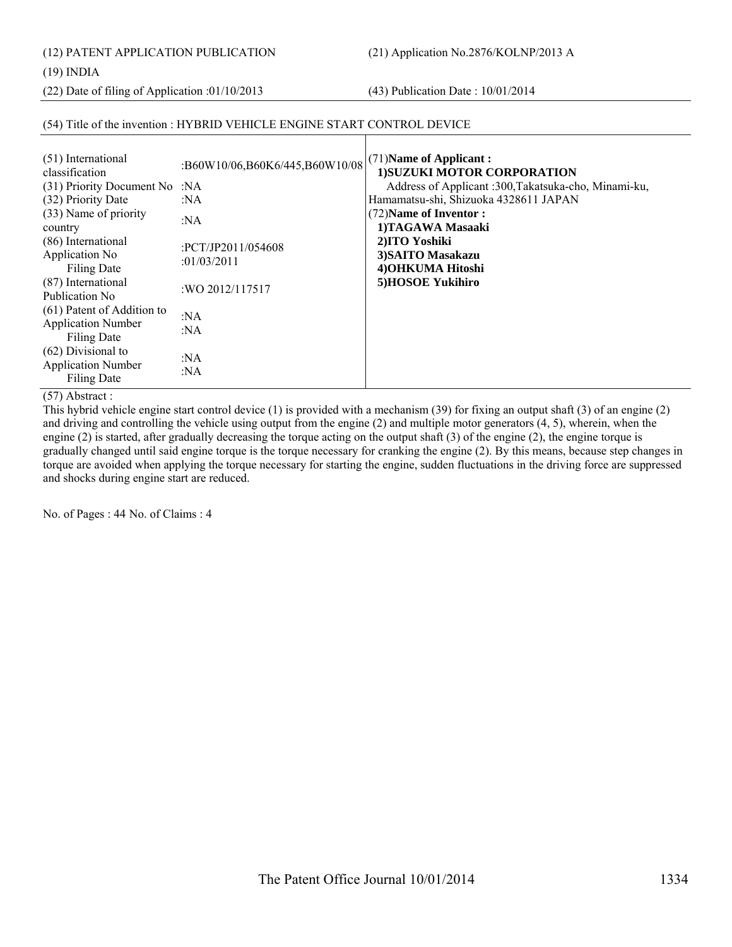(12) PATENT APPLICATION PUBLICATION (21) Application No.2876/KOLNP/2013 A

(19) INDIA

(22) Date of filing of Application :01/10/2013 (43) Publication Date : 10/01/2014

# (54) Title of the invention : HYBRID VEHICLE ENGINE START CONTROL DEVICE

| (31) Priority Document No :NA<br>:NA<br>: $NA$<br>:PCT/JP2011/054608<br>:01/03/2011<br>:WO 2012/117517<br>: $NA$<br>:NA | (71) Name of Applicant:<br>1) SUZUKI MOTOR CORPORATION<br>Address of Applicant :300, Takatsuka-cho, Minami-ku,<br>Hamamatsu-shi, Shizuoka 4328611 JAPAN<br>(72) Name of Inventor:<br>1)TAGAWA Masaaki<br>2)ITO Yoshiki<br>3) SAITO Masakazu<br>4) OHKUMA Hitoshi<br>5)HOSOE Yukihiro |
|-------------------------------------------------------------------------------------------------------------------------|--------------------------------------------------------------------------------------------------------------------------------------------------------------------------------------------------------------------------------------------------------------------------------------|
| : $NA$<br>: $NA$                                                                                                        |                                                                                                                                                                                                                                                                                      |
|                                                                                                                         | :B60W10/06,B60K6/445,B60W10/08                                                                                                                                                                                                                                                       |

(57) Abstract :

This hybrid vehicle engine start control device (1) is provided with a mechanism (39) for fixing an output shaft (3) of an engine (2) and driving and controlling the vehicle using output from the engine (2) and multiple motor generators (4, 5), wherein, when the engine (2) is started, after gradually decreasing the torque acting on the output shaft (3) of the engine (2), the engine torque is gradually changed until said engine torque is the torque necessary for cranking the engine (2). By this means, because step changes in torque are avoided when applying the torque necessary for starting the engine, sudden fluctuations in the driving force are suppressed and shocks during engine start are reduced.

No. of Pages : 44 No. of Claims : 4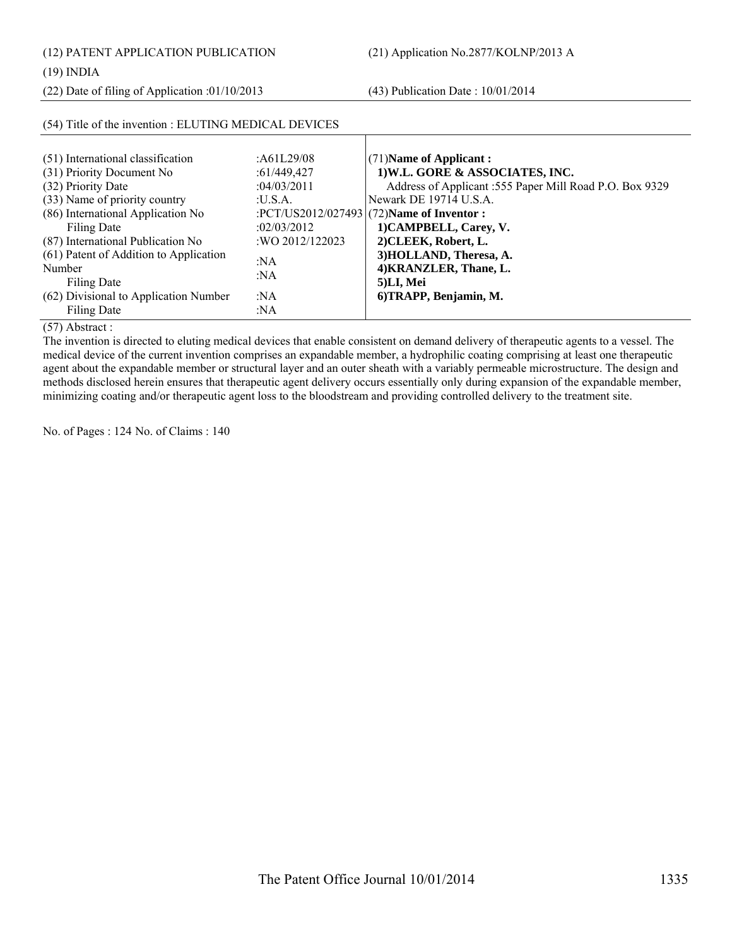(12) PATENT APPLICATION PUBLICATION (21) Application No.2877/KOLNP/2013 A

(22) Date of filing of Application :01/10/2013 (43) Publication Date : 10/01/2014

# (54) Title of the invention : ELUTING MEDICAL DEVICES

| (51) International classification      | :A61L29/08      | $(71)$ Name of Applicant:                               |
|----------------------------------------|-----------------|---------------------------------------------------------|
| (31) Priority Document No              | :61/449,427     | 1) W.L. GORE & ASSOCIATES, INC.                         |
| (32) Priority Date                     | :04/03/2011     | Address of Applicant :555 Paper Mill Road P.O. Box 9329 |
| (33) Name of priority country          | ·USA            | Newark DE 19714 U.S.A.                                  |
| (86) International Application No      |                 | :PCT/US2012/027493 (72)Name of Inventor :               |
| Filing Date                            | :02/03/2012     | 1) CAMPBELL, Carey, V.                                  |
| (87) International Publication No      | :WO 2012/122023 | 2) CLEEK, Robert, L.                                    |
| (61) Patent of Addition to Application | : $NA$          | 3) HOLLAND, Theresa, A.                                 |
| Number                                 | :NA             | 4) KRANZLER, Thane, L.                                  |
| <b>Filing Date</b>                     |                 | 5)LI, Mei                                               |
| (62) Divisional to Application Number  | : $NA$          | 6) TRAPP, Benjamin, M.                                  |
| Filing Date                            | :NA             |                                                         |

(57) Abstract :

The invention is directed to eluting medical devices that enable consistent on demand delivery of therapeutic agents to a vessel. The medical device of the current invention comprises an expandable member, a hydrophilic coating comprising at least one therapeutic agent about the expandable member or structural layer and an outer sheath with a variably permeable microstructure. The design and methods disclosed herein ensures that therapeutic agent delivery occurs essentially only during expansion of the expandable member, minimizing coating and/or therapeutic agent loss to the bloodstream and providing controlled delivery to the treatment site.

No. of Pages : 124 No. of Claims : 140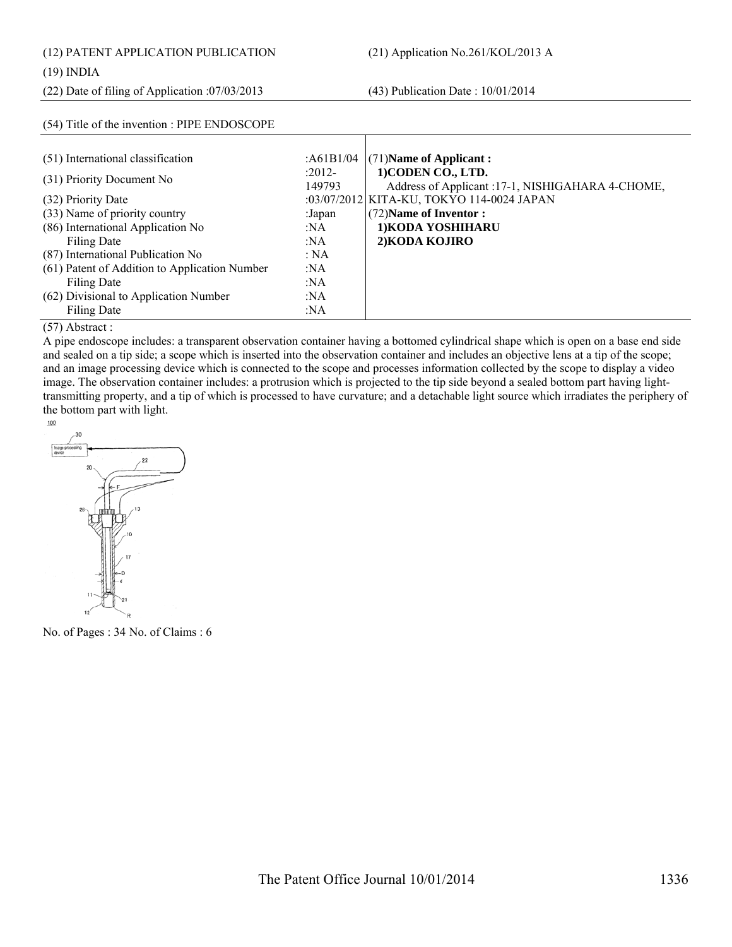(12) PATENT APPLICATION PUBLICATION (21) Application No.261/KOL/2013 A

# (19) INDIA

(22) Date of filing of Application :07/03/2013 (43) Publication Date : 10/01/2014

(54) Title of the invention : PIPE ENDOSCOPE

| (51) International classification             | :A61B1/04        | $(71)$ Name of Applicant:                                              |
|-----------------------------------------------|------------------|------------------------------------------------------------------------|
| (31) Priority Document No                     | :2012-<br>149793 | 1) CODEN CO., LTD.<br>Address of Applicant :17-1, NISHIGAHARA 4-CHOME, |
| (32) Priority Date                            |                  | :03/07/2012 KITA-KU, TOKYO 114-0024 JAPAN                              |
| (33) Name of priority country                 | :Japan           | (72) Name of Inventor:                                                 |
| (86) International Application No             | :NA              | 1) KODA YOSHIHARU                                                      |
| Filing Date                                   | :NA              | 2) KODA KOJIRO                                                         |
| (87) International Publication No             | : NA             |                                                                        |
| (61) Patent of Addition to Application Number | : $NA$           |                                                                        |
| Filing Date                                   | :NA              |                                                                        |
| (62) Divisional to Application Number         | :NA              |                                                                        |
| Filing Date                                   | :NA              |                                                                        |

#### (57) Abstract :

A pipe endoscope includes: a transparent observation container having a bottomed cylindrical shape which is open on a base end side and sealed on a tip side; a scope which is inserted into the observation container and includes an objective lens at a tip of the scope; and an image processing device which is connected to the scope and processes information collected by the scope to display a video image. The observation container includes: a protrusion which is projected to the tip side beyond a sealed bottom part having lighttransmitting property, and a tip of which is processed to have curvature; and a detachable light source which irradiates the periphery of the bottom part with light.



No. of Pages : 34 No. of Claims : 6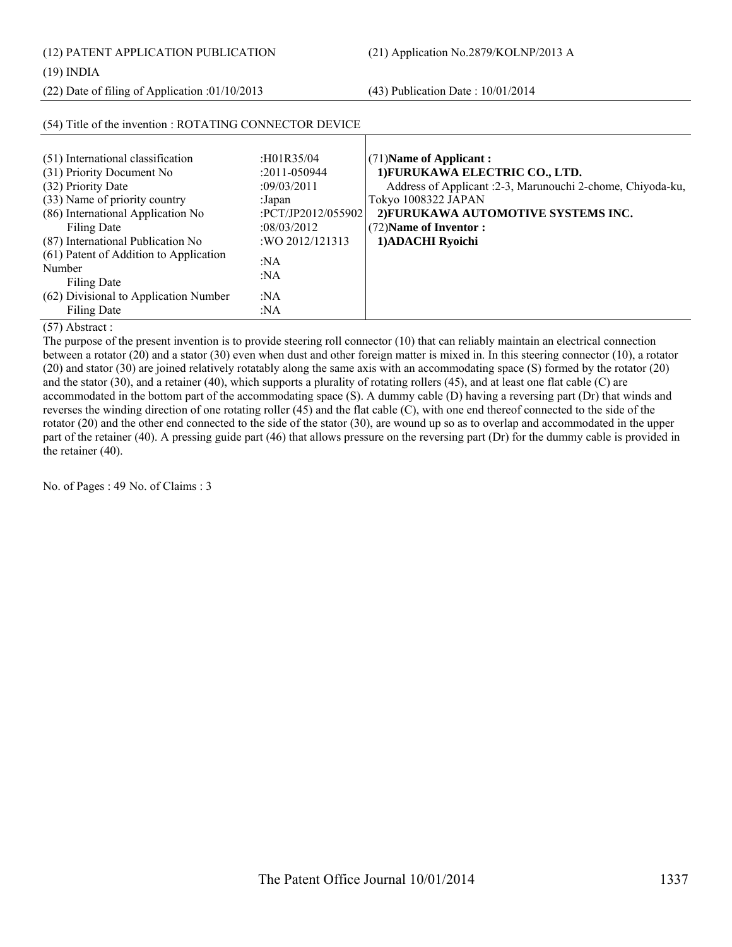(12) PATENT APPLICATION PUBLICATION (21) Application No.2879/KOLNP/2013 A

(22) Date of filing of Application :01/10/2013 (43) Publication Date : 10/01/2014

| (54) Title of the invention : ROTATING CONNECTOR DEVICE                                                                                                                                                                                                                           |                                                                                                                                   |                                                                                                                                                                                                                                         |
|-----------------------------------------------------------------------------------------------------------------------------------------------------------------------------------------------------------------------------------------------------------------------------------|-----------------------------------------------------------------------------------------------------------------------------------|-----------------------------------------------------------------------------------------------------------------------------------------------------------------------------------------------------------------------------------------|
| (51) International classification<br>(31) Priority Document No<br>(32) Priority Date<br>(33) Name of priority country<br>(86) International Application No<br>Filing Date<br>(87) International Publication No<br>(61) Patent of Addition to Application<br>Number<br>Filing Date | : $H01R35/04$<br>$:2011 - 050944$<br>:09/03/2011<br>:Japan<br>:PCT/JP2012/055902<br>:08/03/2012<br>: WO 2012/121313<br>:NA<br>:NA | $(71)$ Name of Applicant:<br>1) FURUKAWA ELECTRIC CO., LTD.<br>Address of Applicant : 2-3, Marunouchi 2-chome, Chiyoda-ku,<br>Tokyo 1008322 JAPAN<br>2) FURUKAWA AUTOMOTIVE SYSTEMS INC.<br>(72) Name of Inventor:<br>1) ADACHI Ryoichi |
| (62) Divisional to Application Number<br><b>Filing Date</b>                                                                                                                                                                                                                       | :NA<br>: $NA$                                                                                                                     |                                                                                                                                                                                                                                         |

(57) Abstract :

The purpose of the present invention is to provide steering roll connector (10) that can reliably maintain an electrical connection between a rotator (20) and a stator (30) even when dust and other foreign matter is mixed in. In this steering connector (10), a rotator (20) and stator (30) are joined relatively rotatably along the same axis with an accommodating space (S) formed by the rotator (20) and the stator (30), and a retainer (40), which supports a plurality of rotating rollers (45), and at least one flat cable (C) are accommodated in the bottom part of the accommodating space (S). A dummy cable (D) having a reversing part (Dr) that winds and reverses the winding direction of one rotating roller (45) and the flat cable (C), with one end thereof connected to the side of the rotator (20) and the other end connected to the side of the stator (30), are wound up so as to overlap and accommodated in the upper part of the retainer (40). A pressing guide part (46) that allows pressure on the reversing part (Dr) for the dummy cable is provided in the retainer (40).

No. of Pages : 49 No. of Claims : 3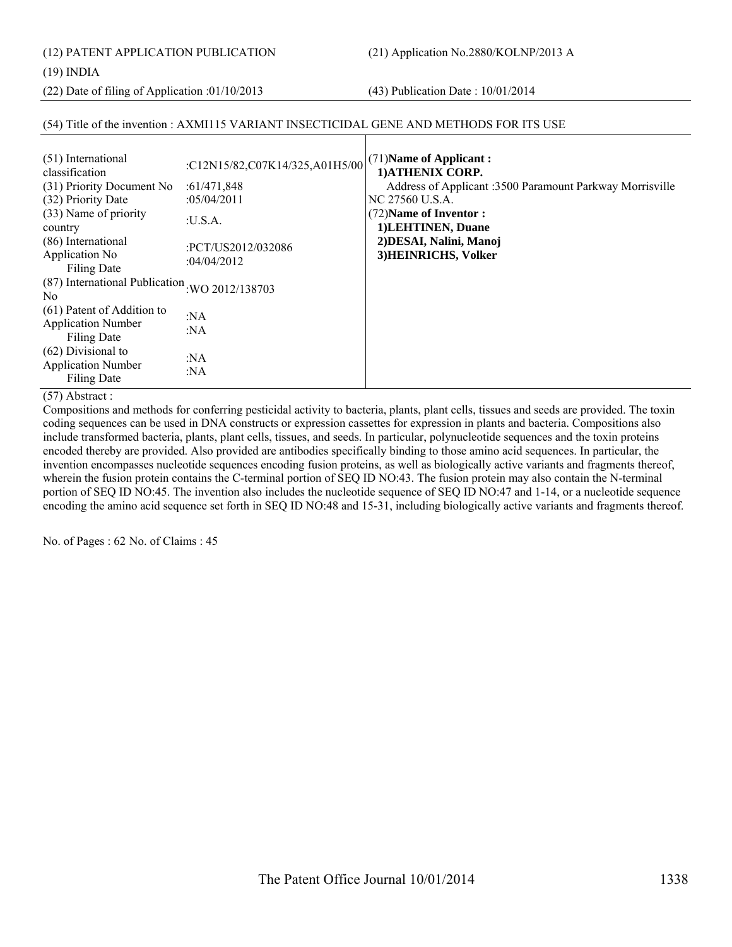(12) PATENT APPLICATION PUBLICATION (21) Application No.2880/KOLNP/2013 A

# (19) INDIA

(22) Date of filing of Application :01/10/2013 (43) Publication Date : 10/01/2014

# (54) Title of the invention : AXMI115 VARIANT INSECTICIDAL GENE AND METHODS FOR ITS USE

| (51) International<br>classification<br>(31) Priority Document No<br>(32) Priority Date<br>(33) Name of priority<br>country<br>(86) International | :C12N15/82,C07K14/325,A01H5/00<br>:61/471,848<br>:05/04/2011<br>:U.S.A.<br>:PCT/US2012/032086 | $(71)$ Name of Applicant:<br>1) ATHENIX CORP.<br>Address of Applicant :3500 Paramount Parkway Morrisville<br>INC 27560 U.S.A.<br>(72) Name of Inventor:<br>1) LEHTINEN, Duane<br>2) DESAI, Nalini, Manoj |
|---------------------------------------------------------------------------------------------------------------------------------------------------|-----------------------------------------------------------------------------------------------|----------------------------------------------------------------------------------------------------------------------------------------------------------------------------------------------------------|
| Application No<br>Filing Date                                                                                                                     | :04/04/2012                                                                                   | 3) HEINRICHS, Volker                                                                                                                                                                                     |
| (87) International Publication WO 2012/138703<br>N <sub>0</sub>                                                                                   |                                                                                               |                                                                                                                                                                                                          |
| (61) Patent of Addition to<br><b>Application Number</b><br>Filing Date                                                                            | : $NA$<br>: $NA$                                                                              |                                                                                                                                                                                                          |
| $(62)$ Divisional to<br><b>Application Number</b><br><b>Filing Date</b>                                                                           | :NA<br>: $NA$                                                                                 |                                                                                                                                                                                                          |

# (57) Abstract :

Compositions and methods for conferring pesticidal activity to bacteria, plants, plant cells, tissues and seeds are provided. The toxin coding sequences can be used in DNA constructs or expression cassettes for expression in plants and bacteria. Compositions also include transformed bacteria, plants, plant cells, tissues, and seeds. In particular, polynucleotide sequences and the toxin proteins encoded thereby are provided. Also provided are antibodies specifically binding to those amino acid sequences. In particular, the invention encompasses nucleotide sequences encoding fusion proteins, as well as biologically active variants and fragments thereof, wherein the fusion protein contains the C-terminal portion of SEQ ID NO:43. The fusion protein may also contain the N-terminal portion of SEQ ID NO:45. The invention also includes the nucleotide sequence of SEQ ID NO:47 and 1-14, or a nucleotide sequence encoding the amino acid sequence set forth in SEQ ID NO:48 and 15-31, including biologically active variants and fragments thereof.

No. of Pages : 62 No. of Claims : 45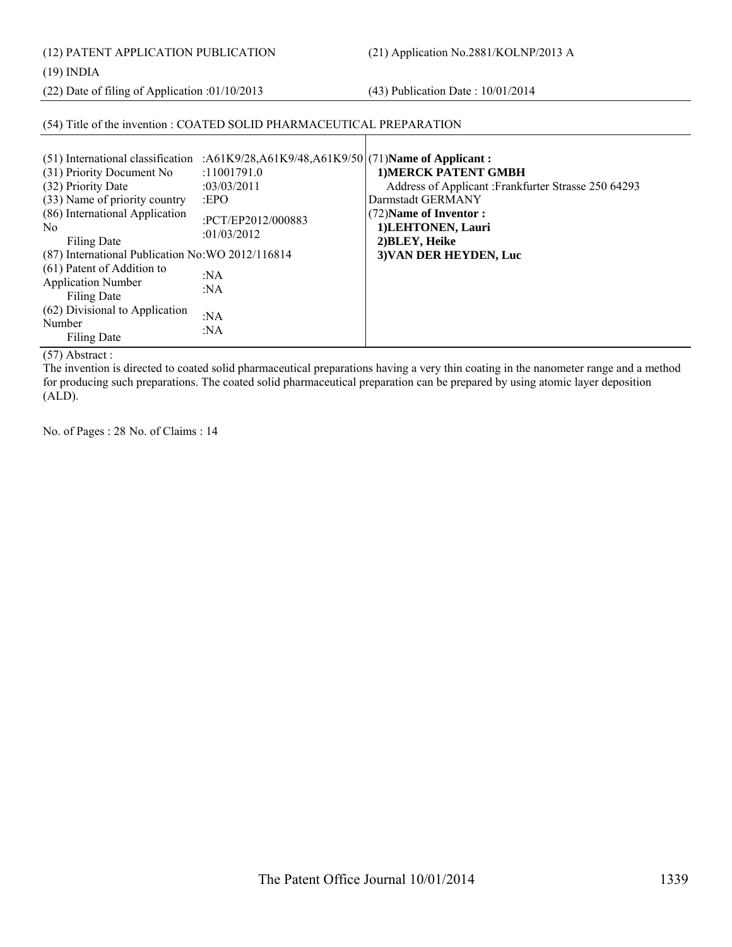(12) PATENT APPLICATION PUBLICATION (21) Application No.2881/KOLNP/2013 A

(19) INDIA

(22) Date of filing of Application :01/10/2013 (43) Publication Date : 10/01/2014

# (54) Title of the invention : COATED SOLID PHARMACEUTICAL PREPARATION

 $\mathbf{I}$ 

(57) Abstract :

The invention is directed to coated solid pharmaceutical preparations having a very thin coating in the nanometer range and a method for producing such preparations. The coated solid pharmaceutical preparation can be prepared by using atomic layer deposition (ALD).

No. of Pages : 28 No. of Claims : 14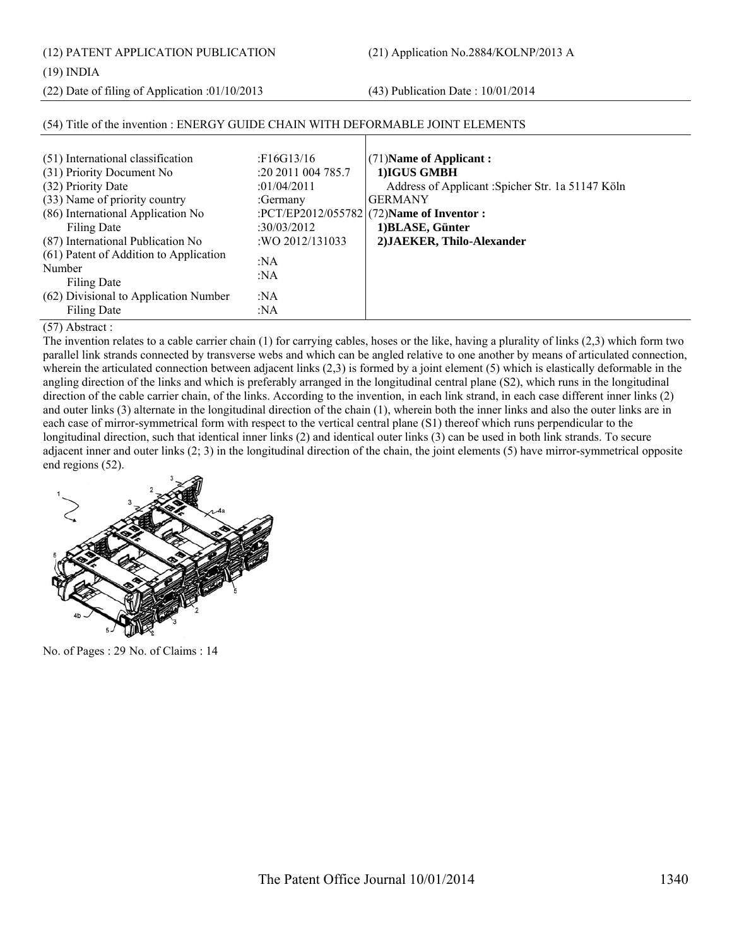(12) PATENT APPLICATION PUBLICATION (21) Application No.2884/KOLNP/2013 A

# (19) INDIA

(22) Date of filing of Application :01/10/2013 (43) Publication Date : 10/01/2014

| (51) International classification      | F16G13/16               | $(71)$ Name of Applicant:                         |
|----------------------------------------|-------------------------|---------------------------------------------------|
| (31) Priority Document No              | $:20\,2011\,004\,785.7$ | 1) IGUS GMBH                                      |
| (32) Priority Date                     | :01/04/2011             | Address of Applicant : Spicher Str. 1a 51147 Köln |
| (33) Name of priority country          | :Germany                | <b>GERMANY</b>                                    |
| (86) International Application No      |                         | :PCT/EP2012/055782 (72)Name of Inventor :         |
| Filing Date                            | :30/03/2012             | 1) BLASE, Günter                                  |
| (87) International Publication No      | : WO 2012/131033        | 2) JAEKER, Thilo-Alexander                        |
| (61) Patent of Addition to Application | : $NA$                  |                                                   |
| Number                                 |                         |                                                   |
| <b>Filing Date</b>                     | : $NA$                  |                                                   |
| (62) Divisional to Application Number  | : $NA$                  |                                                   |
| Filing Date                            | : $NA$                  |                                                   |
|                                        |                         |                                                   |

# (54) Title of the invention : ENERGY GUIDE CHAIN WITH DEFORMABLE JOINT ELEMENTS

(57) Abstract :

The invention relates to a cable carrier chain (1) for carrying cables, hoses or the like, having a plurality of links (2,3) which form two parallel link strands connected by transverse webs and which can be angled relative to one another by means of articulated connection, wherein the articulated connection between adjacent links (2,3) is formed by a joint element (5) which is elastically deformable in the angling direction of the links and which is preferably arranged in the longitudinal central plane (S2), which runs in the longitudinal direction of the cable carrier chain, of the links. According to the invention, in each link strand, in each case different inner links (2) and outer links (3) alternate in the longitudinal direction of the chain (1), wherein both the inner links and also the outer links are in each case of mirror-symmetrical form with respect to the vertical central plane (S1) thereof which runs perpendicular to the longitudinal direction, such that identical inner links (2) and identical outer links (3) can be used in both link strands. To secure adjacent inner and outer links (2; 3) in the longitudinal direction of the chain, the joint elements (5) have mirror-symmetrical opposite end regions (52).



No. of Pages : 29 No. of Claims : 14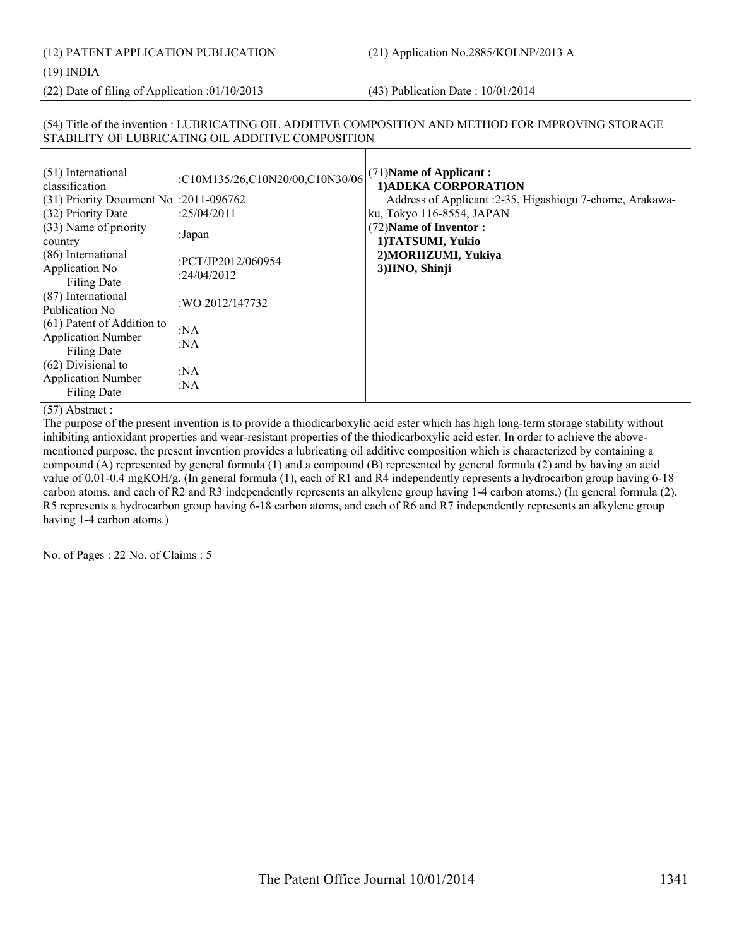(12) PATENT APPLICATION PUBLICATION (21) Application No.2885/KOLNP/2013 A

#### (19) INDIA

(22) Date of filing of Application :01/10/2013 (43) Publication Date : 10/01/2014

# (54) Title of the invention : LUBRICATING OIL ADDITIVE COMPOSITION AND METHOD FOR IMPROVING STORAGE STABILITY OF LUBRICATING OIL ADDITIVE COMPOSITION

| :C10M135/26,C10N20/00,C10N30/06   | $(71)$ Name of Applicant:<br>1) ADEKA CORPORATION<br>Address of Applicant : 2-35, Higashiogu 7-chome, Arakawa-<br>ku, Tokyo 116-8554, JAPAN |
|-----------------------------------|---------------------------------------------------------------------------------------------------------------------------------------------|
| :Japan                            | (72) Name of Inventor:<br>1)TATSUMI, Yukio                                                                                                  |
| :PCT/JP2012/060954<br>:24/04/2012 | 2) MORIIZUMI, Yukiya<br>3)IINO, Shinji                                                                                                      |
| : WO 2012/147732                  |                                                                                                                                             |
| : $NA$<br>: $NA$                  |                                                                                                                                             |
| :NA<br>:NA                        |                                                                                                                                             |
|                                   | $(31)$ Priority Document No :2011-096762<br>:25/04/2011                                                                                     |

(57) Abstract :

The purpose of the present invention is to provide a thiodicarboxylic acid ester which has high long-term storage stability without inhibiting antioxidant properties and wear-resistant properties of the thiodicarboxylic acid ester. In order to achieve the abovementioned purpose, the present invention provides a lubricating oil additive composition which is characterized by containing a compound (A) represented by general formula (1) and a compound (B) represented by general formula (2) and by having an acid value of 0.01-0.4 mgKOH/g. (In general formula (1), each of R1 and R4 independently represents a hydrocarbon group having 6-18 carbon atoms, and each of R2 and R3 independently represents an alkylene group having 1-4 carbon atoms.) (In general formula (2), R5 represents a hydrocarbon group having 6-18 carbon atoms, and each of R6 and R7 independently represents an alkylene group having 1-4 carbon atoms.)

No. of Pages : 22 No. of Claims : 5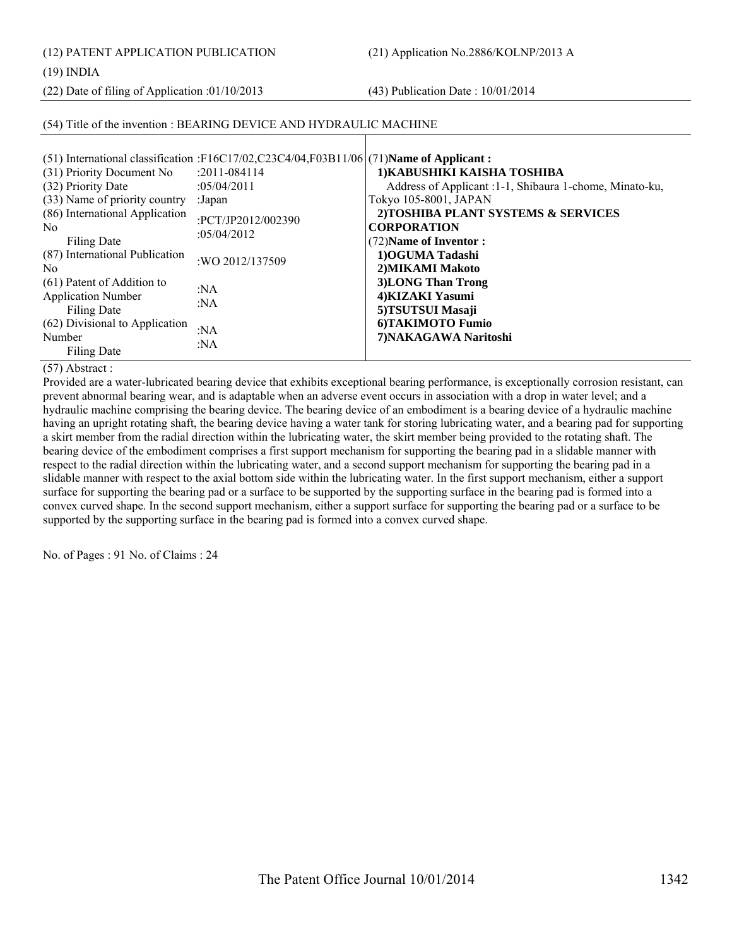(12) PATENT APPLICATION PUBLICATION (21) Application No.2886/KOLNP/2013 A

(19) INDIA

(22) Date of filing of Application :01/10/2013 (43) Publication Date : 10/01/2014

# (54) Title of the invention : BEARING DEVICE AND HYDRAULIC MACHINE

|                                | (51) International classification :F16C17/02,C23C4/04,F03B11/06 (71) Name of Applicant: |                                                         |
|--------------------------------|-----------------------------------------------------------------------------------------|---------------------------------------------------------|
| (31) Priority Document No      | $: 2011 - 084114$                                                                       | 1) KABUSHIKI KAISHA TOSHIBA                             |
| (32) Priority Date             | :05/04/2011                                                                             | Address of Applicant :1-1, Shibaura 1-chome, Minato-ku, |
| (33) Name of priority country  | :Japan                                                                                  | Tokyo 105-8001, JAPAN                                   |
| (86) International Application |                                                                                         | 2) TOSHIBA PLANT SYSTEMS & SERVICES                     |
| N <sub>0</sub>                 | :PCT/JP2012/002390                                                                      | <b>CORPORATION</b>                                      |
| Filing Date                    | :05/04/2012                                                                             | (72) Name of Inventor:                                  |
| (87) International Publication | :WO 2012/137509                                                                         | 1) OGUMA Tadashi                                        |
| N <sub>0</sub>                 |                                                                                         | 2) MIKAMI Makoto                                        |
| (61) Patent of Addition to     | : $NA$                                                                                  | 3) LONG Than Trong                                      |
| <b>Application Number</b>      | :NA                                                                                     | 4) KIZAKI Yasumi                                        |
| Filing Date                    |                                                                                         | 5)TSUTSUI Masaji                                        |
| (62) Divisional to Application | :NA                                                                                     | 6) TAKIMOTO Fumio                                       |
| Number                         | : $NA$                                                                                  | 7) NAKAGAWA Naritoshi                                   |
| <b>Filing Date</b>             |                                                                                         |                                                         |

# (57) Abstract :

Provided are a water-lubricated bearing device that exhibits exceptional bearing performance, is exceptionally corrosion resistant, can prevent abnormal bearing wear, and is adaptable when an adverse event occurs in association with a drop in water level; and a hydraulic machine comprising the bearing device. The bearing device of an embodiment is a bearing device of a hydraulic machine having an upright rotating shaft, the bearing device having a water tank for storing lubricating water, and a bearing pad for supporting a skirt member from the radial direction within the lubricating water, the skirt member being provided to the rotating shaft. The bearing device of the embodiment comprises a first support mechanism for supporting the bearing pad in a slidable manner with respect to the radial direction within the lubricating water, and a second support mechanism for supporting the bearing pad in a slidable manner with respect to the axial bottom side within the lubricating water. In the first support mechanism, either a support surface for supporting the bearing pad or a surface to be supported by the supporting surface in the bearing pad is formed into a convex curved shape. In the second support mechanism, either a support surface for supporting the bearing pad or a surface to be supported by the supporting surface in the bearing pad is formed into a convex curved shape.

No. of Pages : 91 No. of Claims : 24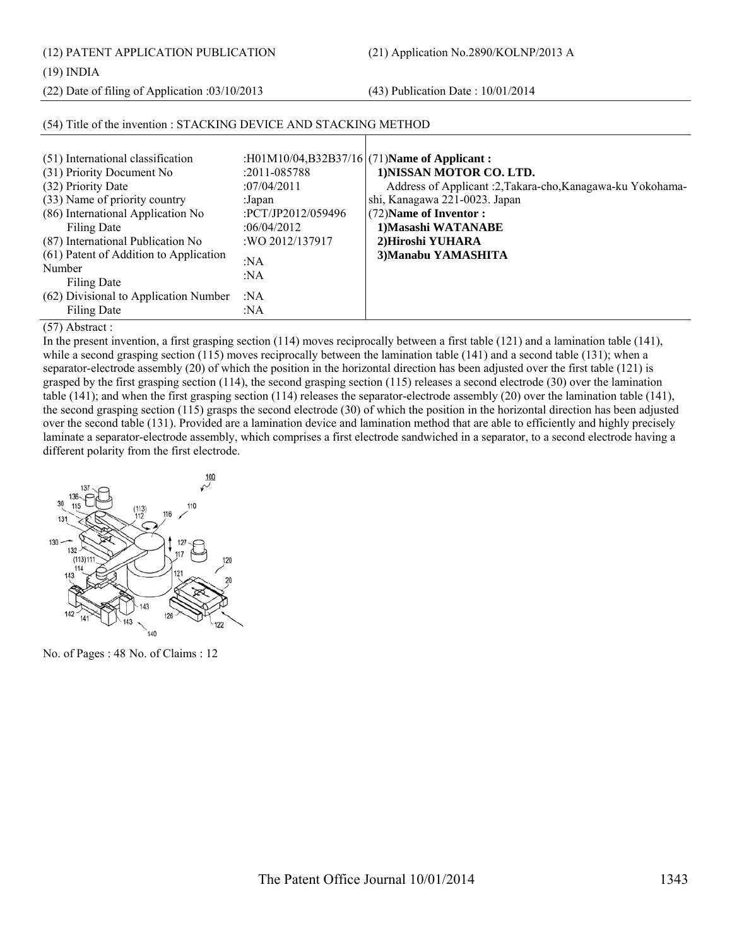(12) PATENT APPLICATION PUBLICATION (21) Application No.2890/KOLNP/2013 A

(19) INDIA

(22) Date of filing of Application :03/10/2013 (43) Publication Date : 10/01/2014

| (51) International classification<br>(31) Priority Document No<br>(32) Priority Date<br>(33) Name of priority country<br>(86) International Application No<br>Filing Date<br>(87) International Publication No<br>(61) Patent of Addition to Application<br>Number<br>Filing Date<br>(62) Divisional to Application Number<br><b>Filing Date</b> | $:2011 - 085788$<br>:07/04/2011<br>:Japan<br>:PCT/JP2012/059496<br>:06/04/2012<br>:WO 2012/137917<br>:NA<br>:NA<br>:NA<br>:NA | :H01M10/04,B32B37/16 $(71)$ Name of Applicant:<br>1) NISSAN MOTOR CO. LTD.<br>Address of Applicant :2, Takara-cho, Kanagawa-ku Yokohama-<br>shi, Kanagawa 221-0023. Japan<br>(72) Name of Inventor:<br>1) Masashi WATANABE<br>2) Hiroshi YUHARA<br>3) Manabu YAMASHITA |
|--------------------------------------------------------------------------------------------------------------------------------------------------------------------------------------------------------------------------------------------------------------------------------------------------------------------------------------------------|-------------------------------------------------------------------------------------------------------------------------------|------------------------------------------------------------------------------------------------------------------------------------------------------------------------------------------------------------------------------------------------------------------------|
|--------------------------------------------------------------------------------------------------------------------------------------------------------------------------------------------------------------------------------------------------------------------------------------------------------------------------------------------------|-------------------------------------------------------------------------------------------------------------------------------|------------------------------------------------------------------------------------------------------------------------------------------------------------------------------------------------------------------------------------------------------------------------|

# (54) Title of the invention : STACKING DEVICE AND STACKING METHOD

(57) Abstract :

In the present invention, a first grasping section (114) moves reciprocally between a first table (121) and a lamination table (141), while a second grasping section (115) moves reciprocally between the lamination table (141) and a second table (131); when a separator-electrode assembly (20) of which the position in the horizontal direction has been adjusted over the first table (121) is grasped by the first grasping section (114), the second grasping section (115) releases a second electrode (30) over the lamination table (141); and when the first grasping section (114) releases the separator-electrode assembly (20) over the lamination table (141), the second grasping section (115) grasps the second electrode (30) of which the position in the horizontal direction has been adjusted over the second table (131). Provided are a lamination device and lamination method that are able to efficiently and highly precisely laminate a separator-electrode assembly, which comprises a first electrode sandwiched in a separator, to a second electrode having a different polarity from the first electrode.



No. of Pages : 48 No. of Claims : 12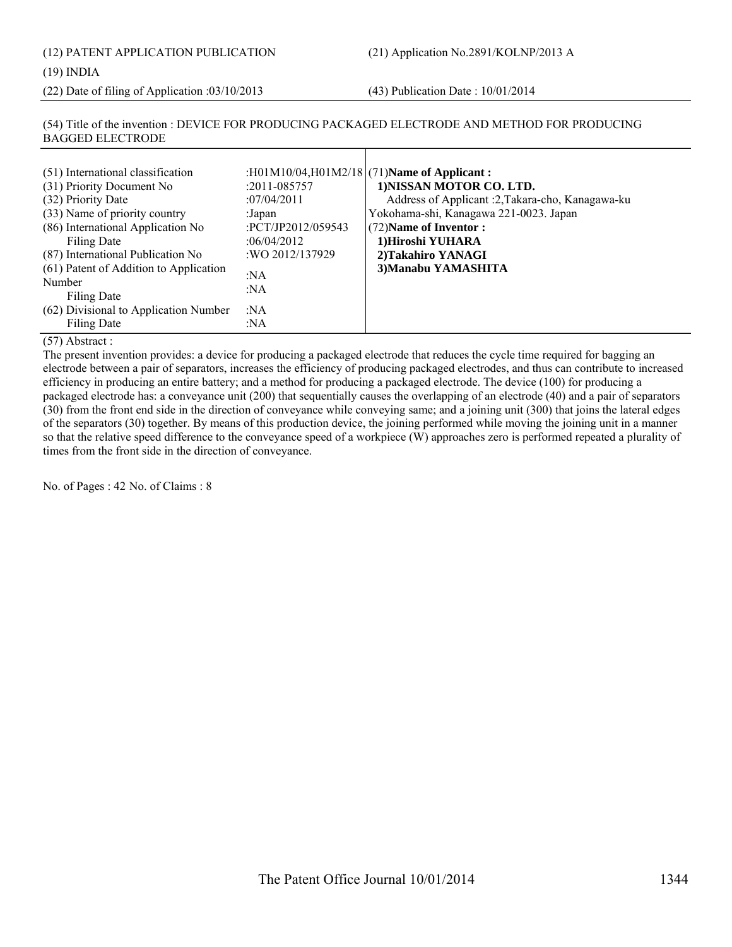(12) PATENT APPLICATION PUBLICATION (21) Application No.2891/KOLNP/2013 A

#### (19) INDIA

(22) Date of filing of Application :03/10/2013 (43) Publication Date : 10/01/2014

# (54) Title of the invention : DEVICE FOR PRODUCING PACKAGED ELECTRODE AND METHOD FOR PRODUCING BAGGED ELECTRODE

# (57) Abstract :

The present invention provides: a device for producing a packaged electrode that reduces the cycle time required for bagging an electrode between a pair of separators, increases the efficiency of producing packaged electrodes, and thus can contribute to increased efficiency in producing an entire battery; and a method for producing a packaged electrode. The device (100) for producing a packaged electrode has: a conveyance unit (200) that sequentially causes the overlapping of an electrode (40) and a pair of separators (30) from the front end side in the direction of conveyance while conveying same; and a joining unit (300) that joins the lateral edges of the separators (30) together. By means of this production device, the joining performed while moving the joining unit in a manner so that the relative speed difference to the conveyance speed of a workpiece (W) approaches zero is performed repeated a plurality of times from the front side in the direction of conveyance.

No. of Pages : 42 No. of Claims : 8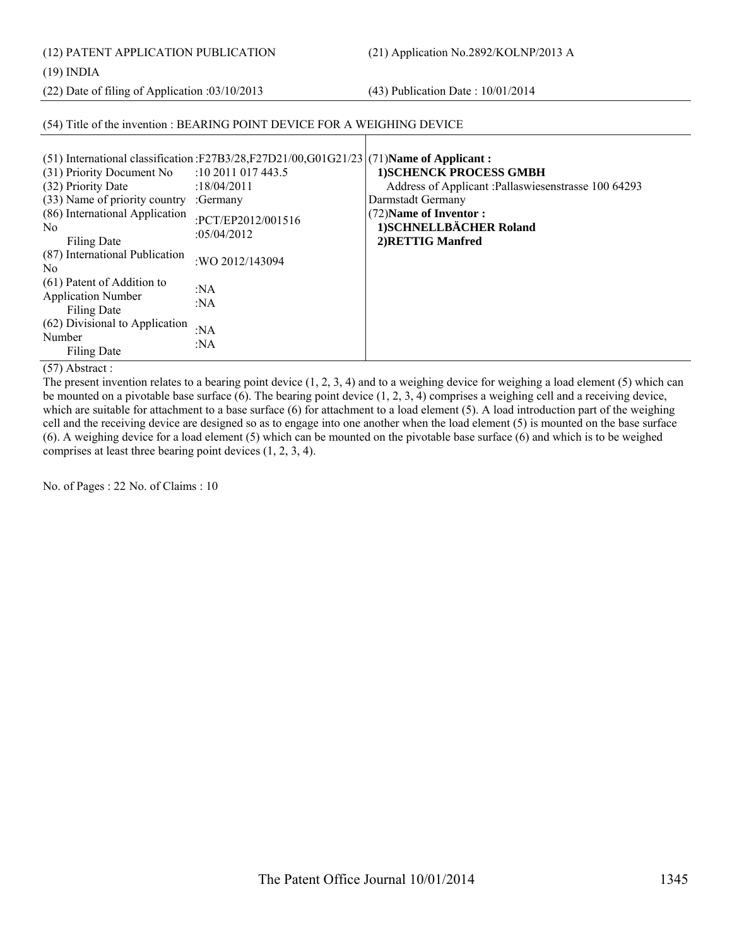(12) PATENT APPLICATION PUBLICATION (21) Application No.2892/KOLNP/2013 A

(19) INDIA

(22) Date of filing of Application :03/10/2013 (43) Publication Date : 10/01/2014

# (54) Title of the invention : BEARING POINT DEVICE FOR A WEIGHING DEVICE

| (51) International classification :F27B3/28,F27D21/00,G01G21/23 $(71)$ Name of Applicant: |                         |                                                      |
|-------------------------------------------------------------------------------------------|-------------------------|------------------------------------------------------|
| (31) Priority Document No                                                                 | $:10\,2011\,017\,443.5$ | <b>1)SCHENCK PROCESS GMBH</b>                        |
| (32) Priority Date                                                                        | :18/04/2011             | Address of Applicant : Pallaswiesenstrasse 100 64293 |
| (33) Name of priority country                                                             | :Germany                | Darmstadt Germany                                    |
| (86) International Application                                                            | :PCT/EP2012/001516      | (72) Name of Inventor :                              |
| N <sub>0</sub>                                                                            | :05/04/2012             | 1) SCHNELLBÄCHER Roland                              |
| Filing Date                                                                               |                         | 2) RETTIG Manfred                                    |
| (87) International Publication<br>N <sub>0</sub>                                          | :WO 2012/143094         |                                                      |
| (61) Patent of Addition to                                                                |                         |                                                      |
| <b>Application Number</b>                                                                 | :NA                     |                                                      |
| <b>Filing Date</b>                                                                        | :NA                     |                                                      |
| (62) Divisional to Application                                                            |                         |                                                      |
| Number                                                                                    | :NA<br>: $NA$           |                                                      |
| Filing Date                                                                               |                         |                                                      |

(57) Abstract :

The present invention relates to a bearing point device (1, 2, 3, 4) and to a weighing device for weighing a load element (5) which can be mounted on a pivotable base surface  $(6)$ . The bearing point device  $(1, 2, 3, 4)$  comprises a weighing cell and a receiving device, which are suitable for attachment to a base surface (6) for attachment to a load element (5). A load introduction part of the weighing cell and the receiving device are designed so as to engage into one another when the load element (5) is mounted on the base surface (6). A weighing device for a load element (5) which can be mounted on the pivotable base surface (6) and which is to be weighed comprises at least three bearing point devices (1, 2, 3, 4).

No. of Pages : 22 No. of Claims : 10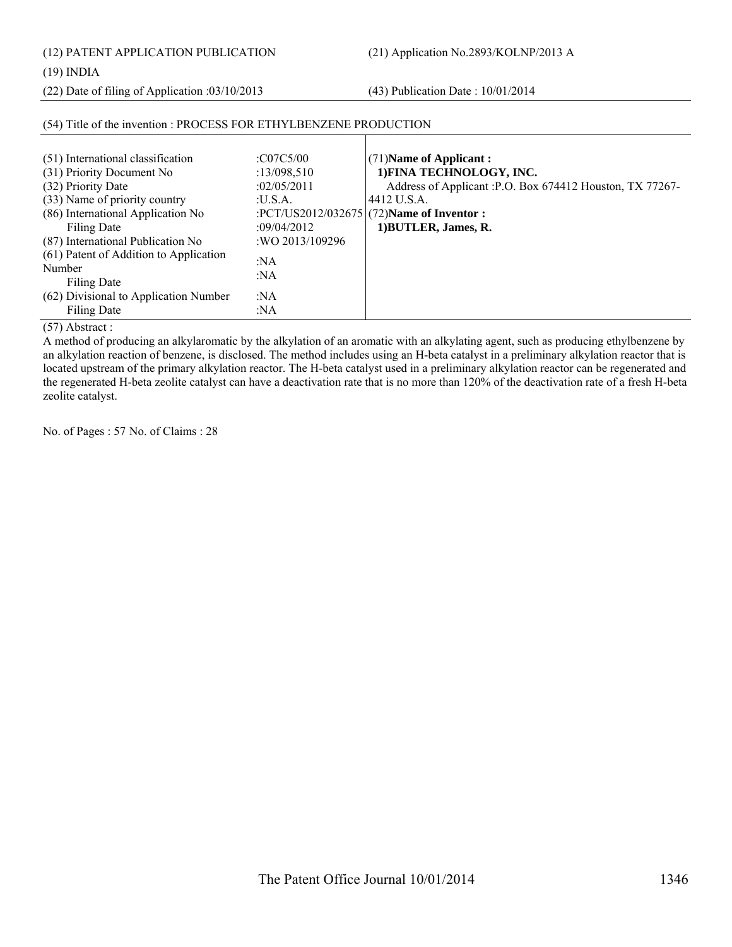(12) PATENT APPLICATION PUBLICATION (21) Application No.2893/KOLNP/2013 A

(19) INDIA

(22) Date of filing of Application :03/10/2013 (43) Publication Date : 10/01/2014

| (51) International classification      | :C07C5/00       | $(71)$ Name of Applicant:                                 |
|----------------------------------------|-----------------|-----------------------------------------------------------|
| (31) Priority Document No              | : $13/098,510$  | 1) FINA TECHNOLOGY, INC.                                  |
| (32) Priority Date                     | :02/05/2011     | Address of Applicant : P.O. Box 674412 Houston, TX 77267- |
| (33) Name of priority country          | :U.S.A.         | 4412 U.S.A.                                               |
| (86) International Application No      |                 | :PCT/US2012/032675 (72)Name of Inventor :                 |
| <b>Filing Date</b>                     | :09/04/2012     | 1) BUTLER, James, R.                                      |
| (87) International Publication No      | :WO 2013/109296 |                                                           |
| (61) Patent of Addition to Application | : $NA$          |                                                           |
| Number                                 | :NA             |                                                           |
| Filing Date                            |                 |                                                           |
| (62) Divisional to Application Number  | :NA             |                                                           |
| <b>Filing Date</b>                     | :NA             |                                                           |

# (54) Title of the invention : PROCESS FOR ETHYLBENZENE PRODUCTION

(57) Abstract :

A method of producing an alkylaromatic by the alkylation of an aromatic with an alkylating agent, such as producing ethylbenzene by an alkylation reaction of benzene, is disclosed. The method includes using an H-beta catalyst in a preliminary alkylation reactor that is located upstream of the primary alkylation reactor. The H-beta catalyst used in a preliminary alkylation reactor can be regenerated and the regenerated H-beta zeolite catalyst can have a deactivation rate that is no more than 120% of the deactivation rate of a fresh H-beta zeolite catalyst.

No. of Pages : 57 No. of Claims : 28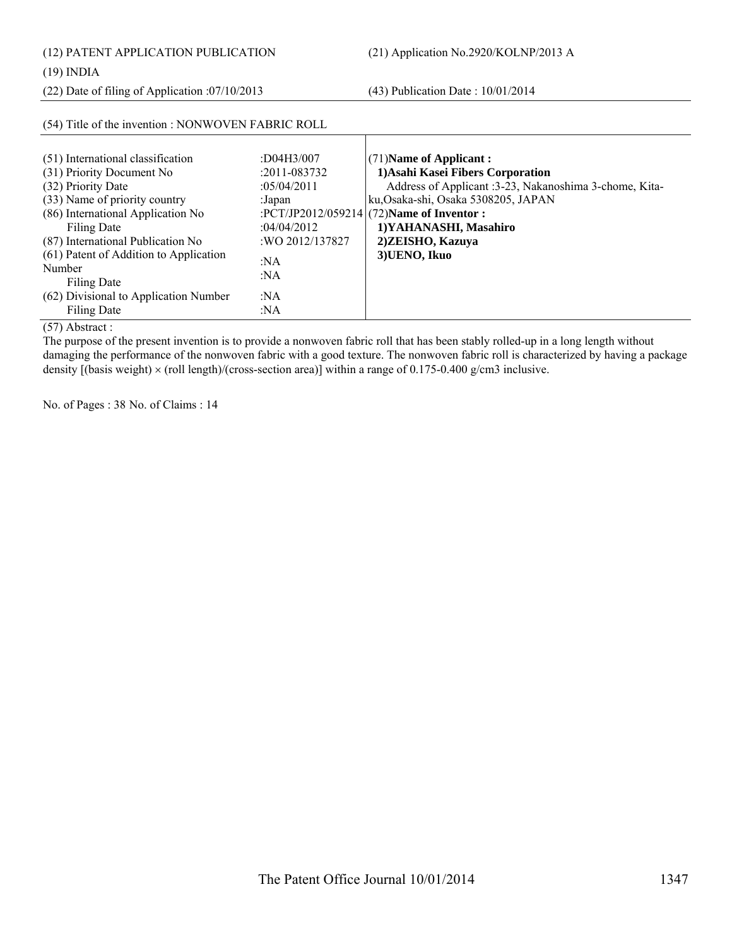(12) PATENT APPLICATION PUBLICATION (21) Application No.2920/KOLNP/2013 A

(22) Date of filing of Application :07/10/2013 (43) Publication Date : 10/01/2014

| (54) Title of the invention : NONWOVEN FABRIC ROLL                                                                                                                                                                                                                                                                                                      |                                                                                                                               |                                                                                                                                                                                                                                                                                 |  |
|---------------------------------------------------------------------------------------------------------------------------------------------------------------------------------------------------------------------------------------------------------------------------------------------------------------------------------------------------------|-------------------------------------------------------------------------------------------------------------------------------|---------------------------------------------------------------------------------------------------------------------------------------------------------------------------------------------------------------------------------------------------------------------------------|--|
| (51) International classification<br>(31) Priority Document No<br>(32) Priority Date<br>(33) Name of priority country<br>(86) International Application No<br><b>Filing Date</b><br>(87) International Publication No<br>(61) Patent of Addition to Application<br>Number<br><b>Filing Date</b><br>(62) Divisional to Application Number<br>Filing Date | : $D04H3/007$<br>$: 2011 - 083732$<br>:05/04/2011<br>:Japan<br>:04/04/2012<br>: WO 2012/137827<br>:NA<br>: $NA$<br>:NA<br>:NA | $(71)$ Name of Applicant:<br>1) Asahi Kasei Fibers Corporation<br>Address of Applicant :3-23, Nakanoshima 3-chome, Kita-<br>ku, Osaka-shi, Osaka 5308205, JAPAN<br>:PCT/JP2012/059214 $(72)$ Name of Inventor :<br>1) YAHANASHI, Masahiro<br>2) ZEISHO, Kazuya<br>3) UENO, Ikuo |  |
|                                                                                                                                                                                                                                                                                                                                                         |                                                                                                                               |                                                                                                                                                                                                                                                                                 |  |

(57) Abstract :

The purpose of the present invention is to provide a nonwoven fabric roll that has been stably rolled-up in a long length without damaging the performance of the nonwoven fabric with a good texture. The nonwoven fabric roll is characterized by having a package density  $[(basis weight) \times (roll length)/(cross-section area)]$  within a range of 0.175-0.400 g/cm3 inclusive.

No. of Pages : 38 No. of Claims : 14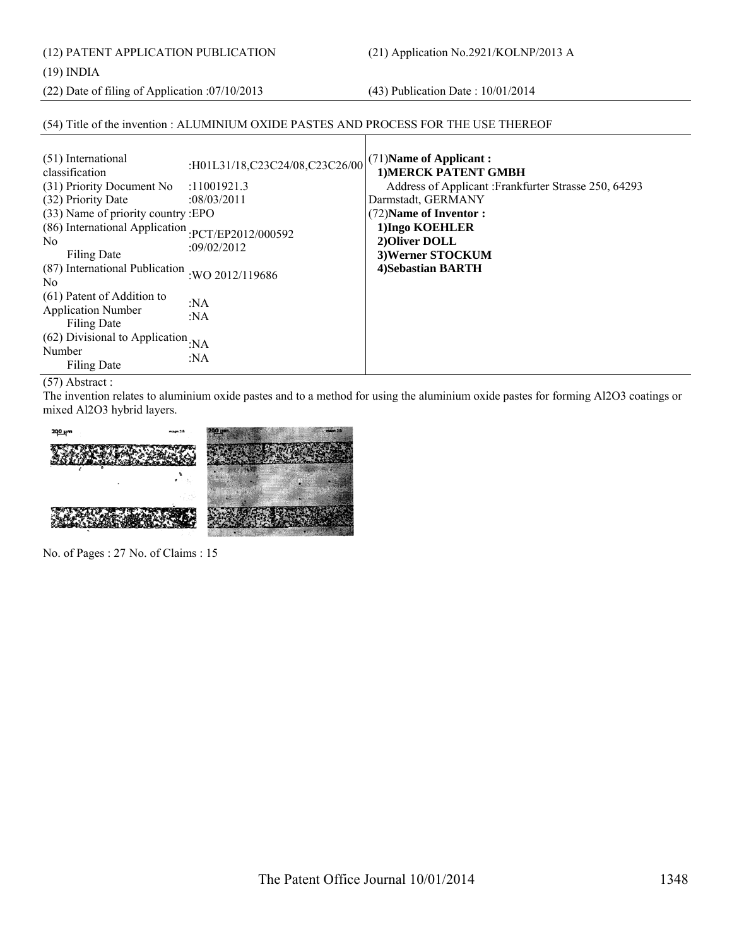(12) PATENT APPLICATION PUBLICATION (21) Application No.2921/KOLNP/2013 A

# (19) INDIA

(22) Date of filing of Application :07/10/2013 (43) Publication Date : 10/01/2014

# (54) Title of the invention : ALUMINIUM OXIDE PASTES AND PROCESS FOR THE USE THEREOF

| (51) International<br>classification<br>(31) Priority Document No<br>(32) Priority Date<br>(33) Name of priority country :EPO<br>(86) International Application : PCT/EP2012/000592<br>N <sub>0</sub> | :H01L31/18,C23C24/08,C23C26/00<br>:11001921.3<br>:08/03/2011<br>:09/02/2012 | $(71)$ Name of Applicant:<br><b>1)MERCK PATENT GMBH</b><br>Address of Applicant: Frankfurter Strasse 250, 64293<br>Darmstadt, GERMANY<br>(72) Name of Inventor:<br>1) Ingo KOEHLER<br>2) Oliver DOLL |
|-------------------------------------------------------------------------------------------------------------------------------------------------------------------------------------------------------|-----------------------------------------------------------------------------|------------------------------------------------------------------------------------------------------------------------------------------------------------------------------------------------------|
| Filing Date<br>(87) International Publication<br>N <sub>0</sub>                                                                                                                                       | :WO 2012/119686                                                             | 3) Werner STOCKUM<br>4) Sebastian BARTH                                                                                                                                                              |
| (61) Patent of Addition to<br><b>Application Number</b><br><b>Filing Date</b>                                                                                                                         | :NA<br>: $NA$                                                               |                                                                                                                                                                                                      |
| (62) Divisional to Application $_{\rm iNA}$<br>Number<br>Filing Date                                                                                                                                  | : $NA$                                                                      |                                                                                                                                                                                                      |

(57) Abstract :

The invention relates to aluminium oxide pastes and to a method for using the aluminium oxide pastes for forming Al2O3 coatings or mixed Al2O3 hybrid layers.



No. of Pages : 27 No. of Claims : 15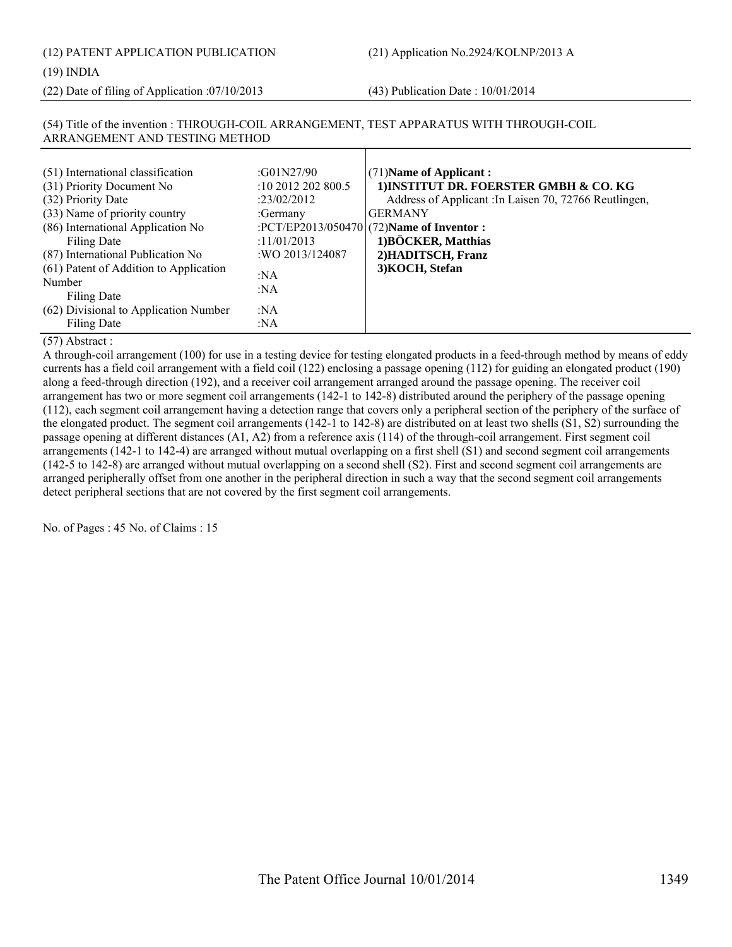(12) PATENT APPLICATION PUBLICATION (21) Application No.2924/KOLNP/2013 A

#### (19) INDIA

(22) Date of filing of Application :07/10/2013 (43) Publication Date : 10/01/2014

| (51) International classification      | :G01N27/90         | $(71)$ Name of Applicant :                             |
|----------------------------------------|--------------------|--------------------------------------------------------|
| (31) Priority Document No              | :10 2012 202 800.5 | 1) INSTITUT DR. FOERSTER GMBH & CO. KG                 |
| (32) Priority Date                     | :23/02/2012        | Address of Applicant : In Laisen 70, 72766 Reutlingen, |
| (33) Name of priority country          | :Germany           | <b>GERMANY</b>                                         |
| (86) International Application No      |                    | :PCT/EP2013/050470 $(72)$ Name of Inventor :           |
| Filing Date                            | :11/01/2013        | 1) BÖCKER, Matthias                                    |
| (87) International Publication No      | : WO 2013/124087   | 2) HADITSCH, Franz                                     |
| (61) Patent of Addition to Application | :NA                | 3) KOCH, Stefan                                        |
| Number                                 | :NA                |                                                        |
| Filing Date                            |                    |                                                        |
| (62) Divisional to Application Number  | :NA                |                                                        |
| Filing Date                            | :NA                |                                                        |

# (54) Title of the invention : THROUGH-COIL ARRANGEMENT, TEST APPARATUS WITH THROUGH-COIL ARRANGEMENT AND TESTING METHOD

# (57) Abstract :

A through-coil arrangement (100) for use in a testing device for testing elongated products in a feed-through method by means of eddy currents has a field coil arrangement with a field coil (122) enclosing a passage opening (112) for guiding an elongated product (190) along a feed-through direction (192), and a receiver coil arrangement arranged around the passage opening. The receiver coil arrangement has two or more segment coil arrangements (142-1 to 142-8) distributed around the periphery of the passage opening (112), each segment coil arrangement having a detection range that covers only a peripheral section of the periphery of the surface of the elongated product. The segment coil arrangements (142-1 to 142-8) are distributed on at least two shells (S1, S2) surrounding the passage opening at different distances (A1, A2) from a reference axis (114) of the through-coil arrangement. First segment coil arrangements (142-1 to 142-4) are arranged without mutual overlapping on a first shell (S1) and second segment coil arrangements (142-5 to 142-8) are arranged without mutual overlapping on a second shell (S2). First and second segment coil arrangements are arranged peripherally offset from one another in the peripheral direction in such a way that the second segment coil arrangements detect peripheral sections that are not covered by the first segment coil arrangements.

No. of Pages : 45 No. of Claims : 15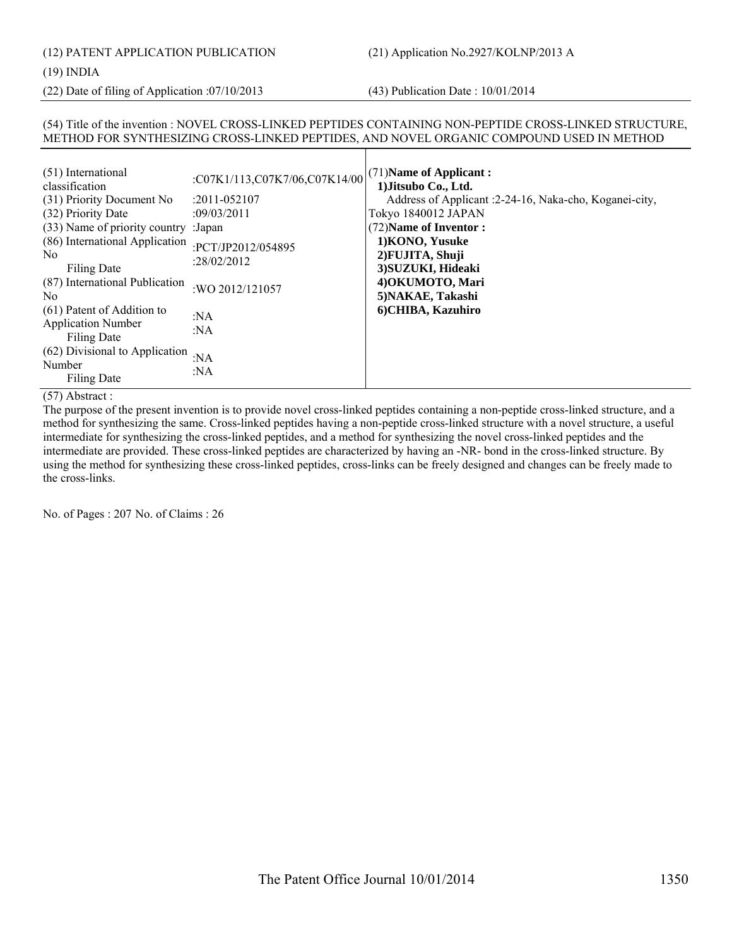# (19) INDIA

(22) Date of filing of Application :07/10/2013 (43) Publication Date : 10/01/2014

# (54) Title of the invention : NOVEL CROSS-LINKED PEPTIDES CONTAINING NON-PEPTIDE CROSS-LINKED STRUCTURE, METHOD FOR SYNTHESIZING CROSS-LINKED PEPTIDES, AND NOVEL ORGANIC COMPOUND USED IN METHOD

| (51) International<br>classification<br>(31) Priority Document No<br>(32) Priority Date<br>(33) Name of priority country : Japan<br>(86) International Application<br>N <sub>0</sub><br>Filing Date<br>(87) International Publication<br>N <sub>0</sub> | :C07K1/113,C07K7/06,C07K14/00<br>$: 2011 - 052107$<br>:09/03/2011<br>:PCT/JP2012/054895<br>:28/02/2012<br>:WO 2012/121057 | $(71)$ Name of Applicant:<br>1) Jitsubo Co., Ltd.<br>Address of Applicant :2-24-16, Naka-cho, Koganei-city,<br>Tokyo 1840012 JAPAN<br>(72) Name of Inventor:<br>1) KONO, Yusuke<br>2) FUJITA, Shuji<br>3) SUZUKI, Hideaki<br>4) OKUMOTO, Mari<br>5) NAKAE, Takashi |
|---------------------------------------------------------------------------------------------------------------------------------------------------------------------------------------------------------------------------------------------------------|---------------------------------------------------------------------------------------------------------------------------|--------------------------------------------------------------------------------------------------------------------------------------------------------------------------------------------------------------------------------------------------------------------|
| (61) Patent of Addition to<br><b>Application Number</b><br>Filing Date<br>(62) Divisional to Application<br>Number<br>Filing Date                                                                                                                       | :NA<br>:NA<br>: $NA$<br>:NA                                                                                               | 6) CHIBA, Kazuhiro                                                                                                                                                                                                                                                 |

# (57) Abstract :

The purpose of the present invention is to provide novel cross-linked peptides containing a non-peptide cross-linked structure, and a method for synthesizing the same. Cross-linked peptides having a non-peptide cross-linked structure with a novel structure, a useful intermediate for synthesizing the cross-linked peptides, and a method for synthesizing the novel cross-linked peptides and the intermediate are provided. These cross-linked peptides are characterized by having an -NR- bond in the cross-linked structure. By using the method for synthesizing these cross-linked peptides, cross-links can be freely designed and changes can be freely made to the cross-links.

No. of Pages : 207 No. of Claims : 26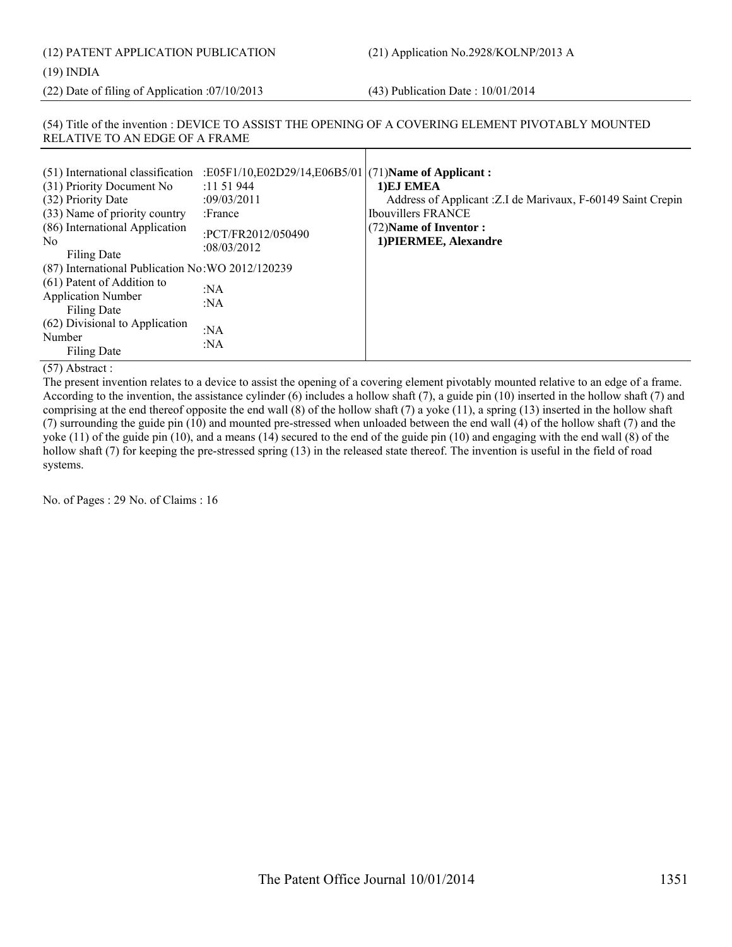# (12) PATENT APPLICATION PUBLICATION (21) Application No.2928/KOLNP/2013 A (19) INDIA

(22) Date of filing of Application :07/10/2013 (43) Publication Date : 10/01/2014

#### (54) Title of the invention : DEVICE TO ASSIST THE OPENING OF A COVERING ELEMENT PIVOTABLY MOUNTED RELATIVE TO AN EDGE OF A FRAME

| :E05F1/10,E02D29/14,E06B5/01 (71)Name of Applicant:<br>(51) International classification<br>(31) Priority Document No<br>:11 51 944<br>(32) Priority Date<br>:09/03/2011<br>(33) Name of priority country<br>:France<br>(86) International Application<br>:PCT/FR2012/050490<br>N <sub>0</sub><br>:08/03/2012<br>Filing Date<br>(87) International Publication No: WO 2012/120239<br>(61) Patent of Addition to<br>:NA<br><b>Application Number</b><br>:NA<br>Filing Date<br>(62) Divisional to Application<br>:NA<br>Number<br>:NA<br>Filing Date | 1) EJ EMEA<br>Address of Applicant : Z.I de Marivaux, F-60149 Saint Crepin<br><b>Ibouvillers FRANCE</b><br>(72) Name of Inventor:<br>1) PIERMEE, Alexandre |
|----------------------------------------------------------------------------------------------------------------------------------------------------------------------------------------------------------------------------------------------------------------------------------------------------------------------------------------------------------------------------------------------------------------------------------------------------------------------------------------------------------------------------------------------------|------------------------------------------------------------------------------------------------------------------------------------------------------------|
|----------------------------------------------------------------------------------------------------------------------------------------------------------------------------------------------------------------------------------------------------------------------------------------------------------------------------------------------------------------------------------------------------------------------------------------------------------------------------------------------------------------------------------------------------|------------------------------------------------------------------------------------------------------------------------------------------------------------|

(57) Abstract :

The present invention relates to a device to assist the opening of a covering element pivotably mounted relative to an edge of a frame. According to the invention, the assistance cylinder (6) includes a hollow shaft (7), a guide pin (10) inserted in the hollow shaft (7) and comprising at the end thereof opposite the end wall (8) of the hollow shaft (7) a yoke (11), a spring (13) inserted in the hollow shaft (7) surrounding the guide pin (10) and mounted pre-stressed when unloaded between the end wall (4) of the hollow shaft (7) and the yoke (11) of the guide pin (10), and a means (14) secured to the end of the guide pin (10) and engaging with the end wall (8) of the hollow shaft (7) for keeping the pre-stressed spring (13) in the released state thereof. The invention is useful in the field of road systems.

No. of Pages : 29 No. of Claims : 16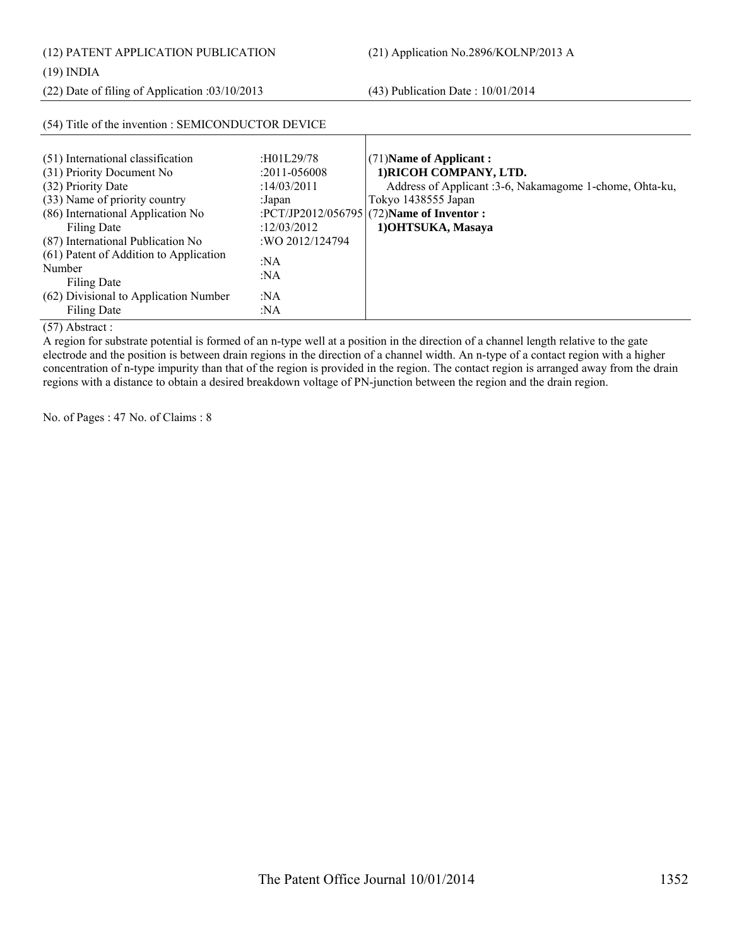(12) PATENT APPLICATION PUBLICATION (21) Application No.2896/KOLNP/2013 A

(22) Date of filing of Application :03/10/2013 (43) Publication Date : 10/01/2014

## (54) Title of the invention : SEMICONDUCTOR DEVICE

| (51) International classification      | :H01L29/78       | $(71)$ Name of Applicant:                               |
|----------------------------------------|------------------|---------------------------------------------------------|
| (31) Priority Document No              | $:2011 - 056008$ | 1) RICOH COMPANY, LTD.                                  |
| (32) Priority Date                     | :14/03/2011      | Address of Applicant :3-6, Nakamagome 1-chome, Ohta-ku, |
| (33) Name of priority country          | :Japan           | Tokyo 1438555 Japan                                     |
| (86) International Application No      |                  | :PCT/JP2012/056795 (72)Name of Inventor :               |
| Filing Date                            | :12/03/2012      | 1) OHTSUKA, Masaya                                      |
| (87) International Publication No      | :WO 2012/124794  |                                                         |
| (61) Patent of Addition to Application | :NA              |                                                         |
| Number                                 | : $NA$           |                                                         |
| Filing Date                            |                  |                                                         |
| (62) Divisional to Application Number  | :NA              |                                                         |
| <b>Filing Date</b>                     | :NA              |                                                         |

(57) Abstract :

A region for substrate potential is formed of an n-type well at a position in the direction of a channel length relative to the gate electrode and the position is between drain regions in the direction of a channel width. An n-type of a contact region with a higher concentration of n-type impurity than that of the region is provided in the region. The contact region is arranged away from the drain regions with a distance to obtain a desired breakdown voltage of PN-junction between the region and the drain region.

No. of Pages : 47 No. of Claims : 8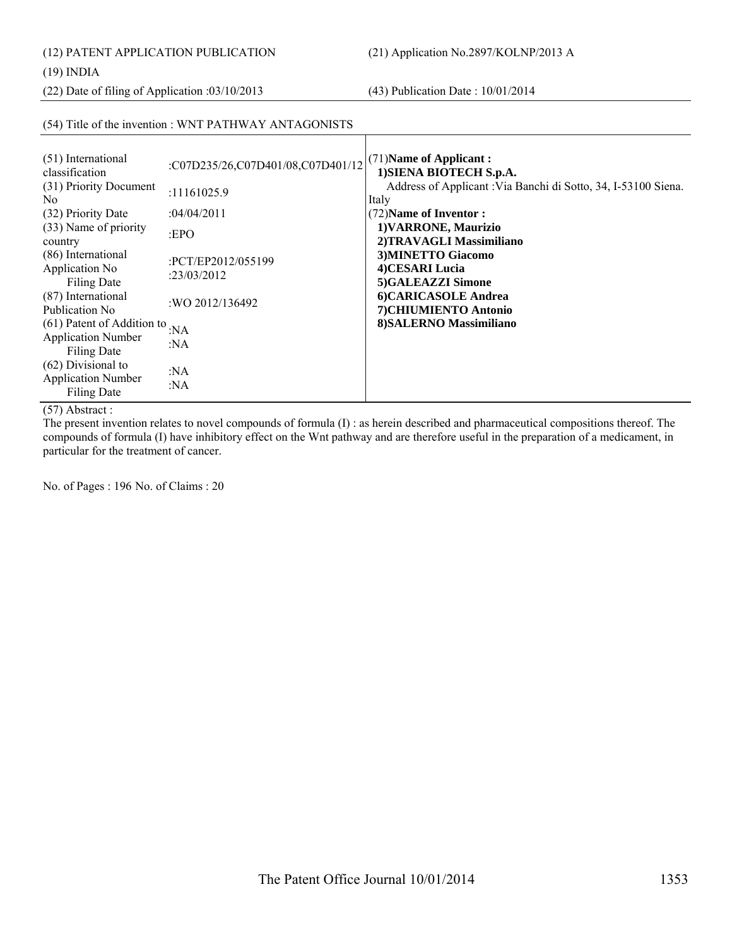(12) PATENT APPLICATION PUBLICATION (21) Application No.2897/KOLNP/2013 A

#### (19) INDIA

(22) Date of filing of Application :03/10/2013 (43) Publication Date : 10/01/2014

#### (54) Title of the invention : WNT PATHWAY ANTAGONISTS

| (51) International<br>:C07D235/26,C07D401/08,C07D401/12<br>classification<br>(31) Priority Document<br>:11161025.9<br>N <sub>0</sub><br>(32) Priority Date<br>:04/04/2011<br>(33) Name of priority<br>EPO<br>country<br>(86) International<br>:PCT/EP2012/055199<br>Application No<br>:23/03/2012<br>Filing Date<br>(87) International<br>:WO 2012/136492<br>Publication No.<br>(61) Patent of Addition to<br>: $NA$<br><b>Application Number</b><br>: $NA$<br><b>Filing Date</b><br>(62) Divisional to<br>:NA<br><b>Application Number</b><br>:NA<br><b>Filing Date</b> | (71) Name of Applicant:<br>1) SIENA BIOTECH S.p.A.<br>Address of Applicant : Via Banchi di Sotto, 34, I-53100 Siena.<br>Italy<br>(72) Name of Inventor:<br>1) VARRONE, Maurizio<br>2)TRAVAGLI Massimiliano<br>3) MINETTO Giacomo<br>4)CESARI Lucia<br>5)GALEAZZI Simone<br>6)CARICASOLE Andrea<br>7) CHIUMIENTO Antonio<br>8) SALERNO Massimiliano |
|--------------------------------------------------------------------------------------------------------------------------------------------------------------------------------------------------------------------------------------------------------------------------------------------------------------------------------------------------------------------------------------------------------------------------------------------------------------------------------------------------------------------------------------------------------------------------|----------------------------------------------------------------------------------------------------------------------------------------------------------------------------------------------------------------------------------------------------------------------------------------------------------------------------------------------------|
|--------------------------------------------------------------------------------------------------------------------------------------------------------------------------------------------------------------------------------------------------------------------------------------------------------------------------------------------------------------------------------------------------------------------------------------------------------------------------------------------------------------------------------------------------------------------------|----------------------------------------------------------------------------------------------------------------------------------------------------------------------------------------------------------------------------------------------------------------------------------------------------------------------------------------------------|

(57) Abstract :

The present invention relates to novel compounds of formula (I) : as herein described and pharmaceutical compositions thereof. The compounds of formula (I) have inhibitory effect on the Wnt pathway and are therefore useful in the preparation of a medicament, in particular for the treatment of cancer.

No. of Pages : 196 No. of Claims : 20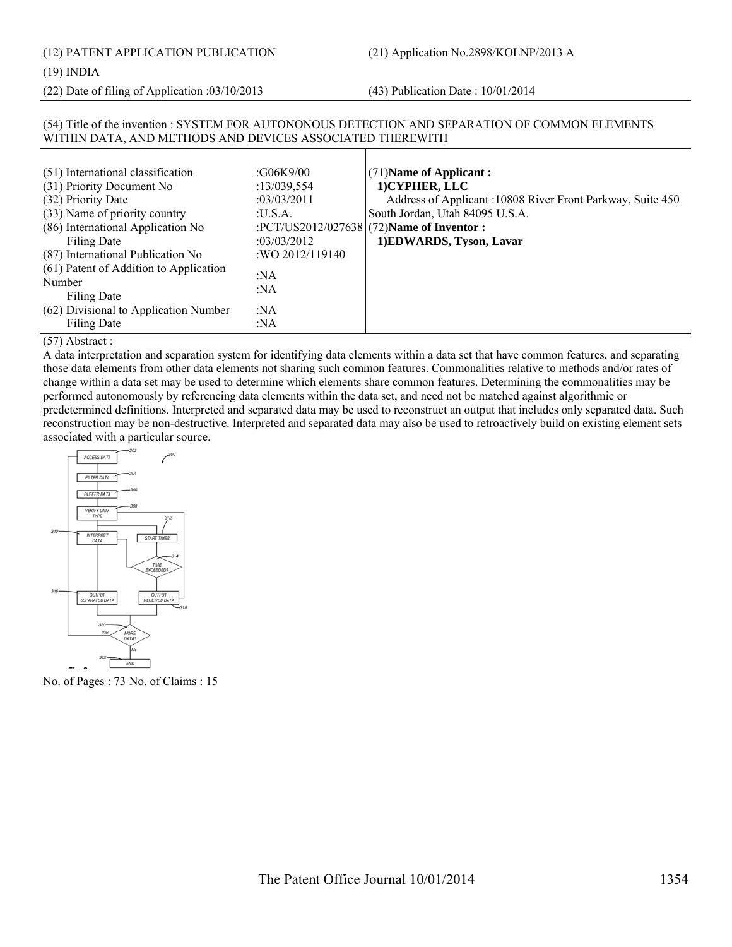## (12) PATENT APPLICATION PUBLICATION (21) Application No.2898/KOLNP/2013 A

#### (19) INDIA

(22) Date of filing of Application :03/10/2013 (43) Publication Date : 10/01/2014

WITHIN DATA, AND METHODS AND DEVICES ASSOCIATED THEREWITH

#### (51) International classification :G06K9/00 (31) Priority Document No :13/039,554 (32) Priority Date :03/03/2011 (33) Name of priority country :U.S.A. (86) International Application No Filing Date :PCT/US2012/027638 :03/03/2012 (87) International Publication No :WO 2012/119140 (61) Patent of Addition to Application Number Filing Date :NA :NA (62) Divisional to Application Number Filing Date :NA :NA (71)**Name of Applicant : 1)CYPHER, LLC** Address of Applicant :10808 River Front Parkway, Suite 450 South Jordan, Utah 84095 U.S.A. (72)**Name of Inventor : 1)EDWARDS, Tyson, Lavar**

(54) Title of the invention : SYSTEM FOR AUTONONOUS DETECTION AND SEPARATION OF COMMON ELEMENTS

### (57) Abstract :

A data interpretation and separation system for identifying data elements within a data set that have common features, and separating those data elements from other data elements not sharing such common features. Commonalities relative to methods and/or rates of change within a data set may be used to determine which elements share common features. Determining the commonalities may be performed autonomously by referencing data elements within the data set, and need not be matched against algorithmic or predetermined definitions. Interpreted and separated data may be used to reconstruct an output that includes only separated data. Such reconstruction may be non-destructive. Interpreted and separated data may also be used to retroactively build on existing element sets associated with a particular source.



No. of Pages : 73 No. of Claims : 15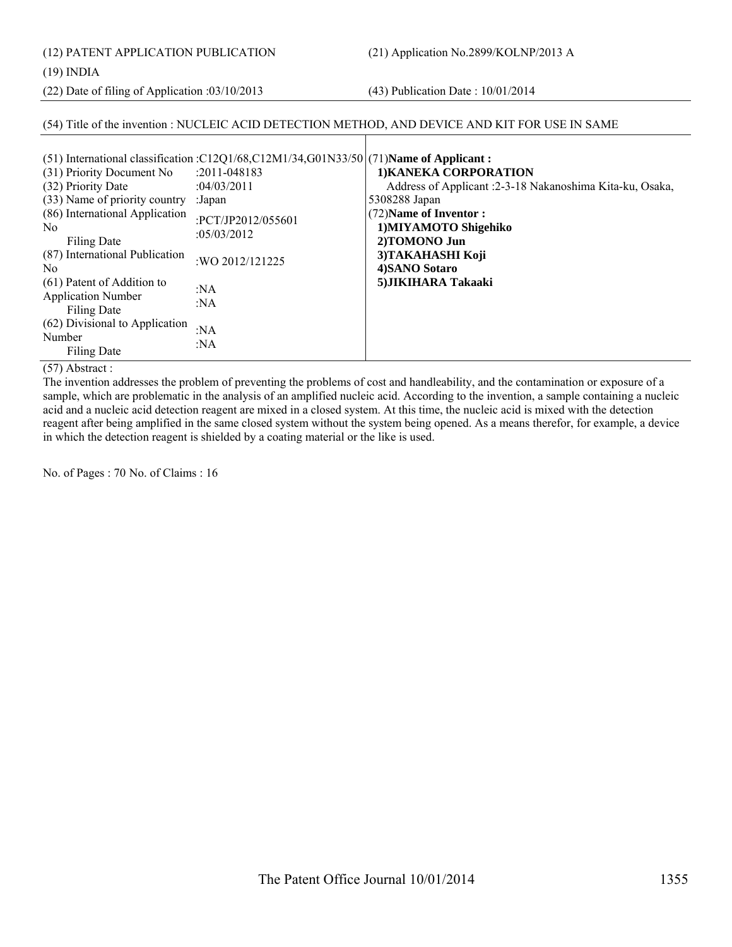(12) PATENT APPLICATION PUBLICATION (21) Application No.2899/KOLNP/2013 A

(19) INDIA

(22) Date of filing of Application :03/10/2013 (43) Publication Date : 10/01/2014

#### (54) Title of the invention : NUCLEIC ACID DETECTION METHOD, AND DEVICE AND KIT FOR USE IN SAME

| (31) Priority Document No                                              | (51) International classification : $C12Q1/68$ , $C12M1/34$ , $G01N33/50$ $(71)$ Name of Applicant:<br>$: 2011 - 048183$ | 1) KANEKA CORPORATION                                                     |
|------------------------------------------------------------------------|--------------------------------------------------------------------------------------------------------------------------|---------------------------------------------------------------------------|
| (32) Priority Date<br>(33) Name of priority country                    | :04/03/2011<br>:Japan                                                                                                    | Address of Applicant :2-3-18 Nakanoshima Kita-ku, Osaka,<br>5308288 Japan |
| (86) International Application<br>N <sub>0</sub><br>Filing Date        | :PCT/JP2012/055601<br>:05/03/2012                                                                                        | (72) Name of Inventor:<br>1) MIYAMOTO Shigehiko<br>2)TOMONO Jun           |
| (87) International Publication<br>N <sub>0</sub>                       | :WO 2012/121225                                                                                                          | 3) TAKAHASHI Koji<br>4) SANO Sotaro                                       |
| (61) Patent of Addition to<br><b>Application Number</b><br>Filing Date | : $NA$<br>:NA                                                                                                            | 5) JIKIHARA Takaaki                                                       |
| (62) Divisional to Application<br>Number<br><b>Filing Date</b>         | :NA<br>: $NA$                                                                                                            |                                                                           |

(57) Abstract :

The invention addresses the problem of preventing the problems of cost and handleability, and the contamination or exposure of a sample, which are problematic in the analysis of an amplified nucleic acid. According to the invention, a sample containing a nucleic acid and a nucleic acid detection reagent are mixed in a closed system. At this time, the nucleic acid is mixed with the detection reagent after being amplified in the same closed system without the system being opened. As a means therefor, for example, a device in which the detection reagent is shielded by a coating material or the like is used.

No. of Pages : 70 No. of Claims : 16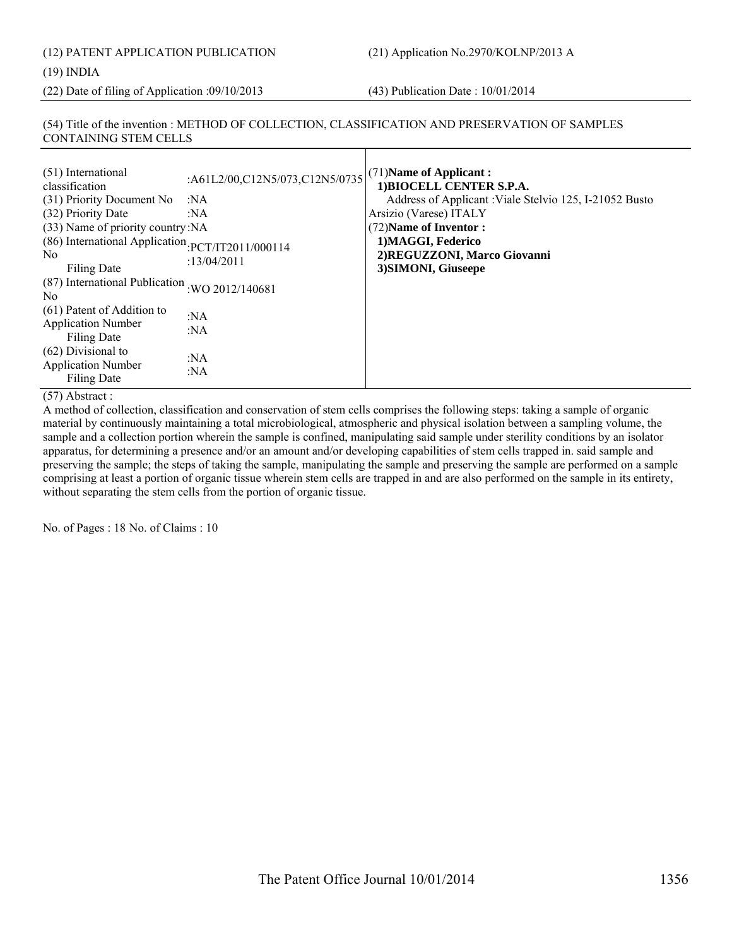(22) Date of filing of Application :09/10/2013 (43) Publication Date : 10/01/2014

#### (54) Title of the invention : METHOD OF COLLECTION, CLASSIFICATION AND PRESERVATION OF SAMPLES CONTAINING STEM CELLS

| (51) International<br>classification<br>(31) Priority Document No<br>(32) Priority Date                                       | :A61L2/00,C12N5/073,C12N5/0735<br>:NA<br>:NA | (71) Name of Applicant:<br>1) BIOCELL CENTER S.P.A.<br>Address of Applicant : Viale Stelvio 125, I-21052 Busto<br>Arsizio (Varese) ITALY |
|-------------------------------------------------------------------------------------------------------------------------------|----------------------------------------------|------------------------------------------------------------------------------------------------------------------------------------------|
| (33) Name of priority country: NA<br>(86) International Application PCT/IT2011/000114<br>N <sub>0</sub><br><b>Filing Date</b> | :13/04/2011                                  | (72) Name of Inventor:<br>1) MAGGI, Federico<br>2) REGUZZONI, Marco Giovanni<br>3) SIMONI, Giuseepe                                      |
| (87) International Publication<br>N <sub>0</sub>                                                                              | :WO 2012/140681                              |                                                                                                                                          |
| (61) Patent of Addition to<br><b>Application Number</b><br>Filing Date                                                        | :NA<br>: $NA$                                |                                                                                                                                          |
| $(62)$ Divisional to<br><b>Application Number</b><br>Filing Date                                                              | : $NA$<br>: $NA$                             |                                                                                                                                          |

#### (57) Abstract :

A method of collection, classification and conservation of stem cells comprises the following steps: taking a sample of organic material by continuously maintaining a total microbiological, atmospheric and physical isolation between a sampling volume, the sample and a collection portion wherein the sample is confined, manipulating said sample under sterility conditions by an isolator apparatus, for determining a presence and/or an amount and/or developing capabilities of stem cells trapped in. said sample and preserving the sample; the steps of taking the sample, manipulating the sample and preserving the sample are performed on a sample comprising at least a portion of organic tissue wherein stem cells are trapped in and are also performed on the sample in its entirety, without separating the stem cells from the portion of organic tissue.

No. of Pages : 18 No. of Claims : 10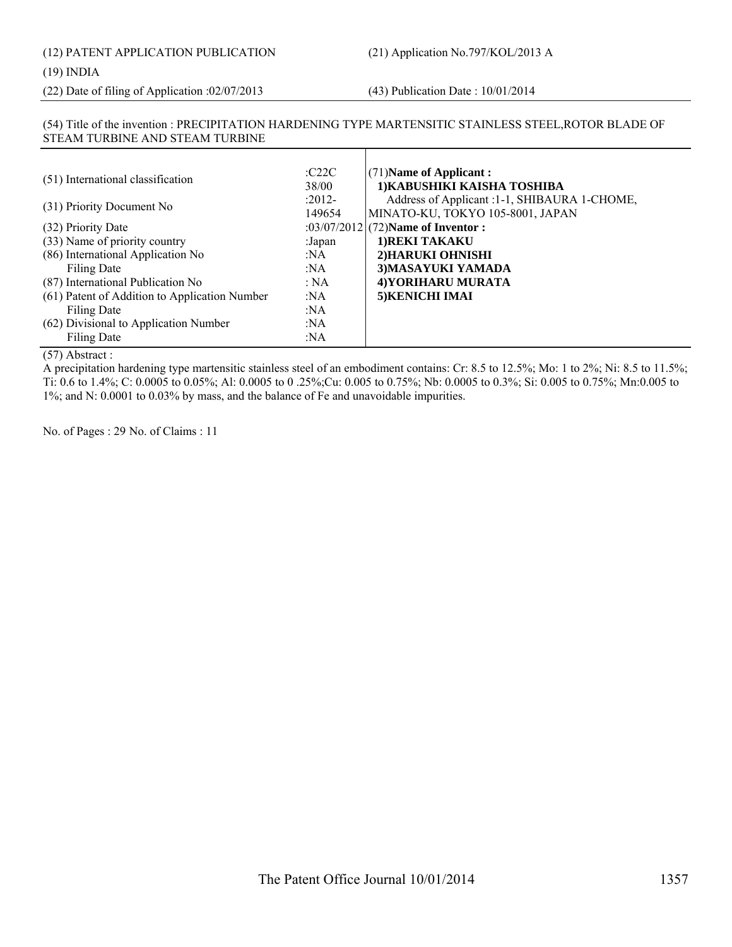(22) Date of filing of Application :02/07/2013 (43) Publication Date : 10/01/2014

#### (54) Title of the invention : PRECIPITATION HARDENING TYPE MARTENSITIC STAINLESS STEEL,ROTOR BLADE OF STEAM TURBINE AND STEAM TURBINE

| (51) International classification             | C22C<br>38/00      | $(71)$ Name of Applicant:<br>1) KABUSHIKI KAISHA TOSHIBA                          |
|-----------------------------------------------|--------------------|-----------------------------------------------------------------------------------|
| (31) Priority Document No                     | $:2012-$<br>149654 | Address of Applicant : 1-1, SHIBAURA 1-CHOME,<br>MINATO-KU, TOKYO 105-8001, JAPAN |
| (32) Priority Date                            |                    | :03/07/2012 (72) Name of Inventor :                                               |
| (33) Name of priority country                 | :Japan             | 1) REKI TAKAKU                                                                    |
| (86) International Application No             | :NA                | 2) HARUKI OHNISHI                                                                 |
| Filing Date                                   | :NA                | 3) MASAYUKI YAMADA                                                                |
| (87) International Publication No             | : NA               | 4) YORIHARU MURATA                                                                |
| (61) Patent of Addition to Application Number | :NA                | 5) KENICHI IMAI                                                                   |
| Filing Date                                   | :NA                |                                                                                   |
| (62) Divisional to Application Number         | :NA                |                                                                                   |
| Filing Date                                   | :NA                |                                                                                   |

#### (57) Abstract :

A precipitation hardening type martensitic stainless steel of an embodiment contains: Cr: 8.5 to 12.5%; Mo: 1 to 2%; Ni: 8.5 to 11.5%; Ti: 0.6 to 1.4%; C: 0.0005 to 0.05%; Al: 0.0005 to 0 .25%;Cu: 0.005 to 0.75%; Nb: 0.0005 to 0.3%; Si: 0.005 to 0.75%; Mn:0.005 to 1%; and N: 0.0001 to 0.03% by mass, and the balance of Fe and unavoidable impurities.

No. of Pages : 29 No. of Claims : 11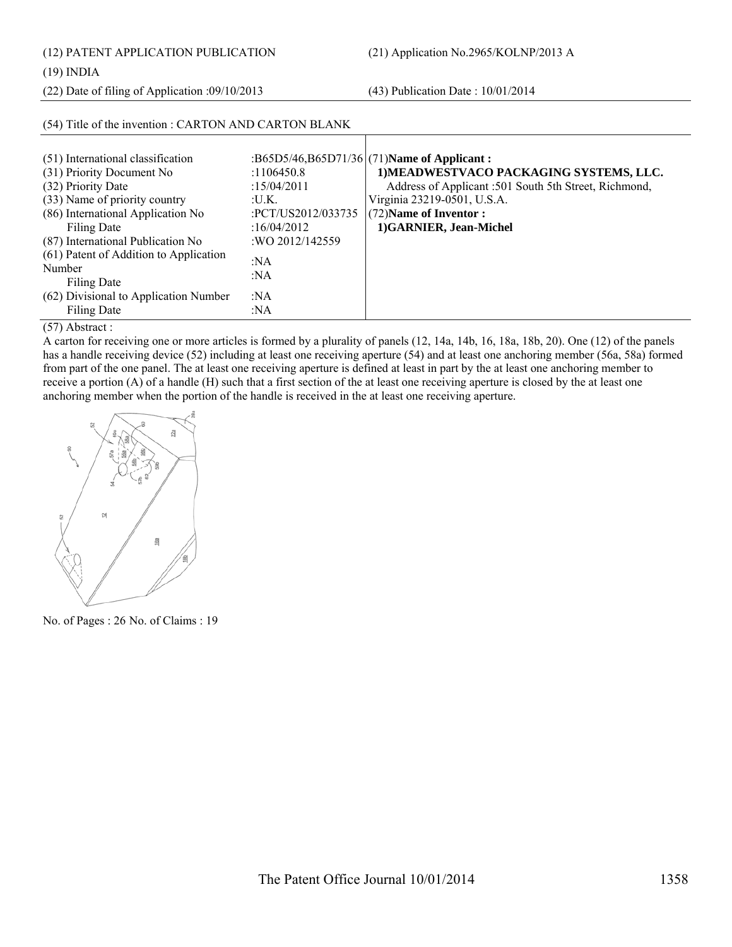(12) PATENT APPLICATION PUBLICATION (21) Application No.2965/KOLNP/2013 A

(19) INDIA

(22) Date of filing of Application :09/10/2013 (43) Publication Date : 10/01/2014

| (54) Title of the invention : CARTON AND CARTON BLANK |                    |                                                       |  |
|-------------------------------------------------------|--------------------|-------------------------------------------------------|--|
|                                                       |                    |                                                       |  |
| (51) International classification                     |                    | :B65D5/46,B65D71/36 (71)Name of Applicant:            |  |
| (31) Priority Document No                             | :1106450.8         | 1) MEADWESTVACO PACKAGING SYSTEMS, LLC.               |  |
| (32) Priority Date                                    | :15/04/2011        | Address of Applicant :501 South 5th Street, Richmond, |  |
| (33) Name of priority country                         | :U.K.              | Virginia 23219-0501, U.S.A.                           |  |
| (86) International Application No                     | :PCT/US2012/033735 | (72) Name of Inventor:                                |  |
| Filing Date                                           | :16/04/2012        | 1)GARNIER, Jean-Michel                                |  |
| (87) International Publication No                     | :WO 2012/142559    |                                                       |  |
| (61) Patent of Addition to Application                | :NA                |                                                       |  |
| Number                                                | :NA                |                                                       |  |
| Filing Date                                           |                    |                                                       |  |
| (62) Divisional to Application Number                 | : $NA$             |                                                       |  |
| <b>Filing Date</b>                                    | :NA                |                                                       |  |

(57) Abstract :

A carton for receiving one or more articles is formed by a plurality of panels (12, 14a, 14b, 16, 18a, 18b, 20). One (12) of the panels has a handle receiving device (52) including at least one receiving aperture (54) and at least one anchoring member (56a, 58a) formed from part of the one panel. The at least one receiving aperture is defined at least in part by the at least one anchoring member to receive a portion (A) of a handle (H) such that a first section of the at least one receiving aperture is closed by the at least one anchoring member when the portion of the handle is received in the at least one receiving aperture.



No. of Pages : 26 No. of Claims : 19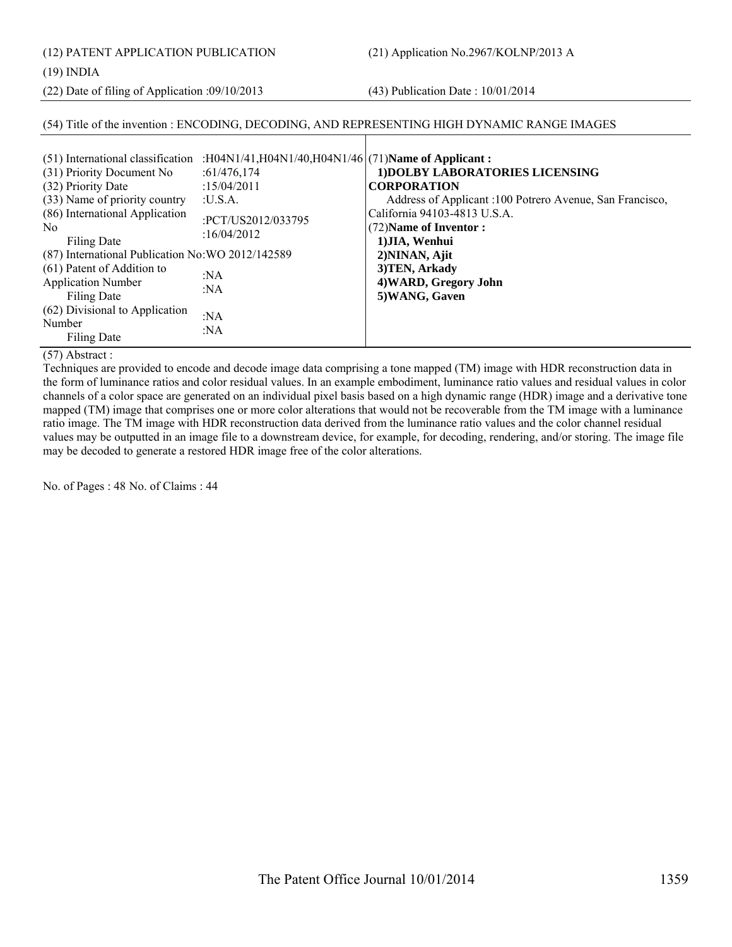(12) PATENT APPLICATION PUBLICATION (21) Application No.2967/KOLNP/2013 A

(19) INDIA

(22) Date of filing of Application :09/10/2013 (43) Publication Date : 10/01/2014

#### (54) Title of the invention : ENCODING, DECODING, AND REPRESENTING HIGH DYNAMIC RANGE IMAGES

#### (57) Abstract :

Techniques are provided to encode and decode image data comprising a tone mapped (TM) image with HDR reconstruction data in the form of luminance ratios and color residual values. In an example embodiment, luminance ratio values and residual values in color channels of a color space are generated on an individual pixel basis based on a high dynamic range (HDR) image and a derivative tone mapped (TM) image that comprises one or more color alterations that would not be recoverable from the TM image with a luminance ratio image. The TM image with HDR reconstruction data derived from the luminance ratio values and the color channel residual values may be outputted in an image file to a downstream device, for example, for decoding, rendering, and/or storing. The image file may be decoded to generate a restored HDR image free of the color alterations.

No. of Pages : 48 No. of Claims : 44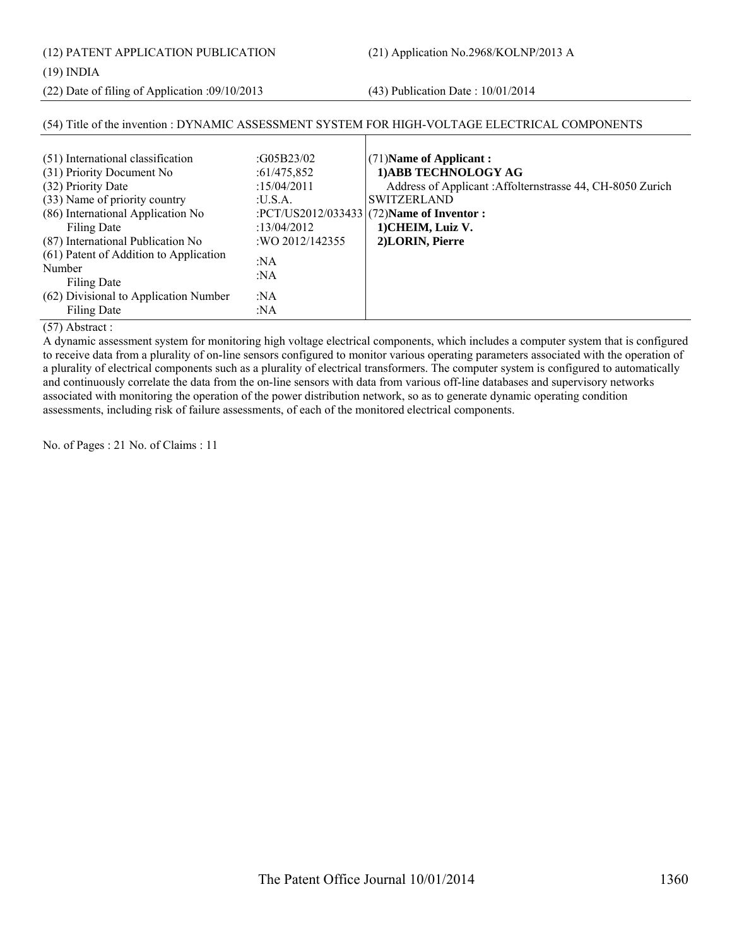(12) PATENT APPLICATION PUBLICATION (21) Application No.2968/KOLNP/2013 A

#### (19) INDIA

(22) Date of filing of Application :09/10/2013 (43) Publication Date : 10/01/2014

#### (54) Title of the invention : DYNAMIC ASSESSMENT SYSTEM FOR HIGH-VOLTAGE ELECTRICAL COMPONENTS (51) International classification :G05B23/02 (31) Priority Document No :61/475,852 (32) Priority Date :15/04/2011 (33) Name of priority country :U.S.A. (86) International Application No Filing Date :PCT/US2012/033433 :13/04/2012 (87) International Publication No :WO 2012/142355 (61) Patent of Addition to Application Number Filing Date :NA :NA (62) Divisional to Application Number Filing Date :NA :NA (71)**Name of Applicant : 1)ABB TECHNOLOGY AG** Address of Applicant :Affolternstrasse 44, CH-8050 Zurich SWITZERLAND (72)**Name of Inventor : 1)CHEIM, Luiz V. 2)LORIN, Pierre**

#### (57) Abstract :

A dynamic assessment system for monitoring high voltage electrical components, which includes a computer system that is configured to receive data from a plurality of on-line sensors configured to monitor various operating parameters associated with the operation of a plurality of electrical components such as a plurality of electrical transformers. The computer system is configured to automatically and continuously correlate the data from the on-line sensors with data from various off-line databases and supervisory networks associated with monitoring the operation of the power distribution network, so as to generate dynamic operating condition assessments, including risk of failure assessments, of each of the monitored electrical components.

No. of Pages : 21 No. of Claims : 11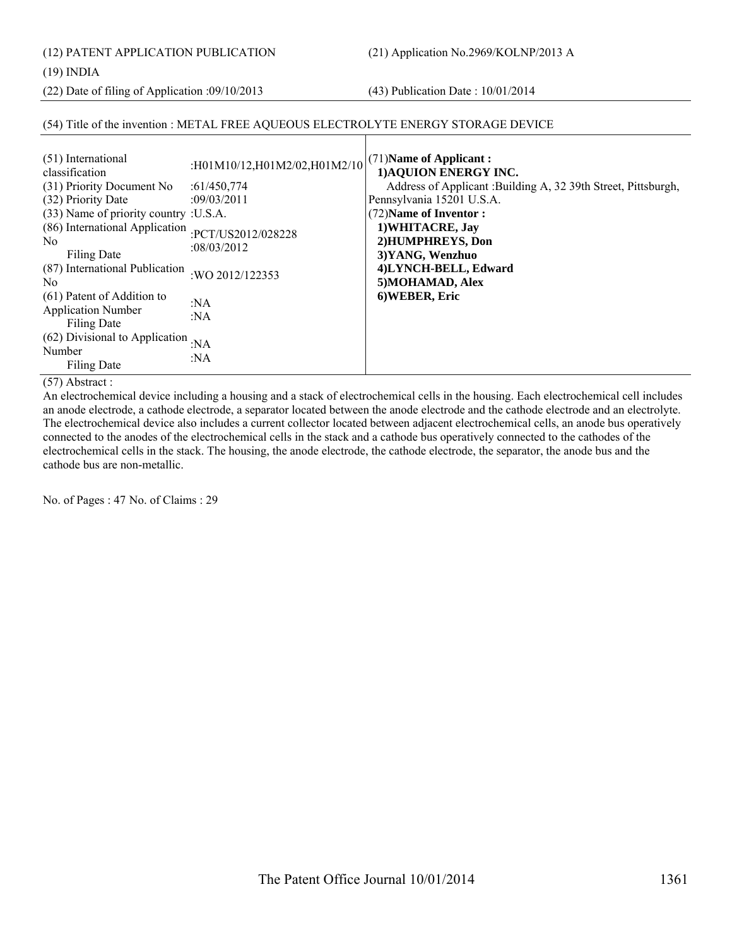(12) PATENT APPLICATION PUBLICATION (21) Application No.2969/KOLNP/2013 A

#### (19) INDIA

(22) Date of filing of Application :09/10/2013 (43) Publication Date : 10/01/2014

#### (54) Title of the invention : METAL FREE AQUEOUS ELECTROLYTE ENERGY STORAGE DEVICE

| (51) International<br>classification<br>(31) Priority Document No<br>(32) Priority Date<br>(33) Name of priority country : U.S.A.<br>(86) International Application : PCT/US2012/028228<br>N <sub>0</sub><br>Filing Date | :H01M10/12,H01M2/02,H01M2/10<br>:61/450,774<br>:09/03/2011<br>:08/03/2012 | (71) Name of Applicant:<br>1) AQUION ENERGY INC.<br>Address of Applicant : Building A, 32 39th Street, Pittsburgh,<br>Pennsylvania 15201 U.S.A.<br>(72) Name of Inventor:<br>1) WHITACRE, Jay<br>2) HUMPHREYS, Don<br>3) YANG, Wenzhuo |
|--------------------------------------------------------------------------------------------------------------------------------------------------------------------------------------------------------------------------|---------------------------------------------------------------------------|----------------------------------------------------------------------------------------------------------------------------------------------------------------------------------------------------------------------------------------|
| (87) International Publication<br>N <sub>0</sub>                                                                                                                                                                         | :WO 2012/122353                                                           | 4)LYNCH-BELL, Edward<br>5) MOHAMAD, Alex                                                                                                                                                                                               |
| (61) Patent of Addition to<br><b>Application Number</b><br>Filing Date                                                                                                                                                   | :NA<br>: $NA$                                                             | 6) WEBER, Eric                                                                                                                                                                                                                         |
| (62) Divisional to Application : NA<br>Number<br>Filing Date                                                                                                                                                             | : $NA$                                                                    |                                                                                                                                                                                                                                        |

(57) Abstract :

An electrochemical device including a housing and a stack of electrochemical cells in the housing. Each electrochemical cell includes an anode electrode, a cathode electrode, a separator located between the anode electrode and the cathode electrode and an electrolyte. The electrochemical device also includes a current collector located between adjacent electrochemical cells, an anode bus operatively connected to the anodes of the electrochemical cells in the stack and a cathode bus operatively connected to the cathodes of the electrochemical cells in the stack. The housing, the anode electrode, the cathode electrode, the separator, the anode bus and the cathode bus are non-metallic.

No. of Pages : 47 No. of Claims : 29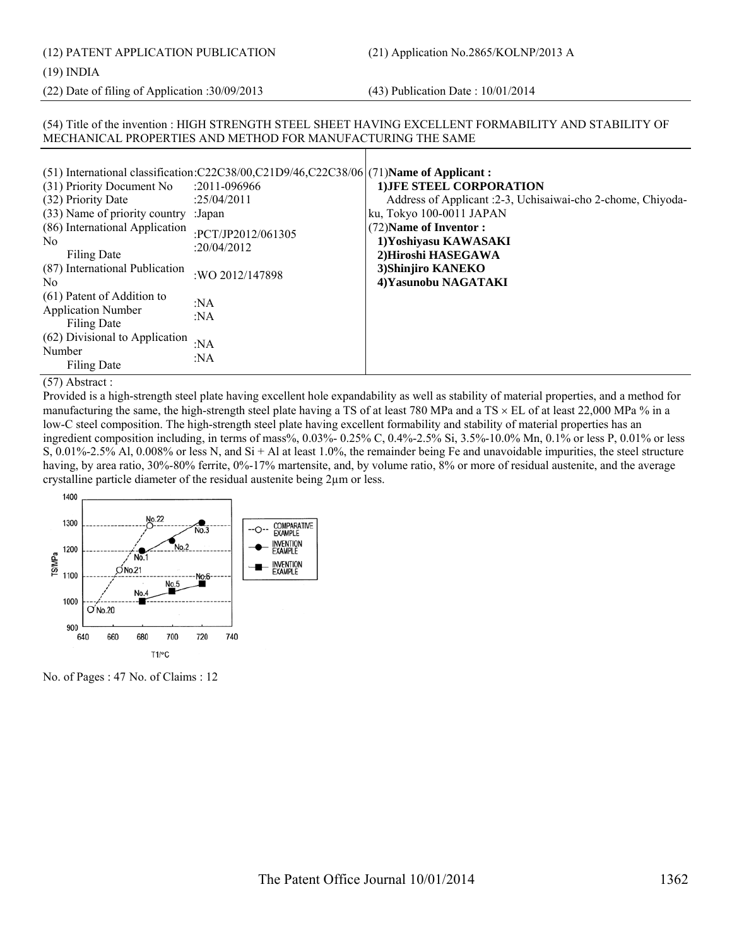(12) PATENT APPLICATION PUBLICATION (21) Application No.2865/KOLNP/2013 A

(19) INDIA

(22) Date of filing of Application :30/09/2013 (43) Publication Date : 10/01/2014

#### (54) Title of the invention : HIGH STRENGTH STEEL SHEET HAVING EXCELLENT FORMABILITY AND STABILITY OF MECHANICAL PROPERTIES AND METHOD FOR MANUFACTURING THE SAME

|                                                                        | (51) International classification: $C22C38/00$ , $C21D9/46$ , $C22C38/06$ (71) Name of Applicant: |                                                                      |
|------------------------------------------------------------------------|---------------------------------------------------------------------------------------------------|----------------------------------------------------------------------|
| (31) Priority Document No                                              | $: 2011 - 096966$                                                                                 | <b>1) JFE STEEL CORPORATION</b>                                      |
| (32) Priority Date                                                     | :25/04/2011                                                                                       | Address of Applicant : 2-3, Uchisaiwai-cho 2-chome, Chiyoda-         |
| (33) Name of priority country : Japan                                  |                                                                                                   | ku, Tokyo 100-0011 JAPAN                                             |
| (86) International Application<br>No.<br>Filing Date                   | :PCT/JP2012/061305<br>:20/04/2012                                                                 | (72) Name of Inventor:<br>1)Yoshiyasu KAWASAKI<br>2)Hiroshi HASEGAWA |
| (87) International Publication<br>N <sub>0</sub>                       | :WO 2012/147898                                                                                   | 3) Shinjiro KANEKO<br>4) Yasunobu NAGATAKI                           |
| (61) Patent of Addition to<br><b>Application Number</b><br>Filing Date | :NA<br>:NA                                                                                        |                                                                      |
| (62) Divisional to Application<br>Number<br>Filing Date                | : $NA$<br>:NA                                                                                     |                                                                      |

(57) Abstract :

Provided is a high-strength steel plate having excellent hole expandability as well as stability of material properties, and a method for manufacturing the same, the high-strength steel plate having a TS of at least 780 MPa and a TS  $\times$  EL of at least 22,000 MPa % in a low-C steel composition. The high-strength steel plate having excellent formability and stability of material properties has an ingredient composition including, in terms of mass%, 0.03%- 0.25% C, 0.4%-2.5% Si, 3.5%-10.0% Mn, 0.1% or less P, 0.01% or less S, 0.01%-2.5% Al, 0.008% or less N, and Si + Al at least 1.0%, the remainder being Fe and unavoidable impurities, the steel structure having, by area ratio, 30%-80% ferrite, 0%-17% martensite, and, by volume ratio, 8% or more of residual austenite, and the average crystalline particle diameter of the residual austenite being 2µm or less.



No. of Pages : 47 No. of Claims : 12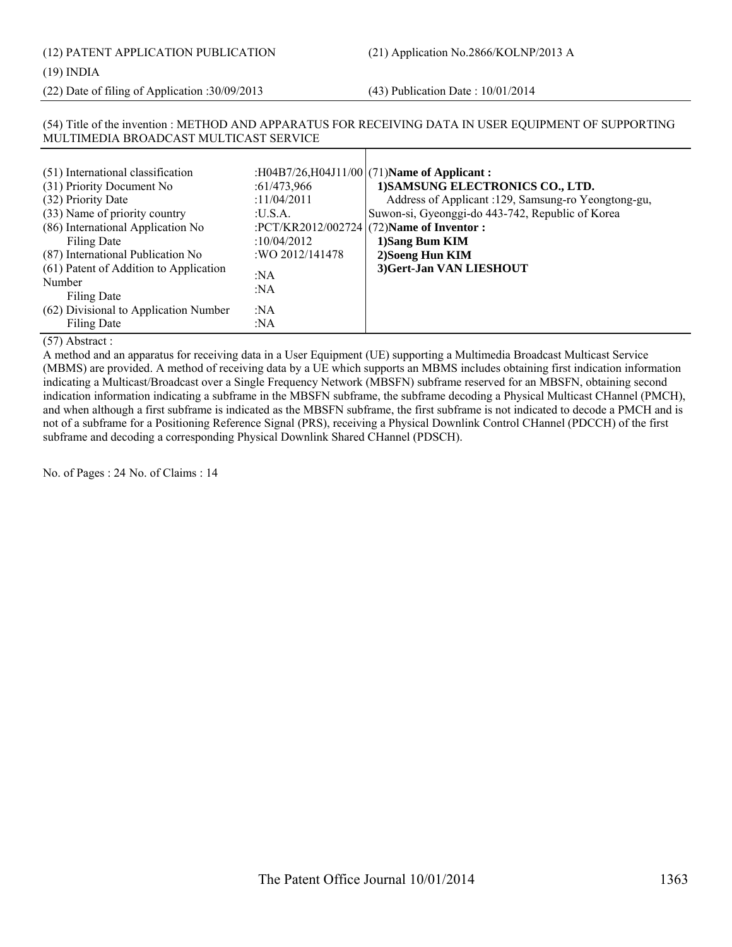(12) PATENT APPLICATION PUBLICATION (21) Application No.2866/KOLNP/2013 A

#### (19) INDIA

(22) Date of filing of Application :30/09/2013 (43) Publication Date : 10/01/2014

#### (54) Title of the invention : METHOD AND APPARATUS FOR RECEIVING DATA IN USER EQUIPMENT OF SUPPORTING MULTIMEDIA BROADCAST MULTICAST SERVICE

(57) Abstract :

A method and an apparatus for receiving data in a User Equipment (UE) supporting a Multimedia Broadcast Multicast Service (MBMS) are provided. A method of receiving data by a UE which supports an MBMS includes obtaining first indication information indicating a Multicast/Broadcast over a Single Frequency Network (MBSFN) subframe reserved for an MBSFN, obtaining second indication information indicating a subframe in the MBSFN subframe, the subframe decoding a Physical Multicast CHannel (PMCH), and when although a first subframe is indicated as the MBSFN subframe, the first subframe is not indicated to decode a PMCH and is not of a subframe for a Positioning Reference Signal (PRS), receiving a Physical Downlink Control CHannel (PDCCH) of the first subframe and decoding a corresponding Physical Downlink Shared CHannel (PDSCH).

No. of Pages : 24 No. of Claims : 14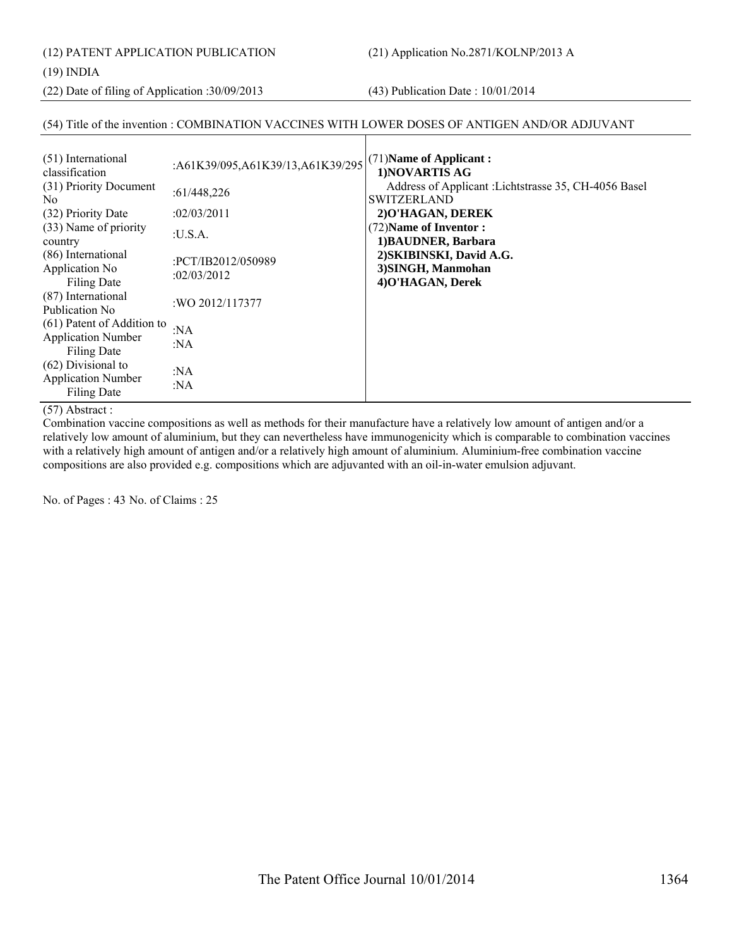(12) PATENT APPLICATION PUBLICATION (21) Application No.2871/KOLNP/2013 A

(19) INDIA

(22) Date of filing of Application :30/09/2013 (43) Publication Date : 10/01/2014

#### (54) Title of the invention : COMBINATION VACCINES WITH LOWER DOSES OF ANTIGEN AND/OR ADJUVANT

| (51) International<br>classification                                   | :A61K39/095,A61K39/13,A61K39/295  | (71) Name of Applicant:<br>1) NOVARTIS AG                                   |
|------------------------------------------------------------------------|-----------------------------------|-----------------------------------------------------------------------------|
| (31) Priority Document<br>N <sub>0</sub>                               | :61/448,226                       | Address of Applicant : Lichtstrasse 35, CH-4056 Basel<br><b>SWITZERLAND</b> |
| (32) Priority Date                                                     | :02/03/2011                       | 2) O'HAGAN, DEREK                                                           |
| (33) Name of priority<br>country                                       | :U.S.A.                           | (72) Name of Inventor:<br>1) BAUDNER, Barbara                               |
| (86) International<br>Application No<br><b>Filing Date</b>             | :PCT/IB2012/050989<br>:02/03/2012 | 2) SKIBINSKI, David A.G.<br>3) SINGH, Manmohan<br>4) O'HAGAN, Derek         |
| (87) International<br>Publication No.                                  | :WO 2012/117377                   |                                                                             |
| (61) Patent of Addition to<br><b>Application Number</b><br>Filing Date | :N $A$<br>:NA                     |                                                                             |
| $(62)$ Divisional to<br><b>Application Number</b><br>Filing Date       | :NA<br>:NA                        |                                                                             |

#### (57) Abstract :

Combination vaccine compositions as well as methods for their manufacture have a relatively low amount of antigen and/or a relatively low amount of aluminium, but they can nevertheless have immunogenicity which is comparable to combination vaccines with a relatively high amount of antigen and/or a relatively high amount of aluminium. Aluminium-free combination vaccine compositions are also provided e.g. compositions which are adjuvanted with an oil-in-water emulsion adjuvant.

No. of Pages : 43 No. of Claims : 25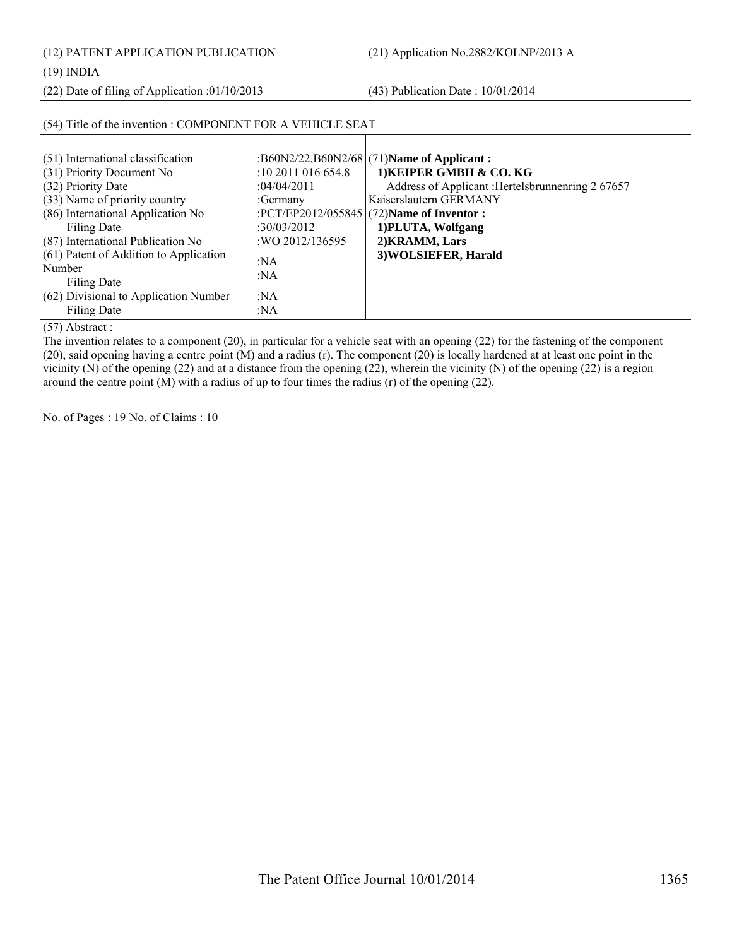(12) PATENT APPLICATION PUBLICATION (21) Application No.2882/KOLNP/2013 A

(19) INDIA

(22) Date of filing of Application :01/10/2013 (43) Publication Date : 10/01/2014

| (54) Title of the invention : COMPONENT FOR A VEHICLE SEAT                                                                                                                                                                                                                                                                                |                                                                                                                      |                                                                                                                                                                                                                                                                      |
|-------------------------------------------------------------------------------------------------------------------------------------------------------------------------------------------------------------------------------------------------------------------------------------------------------------------------------------------|----------------------------------------------------------------------------------------------------------------------|----------------------------------------------------------------------------------------------------------------------------------------------------------------------------------------------------------------------------------------------------------------------|
| (51) International classification<br>(31) Priority Document No<br>(32) Priority Date<br>(33) Name of priority country<br>(86) International Application No<br>Filing Date<br>(87) International Publication No<br>(61) Patent of Addition to Application<br>Number<br>Filing Date<br>(62) Divisional to Application Number<br>Filing Date | $:10\,2011\,016\,654.8$<br>:04/04/2011<br>:Germany<br>:30/03/2012<br>: WO 2012/136595<br>: $NA$<br>:NA<br>:NA<br>:NA | :B60N2/22,B60N2/68 (71) Name of Applicant:<br>1) KEIPER GMBH & CO. KG<br>Address of Applicant : Hertelsbrunnenring 2 67657<br>Kaiserslautern GERMANY<br>:PCT/EP2012/055845 $(72)$ Name of Inventor :<br>1) PLUTA, Wolfgang<br>2) KRAMM, Lars<br>3) WOLSIEFER, Harald |
| $\sqrt{m}$ $\rightarrow$ $\rightarrow$ $\rightarrow$ $\rightarrow$                                                                                                                                                                                                                                                                        |                                                                                                                      |                                                                                                                                                                                                                                                                      |

(57) Abstract :

The invention relates to a component (20), in particular for a vehicle seat with an opening (22) for the fastening of the component (20), said opening having a centre point (M) and a radius (r). The component (20) is locally hardened at at least one point in the vicinity (N) of the opening (22) and at a distance from the opening (22), wherein the vicinity (N) of the opening (22) is a region around the centre point (M) with a radius of up to four times the radius (r) of the opening (22).

No. of Pages : 19 No. of Claims : 10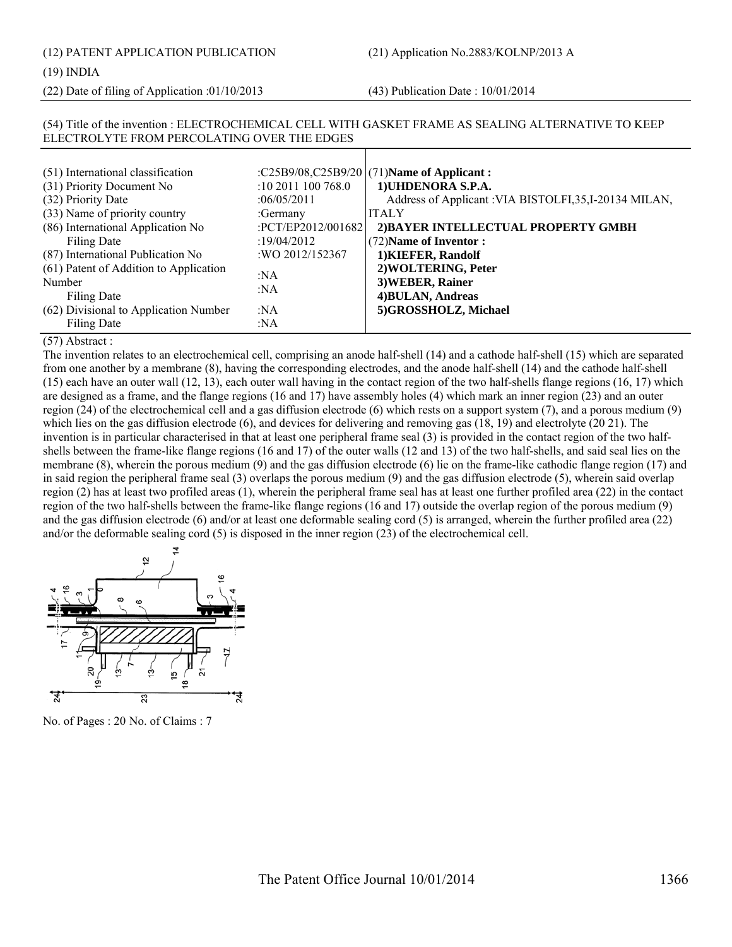(12) PATENT APPLICATION PUBLICATION (21) Application No.2883/KOLNP/2013 A

#### (19) INDIA

(22) Date of filing of Application :01/10/2013 (43) Publication Date : 10/01/2014

#### (54) Title of the invention : ELECTROCHEMICAL CELL WITH GASKET FRAME AS SEALING ALTERNATIVE TO KEEP ELECTROLYTE FROM PERCOLATING OVER THE EDGES  $(51)$  International classification (31) Priority Document No :10 2011 100 768.0 (71)**Name of Applicant : 1)UHDENORA S.P.A.**

| (31) Priority Document No              | $10\,2011\,100\,768.0$ | TJUHDENOKA S.P.A.                                       |
|----------------------------------------|------------------------|---------------------------------------------------------|
| (32) Priority Date                     | :06/05/2011            | Address of Applicant : VIA BISTOLFI, 35, I-20134 MILAN, |
| (33) Name of priority country          | :Germany               | <b>ITALY</b>                                            |
| (86) International Application No      | :PCT/EP2012/001682     | 2) BAYER INTELLECTUAL PROPERTY GMBH                     |
| Filing Date                            | :19/04/2012            | (72) Name of Inventor:                                  |
| (87) International Publication No      | :WO 2012/152367        | 1) KIEFER, Randolf                                      |
| (61) Patent of Addition to Application | :NA                    | 2) WOLTERING, Peter                                     |
| Number                                 |                        | 3) WEBER, Rainer                                        |
| Filing Date                            | :NA                    | 4) BULAN, Andreas                                       |
| (62) Divisional to Application Number  | :NA                    | 5)GROSSHOLZ, Michael                                    |
| Filing Date                            | :NA                    |                                                         |

#### (57) Abstract :

The invention relates to an electrochemical cell, comprising an anode half-shell (14) and a cathode half-shell (15) which are separated from one another by a membrane (8), having the corresponding electrodes, and the anode half-shell (14) and the cathode half-shell (15) each have an outer wall (12, 13), each outer wall having in the contact region of the two half-shells flange regions (16, 17) which are designed as a frame, and the flange regions (16 and 17) have assembly holes (4) which mark an inner region (23) and an outer region (24) of the electrochemical cell and a gas diffusion electrode (6) which rests on a support system (7), and a porous medium (9) which lies on the gas diffusion electrode (6), and devices for delivering and removing gas (18, 19) and electrolyte (20 21). The invention is in particular characterised in that at least one peripheral frame seal (3) is provided in the contact region of the two halfshells between the frame-like flange regions (16 and 17) of the outer walls (12 and 13) of the two half-shells, and said seal lies on the membrane (8), wherein the porous medium (9) and the gas diffusion electrode (6) lie on the frame-like cathodic flange region (17) and in said region the peripheral frame seal (3) overlaps the porous medium (9) and the gas diffusion electrode (5), wherein said overlap region (2) has at least two profiled areas (1), wherein the peripheral frame seal has at least one further profiled area (22) in the contact region of the two half-shells between the frame-like flange regions (16 and 17) outside the overlap region of the porous medium (9) and the gas diffusion electrode (6) and/or at least one deformable sealing cord (5) is arranged, wherein the further profiled area (22) and/or the deformable sealing cord (5) is disposed in the inner region (23) of the electrochemical cell.



No. of Pages : 20 No. of Claims : 7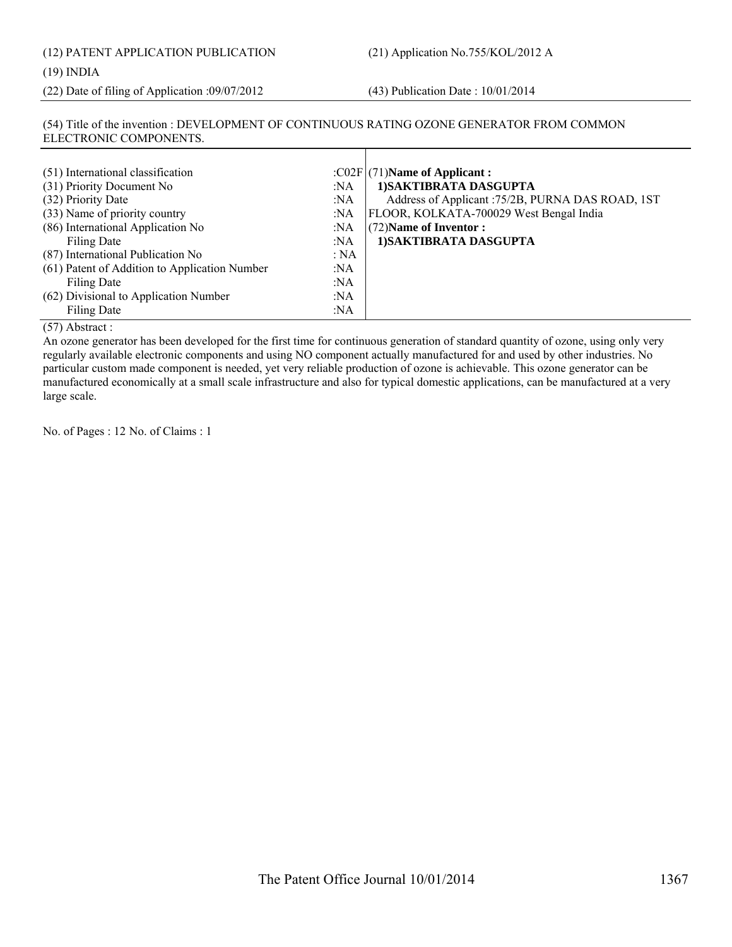| (12) PATENT APPLICATION PUBLICATION |  |
|-------------------------------------|--|
| (19) INDIA                          |  |

### (19) INDIA

(22) Date of filing of Application :09/07/2012 (43) Publication Date : 10/01/2014

#### (54) Title of the invention : DEVELOPMENT OF CONTINUOUS RATING OZONE GENERATOR FROM COMMON ELECTRONIC COMPONENTS.

| (51) International classification<br>(31) Priority Document No<br>(32) Priority Date<br>(33) Name of priority country<br>(86) International Application No<br>Filing Date<br>(87) International Publication No<br>(61) Patent of Addition to Application Number<br>Filing Date<br>(62) Divisional to Application Number | :NA<br>:NA<br>:NA<br>:NA<br>:NA<br>:NA<br>:NA<br>:NA<br>:NA | : $CO2F$ (71)Name of Applicant :<br>1) SAKTIBRATA DASGUPTA<br>Address of Applicant : 75/2B, PURNA DAS ROAD, 1ST<br>FLOOR, KOLKATA-700029 West Bengal India<br>$(72)$ Name of Inventor :<br>1) SAKTIBRATA DASGUPTA |
|-------------------------------------------------------------------------------------------------------------------------------------------------------------------------------------------------------------------------------------------------------------------------------------------------------------------------|-------------------------------------------------------------|-------------------------------------------------------------------------------------------------------------------------------------------------------------------------------------------------------------------|
| Filing Date                                                                                                                                                                                                                                                                                                             | :NA                                                         |                                                                                                                                                                                                                   |

(57) Abstract :

An ozone generator has been developed for the first time for continuous generation of standard quantity of ozone, using only very regularly available electronic components and using NO component actually manufactured for and used by other industries. No particular custom made component is needed, yet very reliable production of ozone is achievable. This ozone generator can be manufactured economically at a small scale infrastructure and also for typical domestic applications, can be manufactured at a very large scale.

No. of Pages : 12 No. of Claims : 1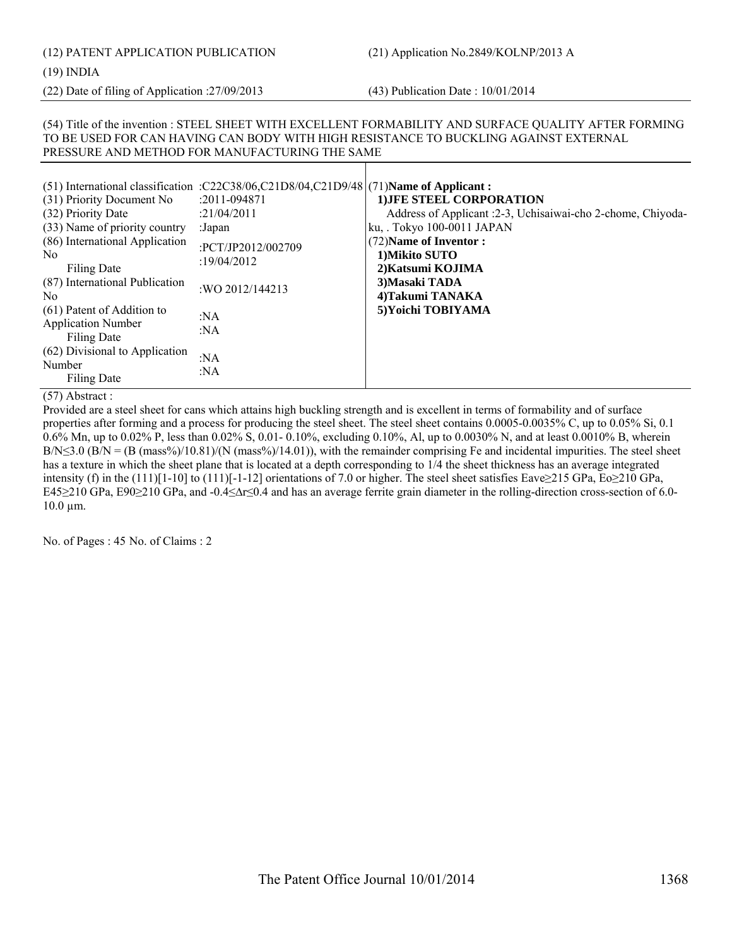# (12) PATENT APPLICATION PUBLICATION (21) Application No.2849/KOLNP/2013 A

(19) INDIA

(22) Date of filing of Application :27/09/2013 (43) Publication Date : 10/01/2014

#### (54) Title of the invention : STEEL SHEET WITH EXCELLENT FORMABILITY AND SURFACE QUALITY AFTER FORMING TO BE USED FOR CAN HAVING CAN BODY WITH HIGH RESISTANCE TO BUCKLING AGAINST EXTERNAL PRESSURE AND METHOD FOR MANUFACTURING THE SAME

| (51) International classification :C22C38/06,C21D8/04,C21D9/48 (71) Name of Applicant:<br>(31) Priority Document No<br>:2011-094871<br>(32) Priority Date<br>:21/04/2011<br>(33) Name of priority country<br>:Japan<br>(86) International Application<br>:PCT/JP2012/002709<br>No.<br>:19/04/2012<br>Filing Date<br>(87) International Publication<br>: WO 2012/144213<br>No.<br>(61) Patent of Addition to<br>:NA<br><b>Application Number</b><br>: $NA$<br>Filing Date<br>(62) Divisional to Application<br>:NA<br>Number<br>:NA<br>Filing Date | 1) JFE STEEL CORPORATION<br>Address of Applicant :2-3, Uchisaiwai-cho 2-chome, Chiyoda-<br>ku, Tokyo 100-0011 JAPAN<br>(72) Name of Inventor:<br>1) Mikito SUTO<br>2) Katsumi KOJIMA<br>3) Masaki TADA<br>4) Takumi TANAKA<br>5) Yoichi TOBIYAMA |
|---------------------------------------------------------------------------------------------------------------------------------------------------------------------------------------------------------------------------------------------------------------------------------------------------------------------------------------------------------------------------------------------------------------------------------------------------------------------------------------------------------------------------------------------------|--------------------------------------------------------------------------------------------------------------------------------------------------------------------------------------------------------------------------------------------------|
|---------------------------------------------------------------------------------------------------------------------------------------------------------------------------------------------------------------------------------------------------------------------------------------------------------------------------------------------------------------------------------------------------------------------------------------------------------------------------------------------------------------------------------------------------|--------------------------------------------------------------------------------------------------------------------------------------------------------------------------------------------------------------------------------------------------|

(57) Abstract :

Provided are a steel sheet for cans which attains high buckling strength and is excellent in terms of formability and of surface properties after forming and a process for producing the steel sheet. The steel sheet contains 0.0005-0.0035% C, up to 0.05% Si, 0.1 0.6% Mn, up to 0.02% P, less than 0.02% S, 0.01- 0.10%, excluding 0.10%, Al, up to 0.0030% N, and at least 0.0010% B, wherein  $B/N \leq 3.0$  ( $B/N = (B \text{ (mass\%)}/10.81)$ /(N (mass%)/14.01)), with the remainder comprising Fe and incidental impurities. The steel sheet has a texture in which the sheet plane that is located at a depth corresponding to 1/4 the sheet thickness has an average integrated intensity (f) in the (111)[1-10] to (111)[-1-12] orientations of 7.0 or higher. The steel sheet satisfies Eave≥215 GPa, Eo≥210 GPa, E45≥210 GPa, E90≥210 GPa, and -0.4≤∆r≤0.4 and has an average ferrite grain diameter in the rolling-direction cross-section of 6.0- 10.0 µm.

No. of Pages : 45 No. of Claims : 2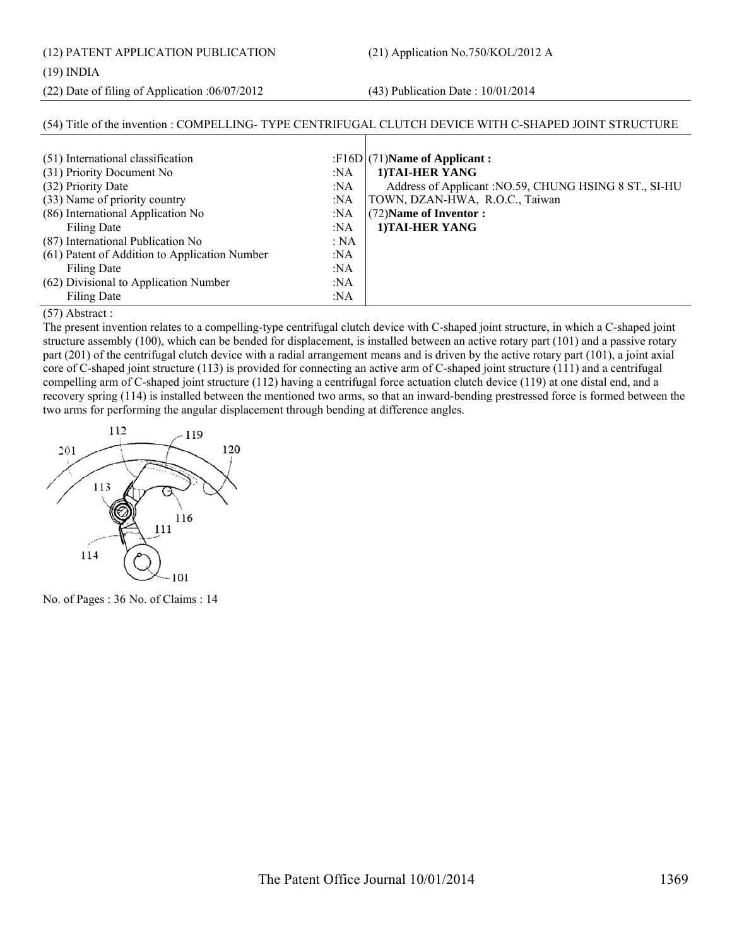(12) PATENT APPLICATION PUBLICATION (21) Application No.750/KOL/2012 A

#### (19) INDIA

(22) Date of filing of Application :06/07/2012 (43) Publication Date : 10/01/2014

#### (54) Title of the invention : COMPELLING- TYPE CENTRIFUGAL CLUTCH DEVICE WITH C-SHAPED JOINT STRUCTURE (51) International classification :F16D (31) Priority Document No :NA (32) Priority Date :NA (33) Name of priority country :NA (86) International Application No Filing Date :NA :NA (87) International Publication No : NA (61) Patent of Addition to Application Number :NA (71)**Name of Applicant : 1)TAI-HER YANG** Address of Applicant :NO.59, CHUNG HSING 8 ST., SI-HU TOWN, DZAN-HWA, R.O.C., Taiwan (72)**Name of Inventor : 1)TAI-HER YANG**

:NA

:NA :NA

#### (57) Abstract :

Filing Date

Filing Date

(62) Divisional to Application Number

The present invention relates to a compelling-type centrifugal clutch device with C-shaped joint structure, in which a C-shaped joint structure assembly (100), which can be bended for displacement, is installed between an active rotary part (101) and a passive rotary part (201) of the centrifugal clutch device with a radial arrangement means and is driven by the active rotary part (101), a joint axial core of C-shaped joint structure (113) is provided for connecting an active arm of C-shaped joint structure (111) and a centrifugal compelling arm of C-shaped joint structure (112) having a centrifugal force actuation clutch device (119) at one distal end, and a recovery spring (114) is installed between the mentioned two arms, so that an inward-bending prestressed force is formed between the two arms for performing the angular displacement through bending at difference angles.



No. of Pages : 36 No. of Claims : 14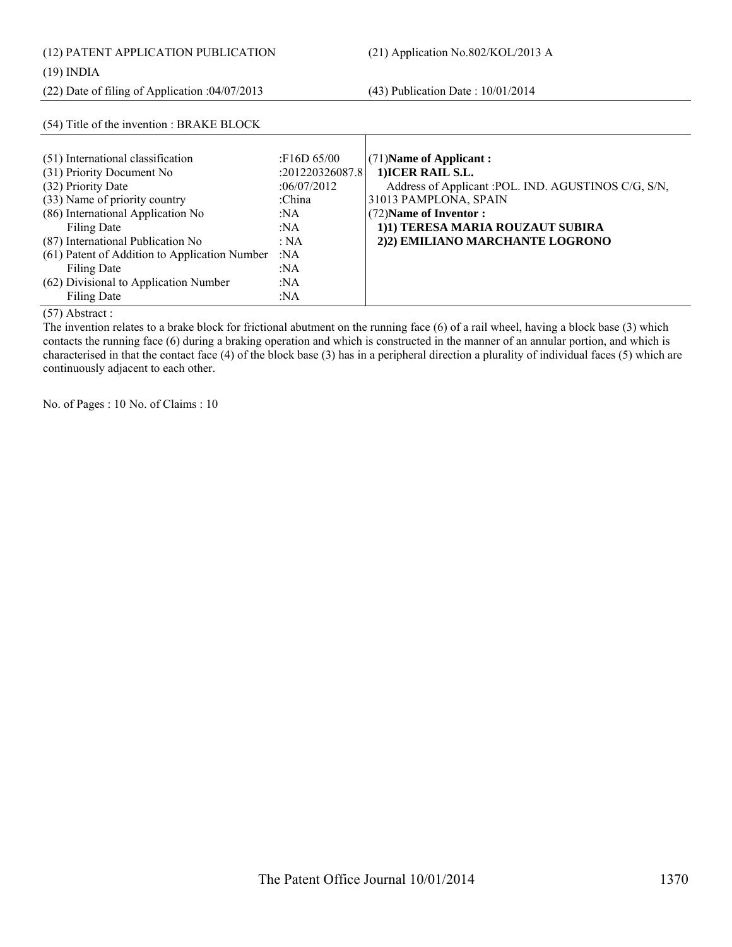|  | (12) PATENT APPLICATION PUBLICATION |
|--|-------------------------------------|
|  |                                     |

### (19) INDIA

(22) Date of filing of Application :04/07/2013 (43) Publication Date : 10/01/2014

| (54) Title of the invention : BRAKE BLOCK                                            |                                               |                                                                                                        |
|--------------------------------------------------------------------------------------|-----------------------------------------------|--------------------------------------------------------------------------------------------------------|
| (51) International classification<br>(31) Priority Document No<br>(32) Priority Date | :F16D 65/00<br>:201220326087.8<br>:06/07/2012 | $(71)$ Name of Applicant:<br>1) ICER RAIL S.L.<br>Address of Applicant : POL. IND. AGUSTINOS C/G, S/N, |
| (33) Name of priority country<br>(86) International Application No                   | :China<br>:NA                                 | 31013 PAMPLONA, SPAIN<br>(72) Name of Inventor:                                                        |
| Filing Date                                                                          | :NA                                           | 1)1) TERESA MARIA ROUZAUT SUBIRA                                                                       |
| (87) International Publication No<br>(61) Patent of Addition to Application Number   | : NA<br>:NA                                   | 2)2) EMILIANO MARCHANTE LOGRONO                                                                        |
| Filing Date<br>(62) Divisional to Application Number                                 | :NA<br>:NA                                    |                                                                                                        |
| Filing Date                                                                          | :NA                                           |                                                                                                        |

(57) Abstract :

The invention relates to a brake block for frictional abutment on the running face (6) of a rail wheel, having a block base (3) which contacts the running face (6) during a braking operation and which is constructed in the manner of an annular portion, and which is characterised in that the contact face (4) of the block base (3) has in a peripheral direction a plurality of individual faces (5) which are continuously adjacent to each other.

No. of Pages : 10 No. of Claims : 10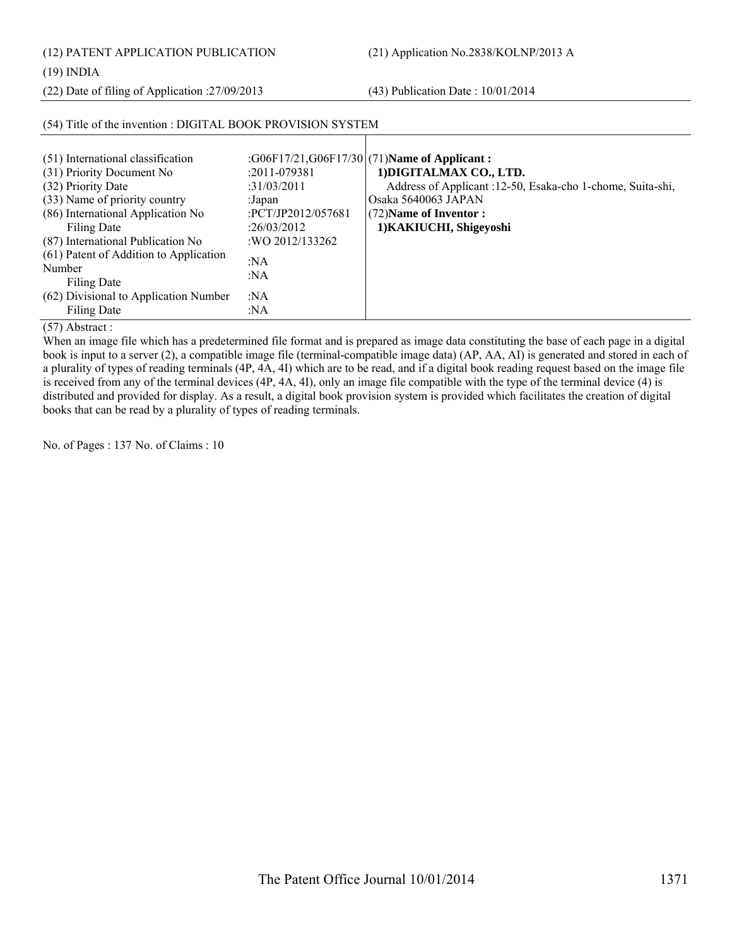(12) PATENT APPLICATION PUBLICATION (21) Application No.2838/KOLNP/2013 A

(19) INDIA

(22) Date of filing of Application :27/09/2013 (43) Publication Date : 10/01/2014

| (54) Title of the invention : DIGITAL BOOK PROVISION SYSTEM                                                            |                                                                |                                                                                                                                      |
|------------------------------------------------------------------------------------------------------------------------|----------------------------------------------------------------|--------------------------------------------------------------------------------------------------------------------------------------|
| (51) International classification<br>(31) Priority Document No<br>(32) Priority Date                                   | $:2011 - 079381$<br>:31/03/2011                                | :G06F17/21,G06F17/30 (71)Name of Applicant:<br>1) DIGITALMAX CO., LTD.<br>Address of Applicant :12-50, Esaka-cho 1-chome, Suita-shi, |
| (33) Name of priority country<br>(86) International Application No<br>Filing Date<br>(87) International Publication No | :Japan<br>:PCT/JP2012/057681<br>:26/03/2012<br>:WO 2012/133262 | Osaka 5640063 JAPAN<br>(72) Name of Inventor:<br>1) KAKIUCHI, Shigeyoshi                                                             |
| (61) Patent of Addition to Application<br>Number<br>Filing Date                                                        | :NA<br>:NA                                                     |                                                                                                                                      |
| (62) Divisional to Application Number<br>Filing Date                                                                   | :NA<br>: $NA$                                                  |                                                                                                                                      |

(57) Abstract :

When an image file which has a predetermined file format and is prepared as image data constituting the base of each page in a digital book is input to a server (2), a compatible image file (terminal-compatible image data) (AP, AA, AI) is generated and stored in each of a plurality of types of reading terminals (4P, 4A, 4I) which are to be read, and if a digital book reading request based on the image file is received from any of the terminal devices (4P, 4A, 4I), only an image file compatible with the type of the terminal device (4) is distributed and provided for display. As a result, a digital book provision system is provided which facilitates the creation of digital books that can be read by a plurality of types of reading terminals.

No. of Pages : 137 No. of Claims : 10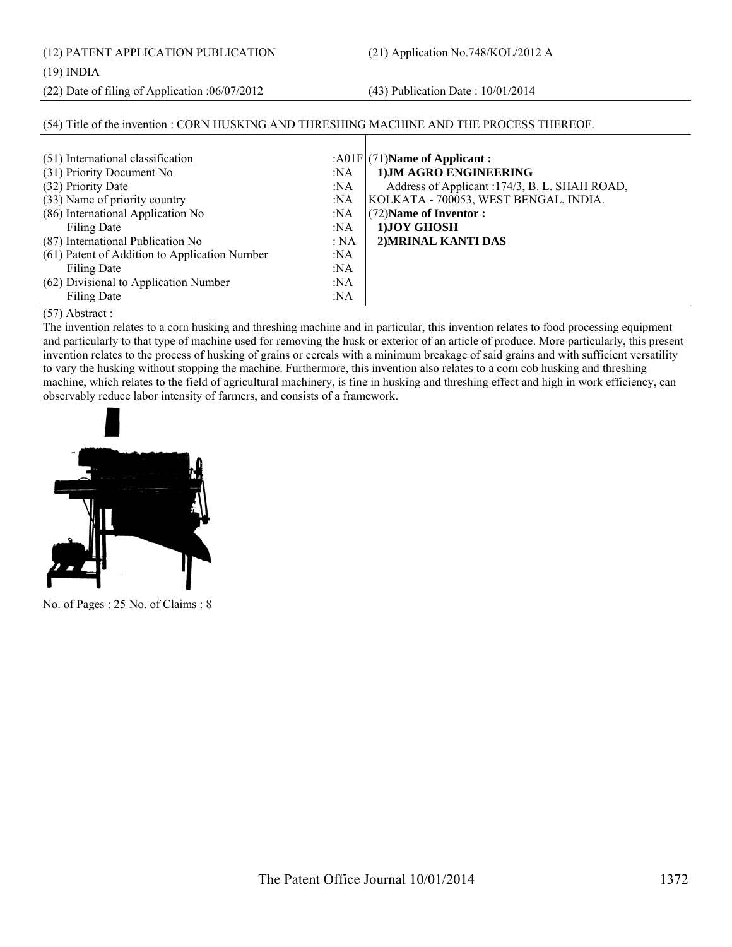(12) PATENT APPLICATION PUBLICATION (21) Application No.748/KOL/2012 A

#### (19) INDIA

(22) Date of filing of Application :06/07/2012 (43) Publication Date : 10/01/2014

| (54) Title of the invention: CORN HUSKING AND THRESHING MACHINE AND THE PROCESS THEREOF. |        |                                                |
|------------------------------------------------------------------------------------------|--------|------------------------------------------------|
|                                                                                          |        |                                                |
| (51) International classification                                                        |        | : $A01F(71)$ Name of Applicant :               |
| (31) Priority Document No                                                                | :NA    | 1) JM AGRO ENGINEERING                         |
| (32) Priority Date                                                                       | :NA    | Address of Applicant : 174/3, B. L. SHAH ROAD, |
| (33) Name of priority country                                                            | :NA    | KOLKATA - 700053, WEST BENGAL, INDIA.          |
| (86) International Application No                                                        | :NA    | (72) Name of Inventor:                         |
| <b>Filing Date</b>                                                                       | : $NA$ | 1) JOY GHOSH                                   |
| (87) International Publication No                                                        | : NA   | 2) MRINAL KANTI DAS                            |
| (61) Patent of Addition to Application Number                                            | :NA    |                                                |
| Filing Date                                                                              | :NA    |                                                |
| (62) Divisional to Application Number                                                    | :NA    |                                                |
| <b>Filing Date</b>                                                                       | :NA    |                                                |

(57) Abstract :

The invention relates to a corn husking and threshing machine and in particular, this invention relates to food processing equipment and particularly to that type of machine used for removing the husk or exterior of an article of produce. More particularly, this present invention relates to the process of husking of grains or cereals with a minimum breakage of said grains and with sufficient versatility to vary the husking without stopping the machine. Furthermore, this invention also relates to a corn cob husking and threshing machine, which relates to the field of agricultural machinery, is fine in husking and threshing effect and high in work efficiency, can observably reduce labor intensity of farmers, and consists of a framework.



No. of Pages : 25 No. of Claims : 8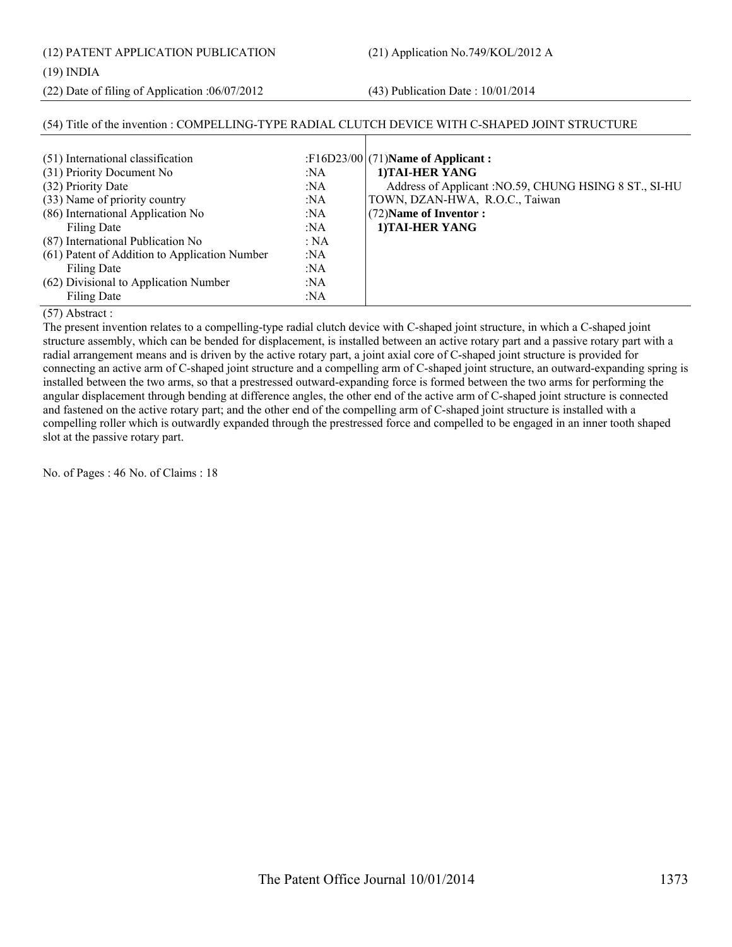(12) PATENT APPLICATION PUBLICATION (21) Application No.749/KOL/2012 A

### (19) INDIA

(22) Date of filing of Application :06/07/2012 (43) Publication Date : 10/01/2014

#### (54) Title of the invention : COMPELLING-TYPE RADIAL CLUTCH DEVICE WITH C-SHAPED JOINT STRUCTURE  $(51)$  International classification (31) Priority Document No :NA (32) Priority Date :NA (33) Name of priority country :NA (86) International Application No Filing Date :NA :NA (87) International Publication No : NA (61) Patent of Addition to Application Number Filing Date :NA :NA (62) Divisional to Application Number :NA (71)**Name of Applicant : 1)TAI-HER YANG** Address of Applicant :NO.59, CHUNG HSING 8 ST., SI-HU TOWN, DZAN-HWA, R.O.C., Taiwan (72)**Name of Inventor : 1)TAI-HER YANG**

:NA

#### (57) Abstract :

Filing Date

The present invention relates to a compelling-type radial clutch device with C-shaped joint structure, in which a C-shaped joint structure assembly, which can be bended for displacement, is installed between an active rotary part and a passive rotary part with a radial arrangement means and is driven by the active rotary part, a joint axial core of C-shaped joint structure is provided for connecting an active arm of C-shaped joint structure and a compelling arm of C-shaped joint structure, an outward-expanding spring is installed between the two arms, so that a prestressed outward-expanding force is formed between the two arms for performing the angular displacement through bending at difference angles, the other end of the active arm of C-shaped joint structure is connected and fastened on the active rotary part; and the other end of the compelling arm of C-shaped joint structure is installed with a compelling roller which is outwardly expanded through the prestressed force and compelled to be engaged in an inner tooth shaped slot at the passive rotary part.

No. of Pages : 46 No. of Claims : 18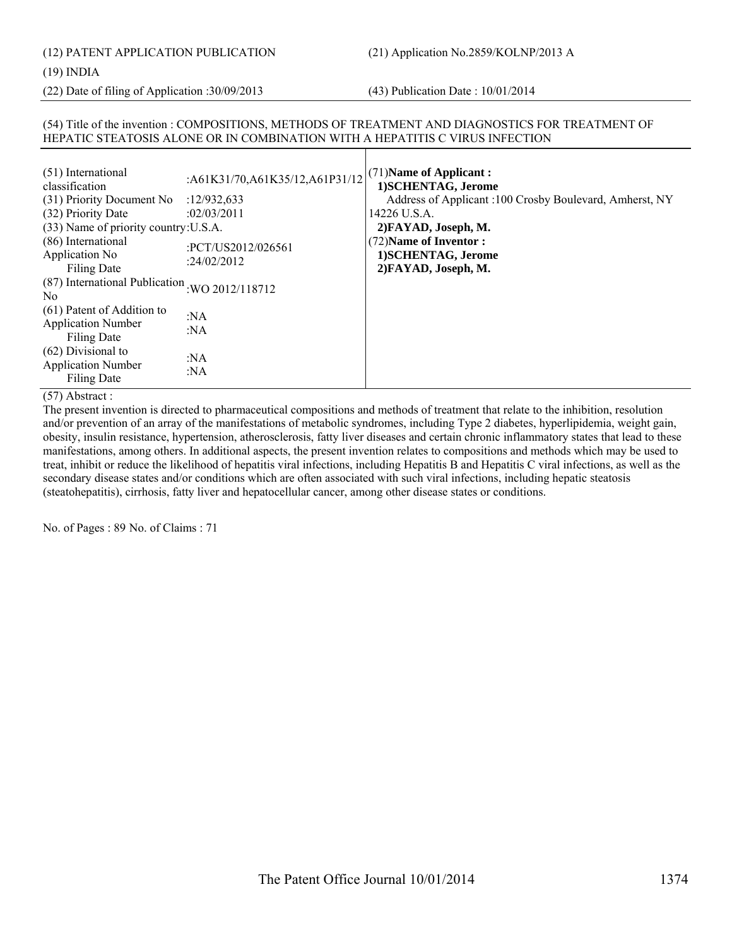# (12) PATENT APPLICATION PUBLICATION (21) Application No.2859/KOLNP/2013 A

#### (19) INDIA

(22) Date of filing of Application :30/09/2013 (43) Publication Date : 10/01/2014

#### (54) Title of the invention : COMPOSITIONS, METHODS OF TREATMENT AND DIAGNOSTICS FOR TREATMENT OF HEPATIC STEATOSIS ALONE OR IN COMBINATION WITH A HEPATITIS C VIRUS INFECTION

| (51) International<br>classification                                    | :A61K31/70,A61K35/12,A61P31/12 | $(71)$ Name of Applicant:<br>1) SCHENTAG, Jerome        |
|-------------------------------------------------------------------------|--------------------------------|---------------------------------------------------------|
| (31) Priority Document No                                               | :12/932,633                    | Address of Applicant :100 Crosby Boulevard, Amherst, NY |
| (32) Priority Date                                                      | :02/03/2011                    | 14226 U.S.A.                                            |
| (33) Name of priority country: U.S.A.                                   |                                | 2) FAYAD, Joseph, M.                                    |
| (86) International                                                      |                                | (72) Name of Inventor:                                  |
| Application No                                                          | :PCT/US2012/026561             | 1) SCHENTAG, Jerome                                     |
| Filing Date                                                             | :24/02/2012                    | 2) FAYAD, Joseph, M.                                    |
| (87) International Publication<br>N <sub>0</sub>                        | :WO 2012/118712                |                                                         |
| (61) Patent of Addition to<br><b>Application Number</b><br>Filing Date  | : $NA$<br>: $NA$               |                                                         |
| $(62)$ Divisional to<br><b>Application Number</b><br><b>Filing Date</b> | : $NA$<br>:NA                  |                                                         |

#### (57) Abstract :

The present invention is directed to pharmaceutical compositions and methods of treatment that relate to the inhibition, resolution and/or prevention of an array of the manifestations of metabolic syndromes, including Type 2 diabetes, hyperlipidemia, weight gain, obesity, insulin resistance, hypertension, atherosclerosis, fatty liver diseases and certain chronic inflammatory states that lead to these manifestations, among others. In additional aspects, the present invention relates to compositions and methods which may be used to treat, inhibit or reduce the likelihood of hepatitis viral infections, including Hepatitis B and Hepatitis C viral infections, as well as the secondary disease states and/or conditions which are often associated with such viral infections, including hepatic steatosis (steatohepatitis), cirrhosis, fatty liver and hepatocellular cancer, among other disease states or conditions.

No. of Pages : 89 No. of Claims : 71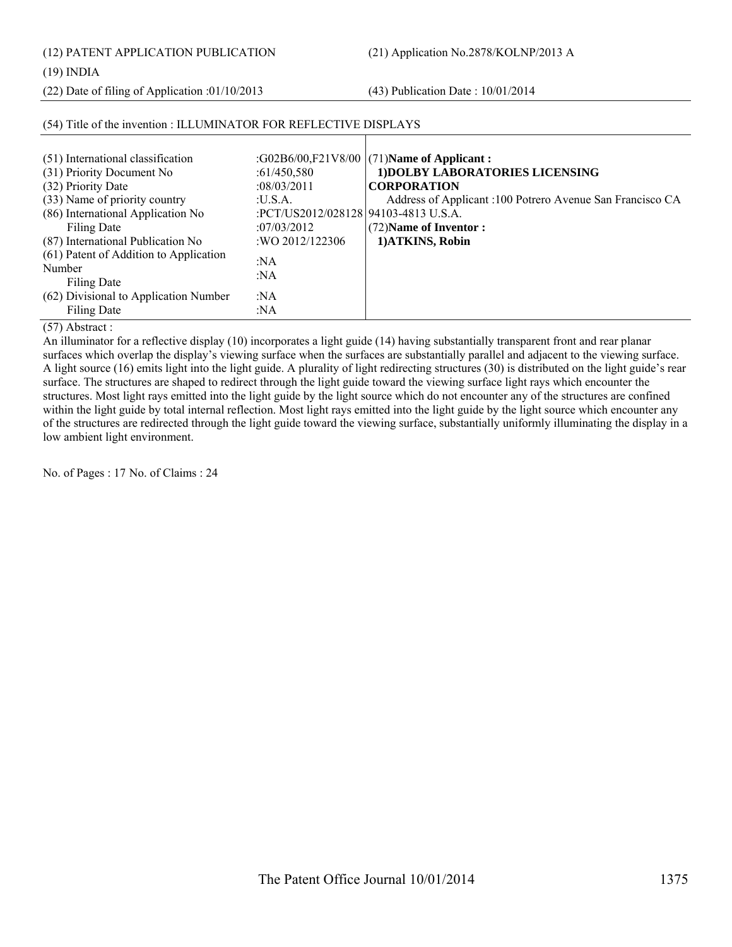(12) PATENT APPLICATION PUBLICATION (21) Application No.2878/KOLNP/2013 A

(19) INDIA

(22) Date of filing of Application :01/10/2013 (43) Publication Date : 10/01/2014

| (51) International classification<br>(31) Priority Document No<br>(32) Priority Date                                    | :61/450,580<br>:08/03/2011                                                                | :G02B6/00,F21V8/00 $(71)$ Name of Applicant:<br>1) DOLBY LABORATORIES LICENSING<br><b>CORPORATION</b>   |
|-------------------------------------------------------------------------------------------------------------------------|-------------------------------------------------------------------------------------------|---------------------------------------------------------------------------------------------------------|
| (33) Name of priority country<br>(86) International Application No<br>Filing Date<br>(87) International Publication No  | : <b>U.S.A.</b><br>:PCT/US2012/028128194103-4813 U.S.A.<br>:07/03/2012<br>:WO 2012/122306 | Address of Applicant :100 Potrero Avenue San Francisco CA<br>(72) Name of Inventor:<br>1) ATKINS, Robin |
| (61) Patent of Addition to Application<br>Number<br>Filing Date<br>(62) Divisional to Application Number<br>Filing Date | :NA<br>:NA<br>:NA<br>:NA                                                                  |                                                                                                         |

### (54) Title of the invention : ILLUMINATOR FOR REFLECTIVE DISPLAYS

(57) Abstract :

An illuminator for a reflective display (10) incorporates a light guide (14) having substantially transparent front and rear planar surfaces which overlap the display's viewing surface when the surfaces are substantially parallel and adjacent to the viewing surface. A light source (16) emits light into the light guide. A plurality of light redirecting structures (30) is distributed on the light guide's rear surface. The structures are shaped to redirect through the light guide toward the viewing surface light rays which encounter the structures. Most light rays emitted into the light guide by the light source which do not encounter any of the structures are confined within the light guide by total internal reflection. Most light rays emitted into the light guide by the light source which encounter any of the structures are redirected through the light guide toward the viewing surface, substantially uniformly illuminating the display in a low ambient light environment.

No. of Pages : 17 No. of Claims : 24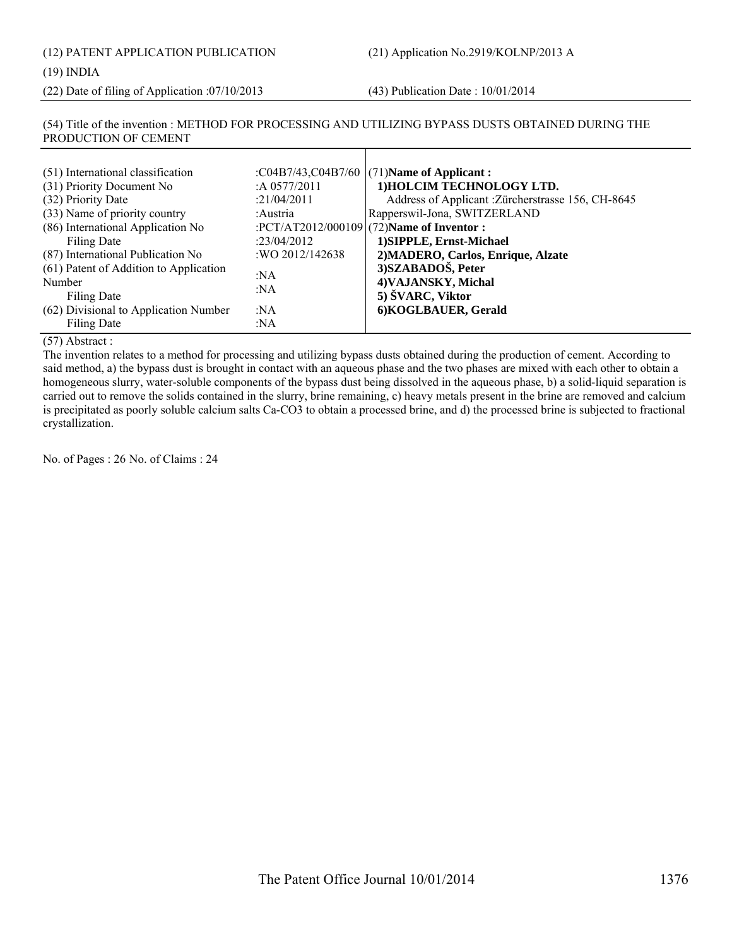(12) PATENT APPLICATION PUBLICATION (21) Application No.2919/KOLNP/2013 A

#### (19) INDIA

(22) Date of filing of Application :07/10/2013 (43) Publication Date : 10/01/2014

#### (54) Title of the invention : METHOD FOR PROCESSING AND UTILIZING BYPASS DUSTS OBTAINED DURING THE PRODUCTION OF CEMENT

| (51) International classification<br>(31) Priority Document No<br>(32) Priority Date<br>(33) Name of priority country<br>(86) International Application No<br>Filing Date<br>(87) International Publication No<br>(61) Patent of Addition to Application<br>Number<br>Filing Date | :A $0577/2011$<br>:21/04/2011<br>:Austria<br>:23/04/2012<br>: WO 2012/142638<br>:NA<br>:NA | : $C04B7/43$ , $C04B7/60$ (71)Name of Applicant:<br>1) HOLCIM TECHNOLOGY LTD.<br>Address of Applicant : Zürcherstrasse 156, CH-8645<br>Rapperswil-Jona, SWITZERLAND<br>:PCT/AT2012/000109 (72)Name of Inventor :<br>1) SIPPLE, Ernst-Michael<br>2) MADERO, Carlos, Enrique, Alzate<br>3) SZABADOŠ, Peter<br>4) VAJANSKY, Michal<br>5) SVARC, Viktor |
|-----------------------------------------------------------------------------------------------------------------------------------------------------------------------------------------------------------------------------------------------------------------------------------|--------------------------------------------------------------------------------------------|-----------------------------------------------------------------------------------------------------------------------------------------------------------------------------------------------------------------------------------------------------------------------------------------------------------------------------------------------------|
| (62) Divisional to Application Number<br>Filing Date                                                                                                                                                                                                                              | :NA<br>:NA                                                                                 | 6) KOGLBAUER, Gerald                                                                                                                                                                                                                                                                                                                                |

(57) Abstract :

The invention relates to a method for processing and utilizing bypass dusts obtained during the production of cement. According to said method, a) the bypass dust is brought in contact with an aqueous phase and the two phases are mixed with each other to obtain a homogeneous slurry, water-soluble components of the bypass dust being dissolved in the aqueous phase, b) a solid-liquid separation is carried out to remove the solids contained in the slurry, brine remaining, c) heavy metals present in the brine are removed and calcium is precipitated as poorly soluble calcium salts Ca-CO3 to obtain a processed brine, and d) the processed brine is subjected to fractional crystallization.

No. of Pages : 26 No. of Claims : 24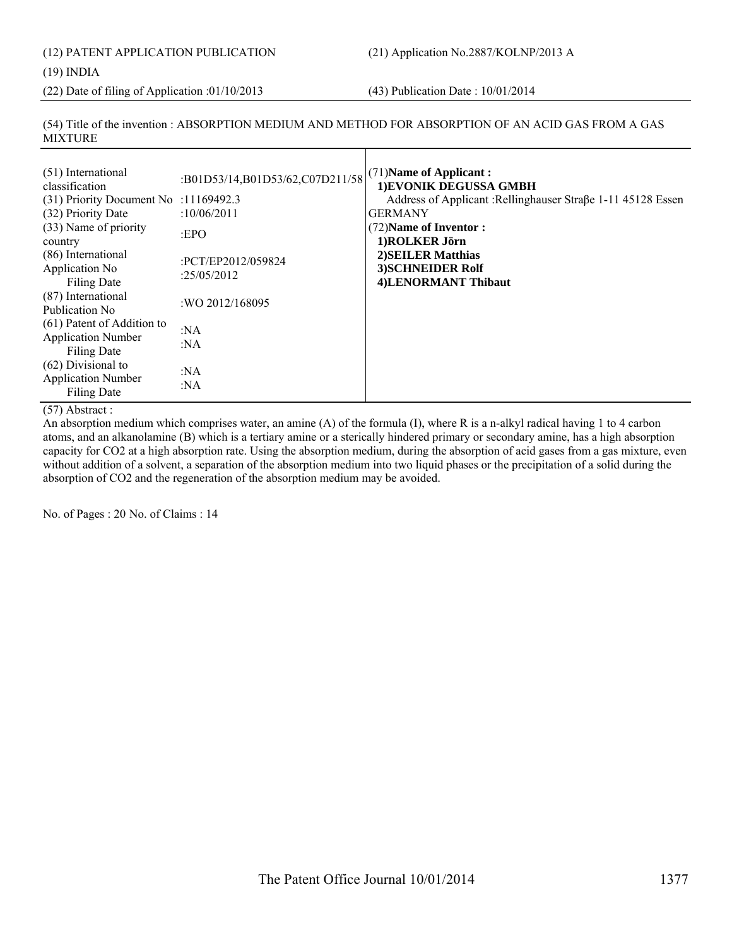(12) PATENT APPLICATION PUBLICATION (21) Application No.2887/KOLNP/2013 A (19) INDIA

(22) Date of filing of Application :01/10/2013 (43) Publication Date : 10/01/2014

(54) Title of the invention : ABSORPTION MEDIUM AND METHOD FOR ABSORPTION OF AN ACID GAS FROM A GAS MIXTURE

| (51) International<br>classification<br>$(31)$ Priority Document No :11169492.3<br>(32) Priority Date | :B01D53/14,B01D53/62,C07D211/58<br>:10/06/2011 | (71) Name of Applicant:<br>1) EVONIK DEGUSSA GMBH<br>Address of Applicant : Rellinghauser Straße 1-11 45128 Essen<br><b>GERMANY</b> |
|-------------------------------------------------------------------------------------------------------|------------------------------------------------|-------------------------------------------------------------------------------------------------------------------------------------|
| (33) Name of priority<br>country                                                                      | :EPO                                           | (72) Name of Inventor:<br>1)ROLKER Jörn                                                                                             |
| (86) International<br>Application No<br><b>Filing Date</b>                                            | :PCT/EP2012/059824<br>:25/05/2012              | 2) SEILER Matthias<br>3) SCHNEIDER Rolf<br>4)LENORMANT Thibaut                                                                      |
| (87) International<br>Publication No.                                                                 | :WO 2012/168095                                |                                                                                                                                     |
| (61) Patent of Addition to<br><b>Application Number</b><br>Filing Date                                | : $NA$<br>: $NA$                               |                                                                                                                                     |
| $(62)$ Divisional to<br><b>Application Number</b><br><b>Filing Date</b>                               | :NA<br>:NA                                     |                                                                                                                                     |

(57) Abstract :

An absorption medium which comprises water, an amine (A) of the formula (I), where R is a n-alkyl radical having 1 to 4 carbon atoms, and an alkanolamine (B) which is a tertiary amine or a sterically hindered primary or secondary amine, has a high absorption capacity for CO2 at a high absorption rate. Using the absorption medium, during the absorption of acid gases from a gas mixture, even without addition of a solvent, a separation of the absorption medium into two liquid phases or the precipitation of a solid during the absorption of CO2 and the regeneration of the absorption medium may be avoided.

No. of Pages : 20 No. of Claims : 14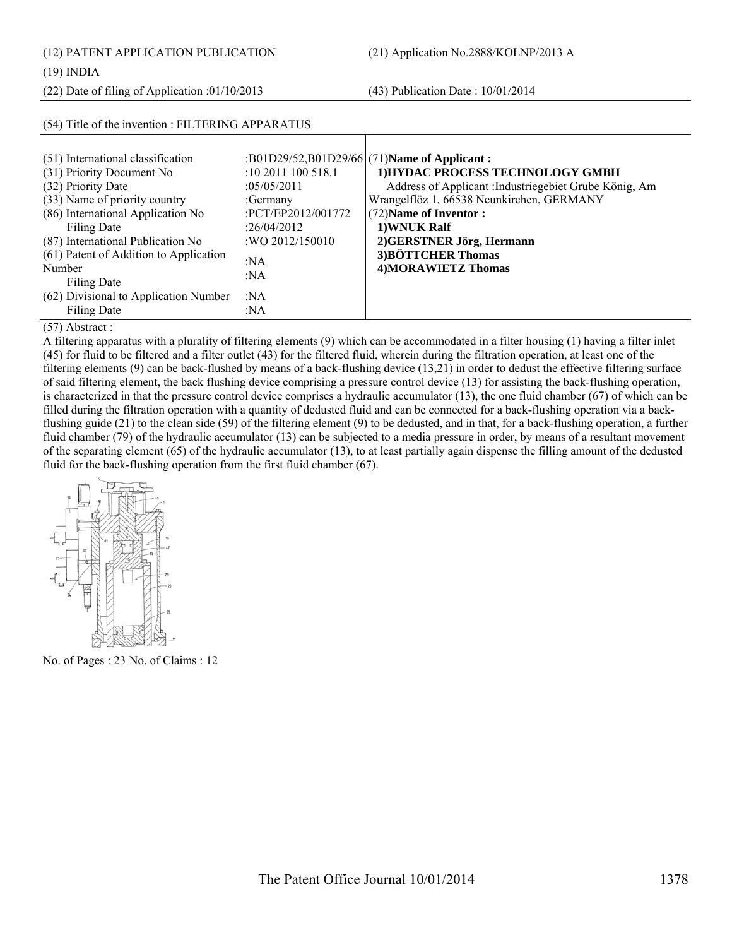(12) PATENT APPLICATION PUBLICATION (21) Application No.2888/KOLNP/2013 A

(54) Title of the invention : FILTERING APPARATUS

(22) Date of filing of Application :01/10/2013 (43) Publication Date : 10/01/2014

| (51) International classification      |                    | :B01D29/52,B01D29/66 (71)Name of Applicant:            |
|----------------------------------------|--------------------|--------------------------------------------------------|
| (31) Priority Document No              | :10 2011 100 518.1 | 1) HYDAC PROCESS TECHNOLOGY GMBH                       |
| (32) Priority Date                     | :05/05/2011        | Address of Applicant : Industriegebiet Grube König, Am |
| (33) Name of priority country          | :Germany           | Wrangelflöz 1, 66538 Neunkirchen, GERMANY              |
| (86) International Application No      | :PCT/EP2012/001772 | (72) Name of Inventor:                                 |
| Filing Date                            | :26/04/2012        | 1) WNUK Ralf                                           |
| (87) International Publication No      | : WO 2012/150010   | 2) GERSTNER Jörg, Hermann                              |
| (61) Patent of Addition to Application | :NA                | 3) BÖTTCHER Thomas                                     |
| Number                                 | :NA                | 4) MORAWIETZ Thomas                                    |
| Filing Date                            |                    |                                                        |
| (62) Divisional to Application Number  | :NA                |                                                        |
| <b>Filing Date</b>                     | :NA                |                                                        |

(57) Abstract :

A filtering apparatus with a plurality of filtering elements (9) which can be accommodated in a filter housing (1) having a filter inlet (45) for fluid to be filtered and a filter outlet (43) for the filtered fluid, wherein during the filtration operation, at least one of the filtering elements (9) can be back-flushed by means of a back-flushing device (13,21) in order to dedust the effective filtering surface of said filtering element, the back flushing device comprising a pressure control device (13) for assisting the back-flushing operation, is characterized in that the pressure control device comprises a hydraulic accumulator (13), the one fluid chamber (67) of which can be filled during the filtration operation with a quantity of dedusted fluid and can be connected for a back-flushing operation via a backflushing guide (21) to the clean side (59) of the filtering element (9) to be dedusted, and in that, for a back-flushing operation, a further fluid chamber (79) of the hydraulic accumulator (13) can be subjected to a media pressure in order, by means of a resultant movement of the separating element (65) of the hydraulic accumulator (13), to at least partially again dispense the filling amount of the dedusted fluid for the back-flushing operation from the first fluid chamber (67).



No. of Pages : 23 No. of Claims : 12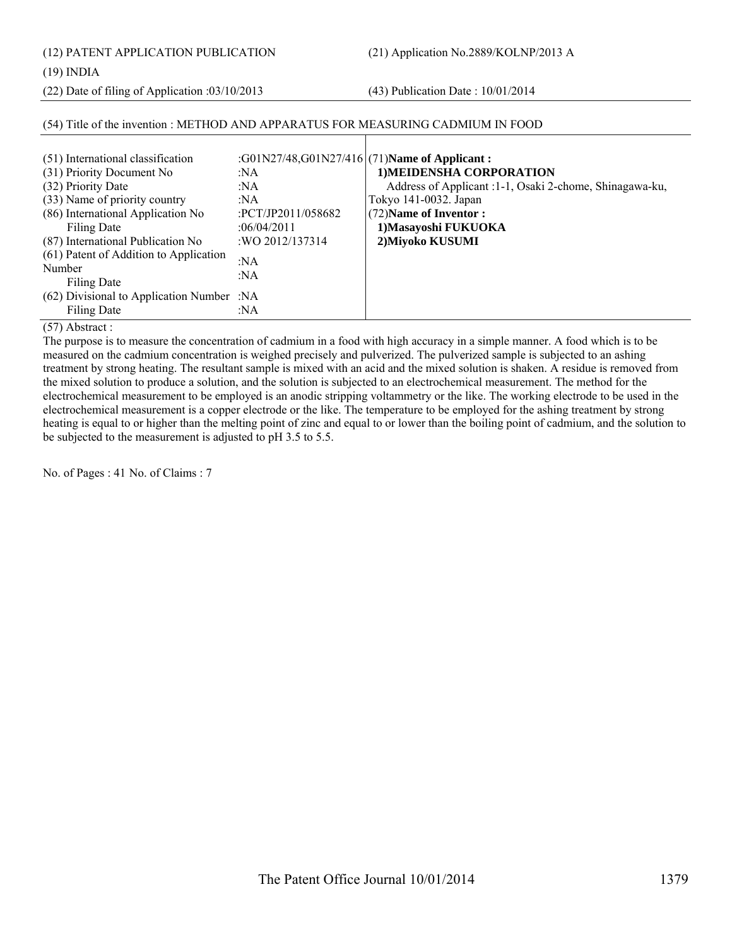(12) PATENT APPLICATION PUBLICATION (21) Application No.2889/KOLNP/2013 A

#### (19) INDIA

(22) Date of filing of Application :03/10/2013 (43) Publication Date : 10/01/2014

### (54) Title of the invention : METHOD AND APPARATUS FOR MEASURING CADMIUM IN FOOD

| (51) International classification<br>(31) Priority Document No<br>(32) Priority Date<br>(33) Name of priority country<br>(86) International Application No<br>Filing Date<br>(87) International Publication No<br>(61) Patent of Addition to Application<br>Number<br>Filing Date<br>(62) Divisional to Application Number :NA | :G01N27/48,G01N27/416 (71) Name of Applicant:<br>:NA<br>:NA<br>:NA<br>:PCT/JP2011/058682<br>:06/04/2011<br>: WO 2012/137314<br>:NA<br>:NA | 1) MEIDENSHA CORPORATION<br>Address of Applicant :1-1, Osaki 2-chome, Shinagawa-ku,<br>Tokyo 141-0032. Japan<br>(72) Name of Inventor:<br>1) Masayoshi FUKUOKA<br>2) Miyoko KUSUMI |
|--------------------------------------------------------------------------------------------------------------------------------------------------------------------------------------------------------------------------------------------------------------------------------------------------------------------------------|-------------------------------------------------------------------------------------------------------------------------------------------|------------------------------------------------------------------------------------------------------------------------------------------------------------------------------------|
| Filing Date                                                                                                                                                                                                                                                                                                                    | :NA                                                                                                                                       |                                                                                                                                                                                    |

(57) Abstract :

The purpose is to measure the concentration of cadmium in a food with high accuracy in a simple manner. A food which is to be measured on the cadmium concentration is weighed precisely and pulverized. The pulverized sample is subjected to an ashing treatment by strong heating. The resultant sample is mixed with an acid and the mixed solution is shaken. A residue is removed from the mixed solution to produce a solution, and the solution is subjected to an electrochemical measurement. The method for the electrochemical measurement to be employed is an anodic stripping voltammetry or the like. The working electrode to be used in the electrochemical measurement is a copper electrode or the like. The temperature to be employed for the ashing treatment by strong heating is equal to or higher than the melting point of zinc and equal to or lower than the boiling point of cadmium, and the solution to be subjected to the measurement is adjusted to pH 3.5 to 5.5.

No. of Pages : 41 No. of Claims : 7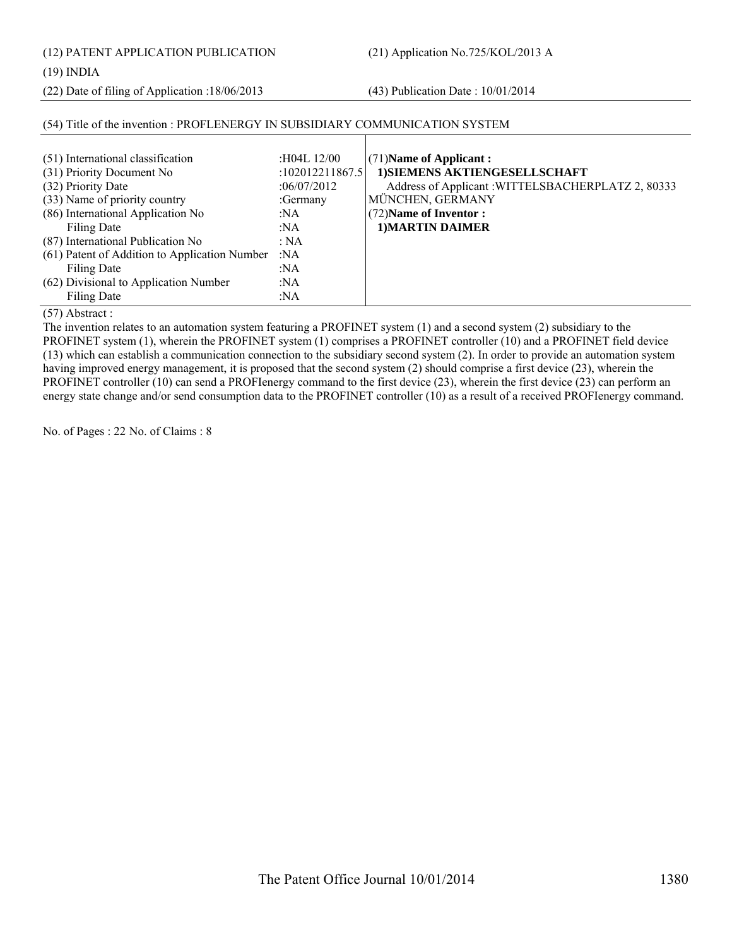(12) PATENT APPLICATION PUBLICATION (21) Application No.725/KOL/2013 A

#### (19) INDIA

(22) Date of filing of Application :18/06/2013 (43) Publication Date : 10/01/2014

| (51) International classification             | :H04L 12/00     | $(71)$ Name of Applicant:                          |
|-----------------------------------------------|-----------------|----------------------------------------------------|
| (31) Priority Document No                     | :102012211867.5 | 1) SIEMENS AKTIENGESELLSCHAFT                      |
| (32) Priority Date                            | :06/07/2012     | Address of Applicant : WITTELSBACHERPLATZ 2, 80333 |
| (33) Name of priority country                 | :Germany        | MÜNCHEN, GERMANY                                   |
| (86) International Application No             | :NA             | (72) Name of Inventor:                             |
| Filing Date                                   | :NA             | 1) MARTIN DAIMER                                   |
| (87) International Publication No             | : NA            |                                                    |
| (61) Patent of Addition to Application Number | $\cdot$ NA      |                                                    |
| Filing Date                                   | :NA             |                                                    |
| (62) Divisional to Application Number         | :NA             |                                                    |
| Filing Date                                   | :NA             |                                                    |

### (54) Title of the invention : PROFLENERGY IN SUBSIDIARY COMMUNICATION SYSTEM

(57) Abstract :

The invention relates to an automation system featuring a PROFINET system (1) and a second system (2) subsidiary to the PROFINET system (1), wherein the PROFINET system (1) comprises a PROFINET controller (10) and a PROFINET field device (13) which can establish a communication connection to the subsidiary second system (2). In order to provide an automation system having improved energy management, it is proposed that the second system (2) should comprise a first device (23), wherein the PROFINET controller (10) can send a PROFIenergy command to the first device (23), wherein the first device (23) can perform an energy state change and/or send consumption data to the PROFINET controller (10) as a result of a received PROFIenergy command.

No. of Pages : 22 No. of Claims : 8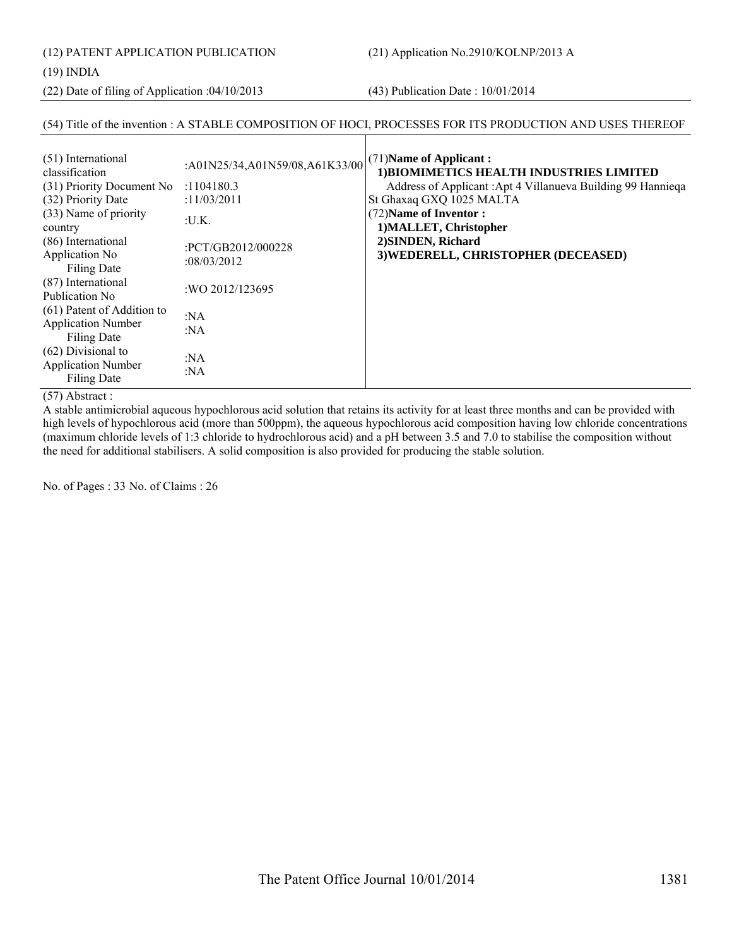(12) PATENT APPLICATION PUBLICATION (21) Application No.2910/KOLNP/2013 A

#### (19) INDIA

(22) Date of filing of Application :04/10/2013 (43) Publication Date : 10/01/2014

### (54) Title of the invention : A STABLE COMPOSITION OF HOCI, PROCESSES FOR ITS PRODUCTION AND USES THEREOF

| (51) International<br>classification<br>(31) Priority Document No             | :A01N25/34,A01N59/08,A61K33/00<br>:1104180.3 | (71) Name of Applicant:<br>1) BIOMIMETICS HEALTH INDUSTRIES LIMITED<br>Address of Applicant: Apt 4 Villanueva Building 99 Hanniega |
|-------------------------------------------------------------------------------|----------------------------------------------|------------------------------------------------------------------------------------------------------------------------------------|
| (32) Priority Date                                                            | :11/03/2011                                  | St Ghaxaq GXQ 1025 MALTA                                                                                                           |
| (33) Name of priority<br>country                                              | :U.K.                                        | (72) Name of Inventor:<br>1) MALLET, Christopher                                                                                   |
| (86) International<br>Application No<br><b>Filing Date</b>                    | :PCT/GB2012/000228<br>:08/03/2012            | 2) SINDEN, Richard<br>3) WEDERELL, CHRISTOPHER (DECEASED)                                                                          |
| (87) International<br>Publication No.                                         | :WO 2012/123695                              |                                                                                                                                    |
| (61) Patent of Addition to<br><b>Application Number</b><br><b>Filing Date</b> | :NA<br>:NA                                   |                                                                                                                                    |
| $(62)$ Divisional to<br><b>Application Number</b><br><b>Filing Date</b>       | :NA<br>:NA                                   |                                                                                                                                    |

### (57) Abstract :

A stable antimicrobial aqueous hypochlorous acid solution that retains its activity for at least three months and can be provided with high levels of hypochlorous acid (more than 500ppm), the aqueous hypochlorous acid composition having low chloride concentrations (maximum chloride levels of 1:3 chloride to hydrochlorous acid) and a pH between 3.5 and 7.0 to stabilise the composition without the need for additional stabilisers. A solid composition is also provided for producing the stable solution.

No. of Pages : 33 No. of Claims : 26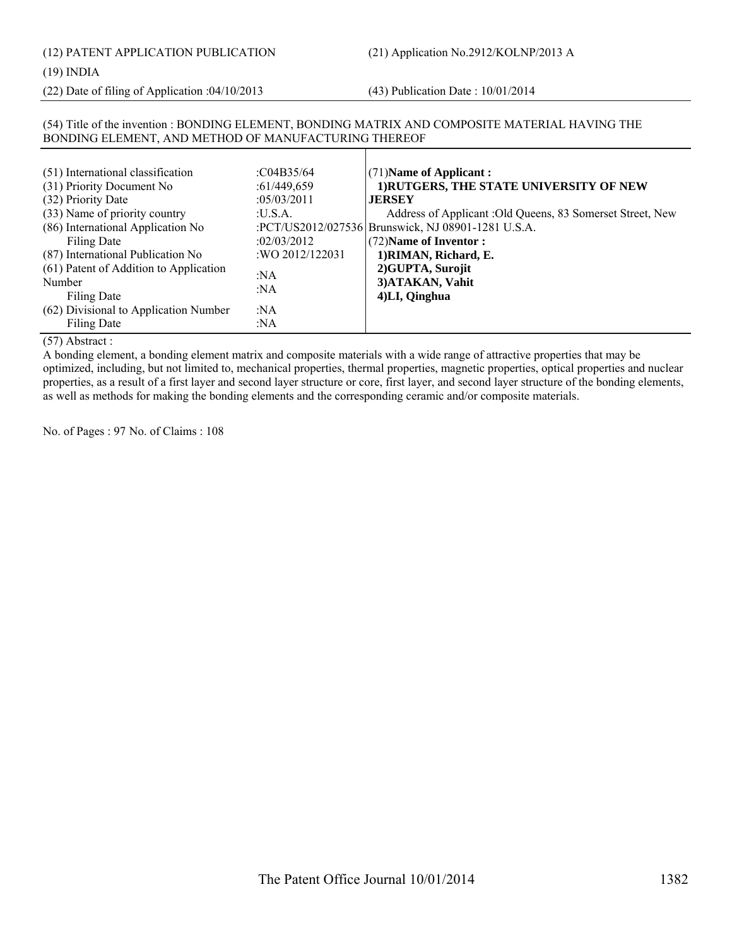(12) PATENT APPLICATION PUBLICATION (21) Application No.2912/KOLNP/2013 A

#### (19) INDIA

(22) Date of filing of Application :04/10/2013 (43) Publication Date : 10/01/2014

#### (54) Title of the invention : BONDING ELEMENT, BONDING MATRIX AND COMPOSITE MATERIAL HAVING THE BONDING ELEMENT, AND METHOD OF MANUFACTURING THEREOF

| (51) International classification<br>(31) Priority Document No<br>(32) Priority Date<br>(33) Name of priority country<br>(86) International Application No<br>Filing Date<br>(87) International Publication No<br>(61) Patent of Addition to Application | :C04B35/64<br>:61/449,659<br>:05/03/2011<br>:U.S.A.<br>:02/03/2012<br>:WO 2012/122031 | (71) Name of Applicant:<br>1) RUTGERS, THE STATE UNIVERSITY OF NEW<br><b>JERSEY</b><br>Address of Applicant : Old Queens, 83 Somerset Street, New<br>:PCT/US2012/027536 Brunswick, NJ 08901-1281 U.S.A.<br>(72) Name of Inventor:<br>1) RIMAN, Richard, E.<br>2) GUPTA, Surojit |
|----------------------------------------------------------------------------------------------------------------------------------------------------------------------------------------------------------------------------------------------------------|---------------------------------------------------------------------------------------|---------------------------------------------------------------------------------------------------------------------------------------------------------------------------------------------------------------------------------------------------------------------------------|
| Number<br>Filing Date                                                                                                                                                                                                                                    | : $NA$<br>:NA                                                                         | 3) ATAKAN, Vahit<br>4)LI, Qinghua                                                                                                                                                                                                                                               |
| (62) Divisional to Application Number<br>Filing Date                                                                                                                                                                                                     | :NA<br>:NA                                                                            |                                                                                                                                                                                                                                                                                 |

#### (57) Abstract :

A bonding element, a bonding element matrix and composite materials with a wide range of attractive properties that may be optimized, including, but not limited to, mechanical properties, thermal properties, magnetic properties, optical properties and nuclear properties, as a result of a first layer and second layer structure or core, first layer, and second layer structure of the bonding elements, as well as methods for making the bonding elements and the corresponding ceramic and/or composite materials.

No. of Pages : 97 No. of Claims : 108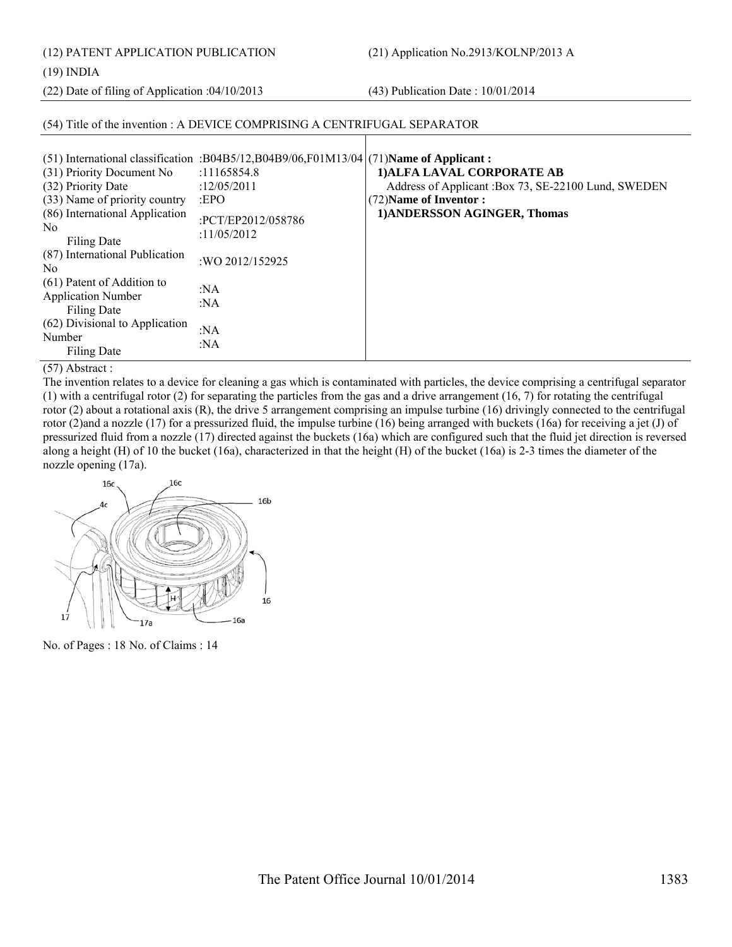(12) PATENT APPLICATION PUBLICATION (21) Application No.2913/KOLNP/2013 A

(19) INDIA

(22) Date of filing of Application :04/10/2013 (43) Publication Date : 10/01/2014

#### (54) Title of the invention : A DEVICE COMPRISING A CENTRIFUGAL SEPARATOR (51) International classification :B04B5/12,B04B9/06,F01M13/04 (31) Priority Document No :11165854.8 (32) Priority Date :12/05/2011 (33) Name of priority country :EPO (86) International Application No Filing Date :PCT/EP2012/058786 :11/05/2012 (87) International Publication No<br>No 2012/152925 (61) Patent of Addition to Application Number Filing Date :NA :NA (62) Divisional to Application Number Filing Date :NA :NA (71)**Name of Applicant : 1)ALFA LAVAL CORPORATE AB** Address of Applicant :Box 73, SE-22100 Lund, SWEDEN (72)**Name of Inventor : 1)ANDERSSON AGINGER, Thomas**

#### (57) Abstract :

The invention relates to a device for cleaning a gas which is contaminated with particles, the device comprising a centrifugal separator (1) with a centrifugal rotor (2) for separating the particles from the gas and a drive arrangement  $(16, 7)$  for rotating the centrifugal rotor (2) about a rotational axis  $(R)$ , the drive 5 arrangement comprising an impulse turbine (16) drivingly connected to the centrifugal rotor (2)and a nozzle (17) for a pressurized fluid, the impulse turbine (16) being arranged with buckets (16a) for receiving a jet (J) of pressurized fluid from a nozzle (17) directed against the buckets (16a) which are configured such that the fluid jet direction is reversed along a height (H) of 10 the bucket (16a), characterized in that the height (H) of the bucket (16a) is 2-3 times the diameter of the nozzle opening (17a).



No. of Pages : 18 No. of Claims : 14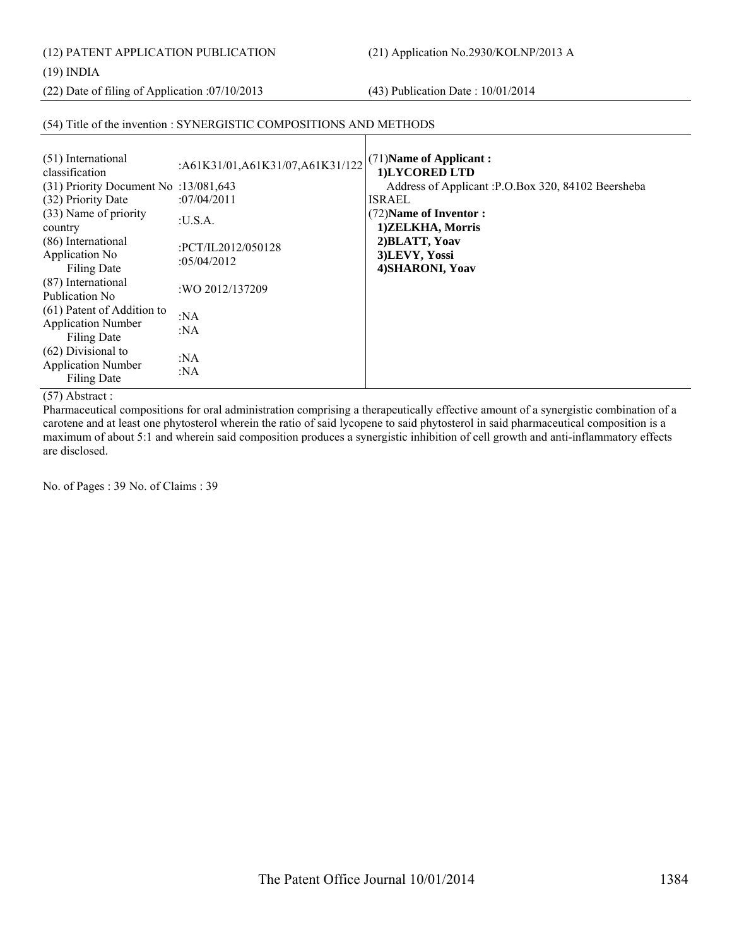(12) PATENT APPLICATION PUBLICATION (21) Application No.2930/KOLNP/2013 A

#### (19) INDIA

(22) Date of filing of Application :07/10/2013 (43) Publication Date : 10/01/2014

### (54) Title of the invention : SYNERGISTIC COMPOSITIONS AND METHODS

| (51) International<br>classification<br>$(31)$ Priority Document No :13/081,643<br>(32) Priority Date<br>(33) Name of priority<br>country<br>(86) International<br>Application No<br><b>Filing Date</b><br>(87) International<br>Publication No.<br>(61) Patent of Addition to<br><b>Application Number</b><br>Filing Date | :A61K31/01,A61K31/07,A61K31/122<br>:07/04/2011<br>:U.S.A.<br>:PCT/IL2012/050128<br>:05/04/2012<br>:WO 2012/137209<br>: $NA$<br>:NA | $(71)$ Name of Applicant:<br>1)LYCORED LTD<br>Address of Applicant : P.O.Box 320, 84102 Beersheba<br><b>ISRAEL</b><br>(72) Name of Inventor :<br>1) ZELKHA, Morris<br>2) BLATT, Yoav<br>3)LEVY, Yossi<br>4) SHARONI, Yoav |
|----------------------------------------------------------------------------------------------------------------------------------------------------------------------------------------------------------------------------------------------------------------------------------------------------------------------------|------------------------------------------------------------------------------------------------------------------------------------|---------------------------------------------------------------------------------------------------------------------------------------------------------------------------------------------------------------------------|
| $(62)$ Divisional to<br><b>Application Number</b><br><b>Filing Date</b>                                                                                                                                                                                                                                                    | : $NA$<br>: $NA$                                                                                                                   |                                                                                                                                                                                                                           |

 $\mathbf{I}$ 

### (57) Abstract :

Pharmaceutical compositions for oral administration comprising a therapeutically effective amount of a synergistic combination of a carotene and at least one phytosterol wherein the ratio of said lycopene to said phytosterol in said pharmaceutical composition is a maximum of about 5:1 and wherein said composition produces a synergistic inhibition of cell growth and anti-inflammatory effects are disclosed.

No. of Pages : 39 No. of Claims : 39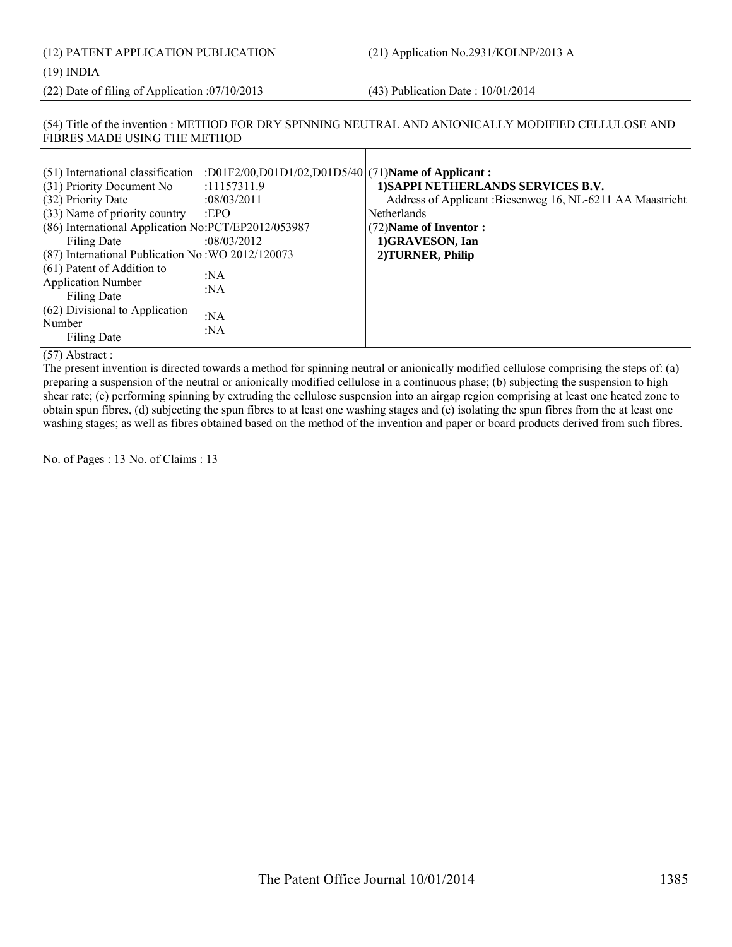# (12) PATENT APPLICATION PUBLICATION (21) Application No.2931/KOLNP/2013 A (19) INDIA

(22) Date of filing of Application :07/10/2013 (43) Publication Date : 10/01/2014

#### (54) Title of the invention : METHOD FOR DRY SPINNING NEUTRAL AND ANIONICALLY MODIFIED CELLULOSE AND FIBRES MADE USING THE METHOD

| (51) International classification                       | :D01F2/00,D01D1/02,D01D5/40 (71)Name of Applicant: |                                                            |
|---------------------------------------------------------|----------------------------------------------------|------------------------------------------------------------|
| (31) Priority Document No                               | :11157311.9                                        | 1) SAPPI NETHERLANDS SERVICES B.V.                         |
| (32) Priority Date                                      | :08/03/2011                                        | Address of Applicant : Biesenweg 16, NL-6211 AA Maastricht |
| (33) Name of priority country                           | EPO                                                | <b>Netherlands</b>                                         |
| (86) International Application No:PCT/EP2012/053987     |                                                    | (72) Name of Inventor:                                     |
| Filing Date                                             | :08/03/2012                                        | 1)GRAVESON, Ian                                            |
| (87) International Publication No: WO 2012/120073       |                                                    | 2) TURNER, Philip                                          |
| (61) Patent of Addition to<br><b>Application Number</b> | :NA<br>:NA                                         |                                                            |
| Filing Date                                             |                                                    |                                                            |
| (62) Divisional to Application<br>Number                | :NA                                                |                                                            |
| Filing Date                                             | :NA                                                |                                                            |

(57) Abstract :

The present invention is directed towards a method for spinning neutral or anionically modified cellulose comprising the steps of: (a) preparing a suspension of the neutral or anionically modified cellulose in a continuous phase; (b) subjecting the suspension to high shear rate; (c) performing spinning by extruding the cellulose suspension into an airgap region comprising at least one heated zone to obtain spun fibres, (d) subjecting the spun fibres to at least one washing stages and (e) isolating the spun fibres from the at least one washing stages; as well as fibres obtained based on the method of the invention and paper or board products derived from such fibres.

No. of Pages : 13 No. of Claims : 13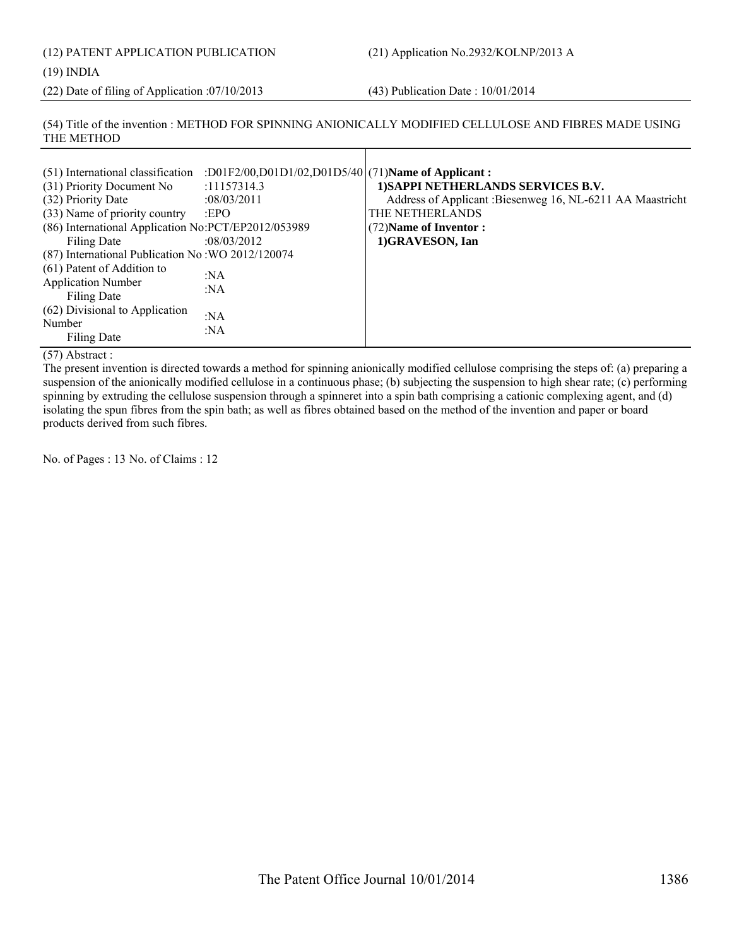# (12) PATENT APPLICATION PUBLICATION (21) Application No.2932/KOLNP/2013 A

(19) INDIA

(22) Date of filing of Application :07/10/2013 (43) Publication Date : 10/01/2014

(54) Title of the invention : METHOD FOR SPINNING ANIONICALLY MODIFIED CELLULOSE AND FIBRES MADE USING THE METHOD

| (51) International classification                   | :D01F2/00,D01D1/02,D01D5/40 (71)Name of Applicant: |                                                            |
|-----------------------------------------------------|----------------------------------------------------|------------------------------------------------------------|
| (31) Priority Document No                           | :11157314.3                                        | 1) SAPPI NETHERLANDS SERVICES B.V.                         |
| (32) Priority Date                                  | :08/03/2011                                        | Address of Applicant : Biesenweg 16, NL-6211 AA Maastricht |
| (33) Name of priority country                       | EPO                                                | THE NETHERLANDS                                            |
| (86) International Application No:PCT/EP2012/053989 |                                                    | (72) Name of Inventor:                                     |
| Filing Date                                         | :08/03/2012                                        | 1)GRAVESON, Ian                                            |
| (87) International Publication No: WO 2012/120074   |                                                    |                                                            |
| (61) Patent of Addition to                          | : $NA$                                             |                                                            |
| <b>Application Number</b>                           |                                                    |                                                            |
| <b>Filing Date</b>                                  | :NA                                                |                                                            |
| (62) Divisional to Application                      | :NA                                                |                                                            |
| Number                                              |                                                    |                                                            |
| Filing Date                                         | : $NA$                                             |                                                            |

(57) Abstract :

The present invention is directed towards a method for spinning anionically modified cellulose comprising the steps of: (a) preparing a suspension of the anionically modified cellulose in a continuous phase; (b) subjecting the suspension to high shear rate; (c) performing spinning by extruding the cellulose suspension through a spinneret into a spin bath comprising a cationic complexing agent, and (d) isolating the spun fibres from the spin bath; as well as fibres obtained based on the method of the invention and paper or board products derived from such fibres.

No. of Pages : 13 No. of Claims : 12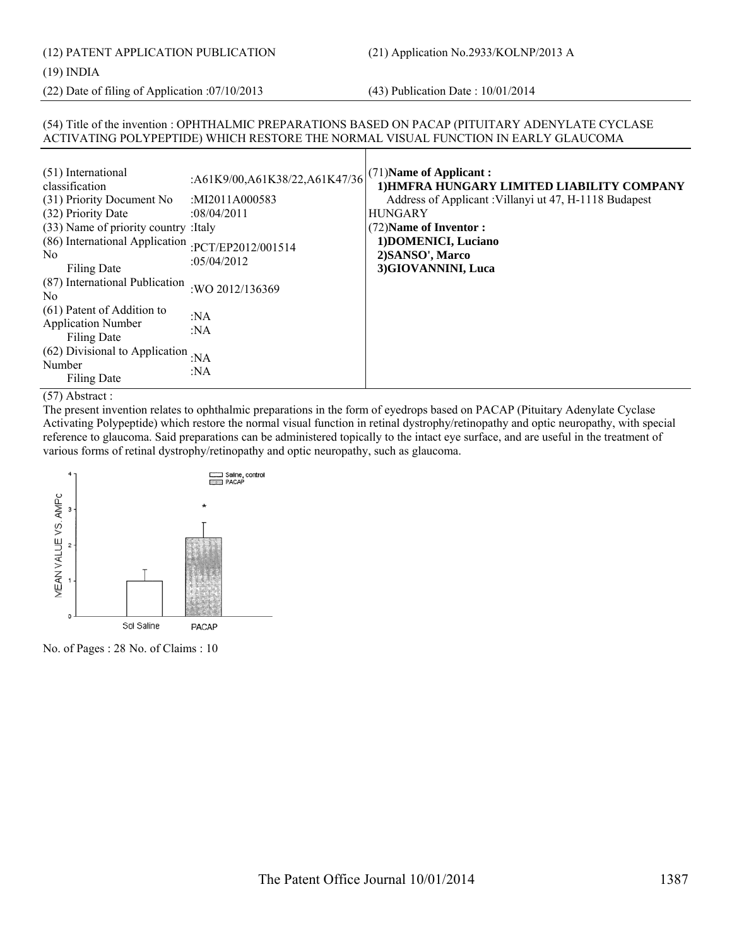#### (19) INDIA

(22) Date of filing of Application :07/10/2013 (43) Publication Date : 10/01/2014

#### (54) Title of the invention : OPHTHALMIC PREPARATIONS BASED ON PACAP (PITUITARY ADENYLATE CYCLASE ACTIVATING POLYPEPTIDE) WHICH RESTORE THE NORMAL VISUAL FUNCTION IN EARLY GLAUCOMA

| (51) International<br>classification<br>(31) Priority Document No<br>(32) Priority Date<br>(33) Name of priority country: Italy<br>(86) International Application<br>No.<br>Filing Date | :A61K9/00,A61K38/22,A61K47/36<br>:MI2011A000583<br>:08/04/2011<br>:PCT/EP2012/001514<br>: $05/04/2012$ | (71) Name of Applicant:<br>1) HMFRA HUNGARY LIMITED LIABILITY COMPANY<br>Address of Applicant: Villanyi ut 47, H-1118 Budapest<br><b>HUNGARY</b><br>(72) Name of Inventor:<br>1) DOMENICI, Luciano<br>2) SANSO', Marco<br>3)GIOVANNINI, Luca |
|-----------------------------------------------------------------------------------------------------------------------------------------------------------------------------------------|--------------------------------------------------------------------------------------------------------|----------------------------------------------------------------------------------------------------------------------------------------------------------------------------------------------------------------------------------------------|
| (87) International Publication<br>N <sub>0</sub>                                                                                                                                        | :WO 2012/136369                                                                                        |                                                                                                                                                                                                                                              |
| (61) Patent of Addition to<br><b>Application Number</b><br>Filing Date                                                                                                                  | : $NA$<br>:NA                                                                                          |                                                                                                                                                                                                                                              |
| (62) Divisional to Application<br>Number<br>Filing Date                                                                                                                                 | :NA<br>:NA                                                                                             |                                                                                                                                                                                                                                              |

#### (57) Abstract :

The present invention relates to ophthalmic preparations in the form of eyedrops based on PACAP (Pituitary Adenylate Cyclase Activating Polypeptide) which restore the normal visual function in retinal dystrophy/retinopathy and optic neuropathy, with special reference to glaucoma. Said preparations can be administered topically to the intact eye surface, and are useful in the treatment of various forms of retinal dystrophy/retinopathy and optic neuropathy, such as glaucoma.



No. of Pages : 28 No. of Claims : 10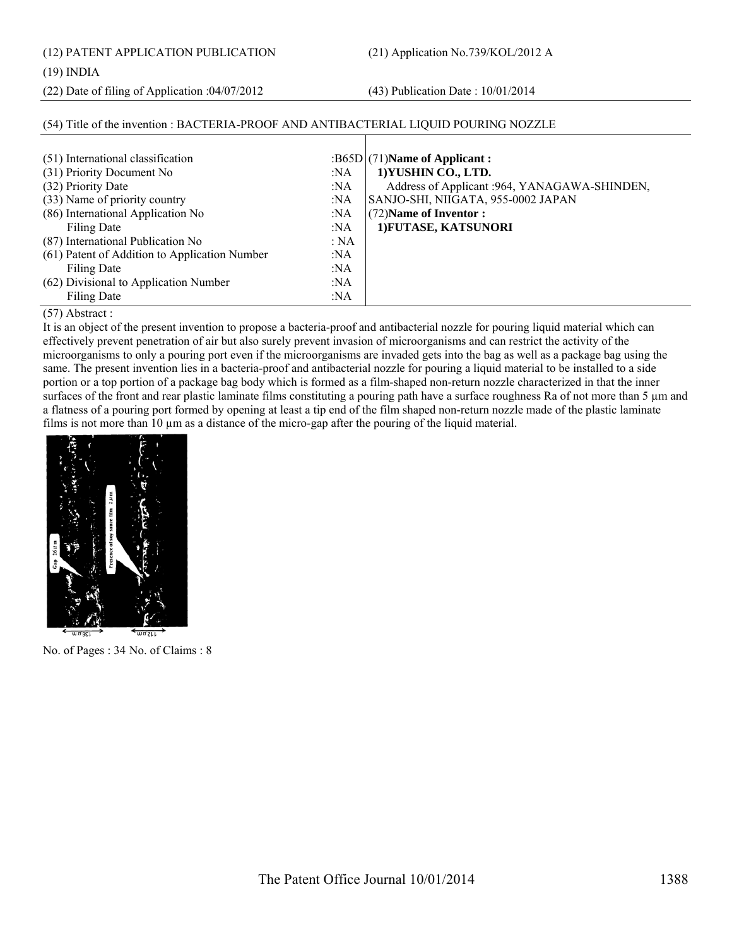(12) PATENT APPLICATION PUBLICATION (21) Application No.739/KOL/2012 A

#### (19) INDIA

(22) Date of filing of Application :04/07/2012 (43) Publication Date : 10/01/2014

#### (54) Title of the invention : BACTERIA-PROOF AND ANTIBACTERIAL LIQUID POURING NOZZLE

| (51) International classification             |      | $:B65D(71)$ Name of Applicant :               |
|-----------------------------------------------|------|-----------------------------------------------|
| (31) Priority Document No                     | :NA  | 1) YUSHIN CO., LTD.                           |
| (32) Priority Date                            | :NA  | Address of Applicant : 964, YANAGAWA-SHINDEN, |
| (33) Name of priority country                 | :NA  | SANJO-SHI, NIIGATA, 955-0002 JAPAN            |
| (86) International Application No             | :NA  | (72) Name of Inventor:                        |
| Filing Date                                   | :NA  | 1) FUTASE, KATSUNORI                          |
| (87) International Publication No             | : NA |                                               |
| (61) Patent of Addition to Application Number | :NA  |                                               |
| Filing Date                                   | :NA  |                                               |
| (62) Divisional to Application Number         | :NA  |                                               |
| Filing Date                                   | :NA  |                                               |

#### (57) Abstract :

It is an object of the present invention to propose a bacteria-proof and antibacterial nozzle for pouring liquid material which can effectively prevent penetration of air but also surely prevent invasion of microorganisms and can restrict the activity of the microorganisms to only a pouring port even if the microorganisms are invaded gets into the bag as well as a package bag using the same. The present invention lies in a bacteria-proof and antibacterial nozzle for pouring a liquid material to be installed to a side portion or a top portion of a package bag body which is formed as a film-shaped non-return nozzle characterized in that the inner surfaces of the front and rear plastic laminate films constituting a pouring path have a surface roughness Ra of not more than 5  $\mu$ m and a flatness of a pouring port formed by opening at least a tip end of the film shaped non-return nozzle made of the plastic laminate films is not more than 10  $\mu$ m as a distance of the micro-gap after the pouring of the liquid material.



No. of Pages : 34 No. of Claims : 8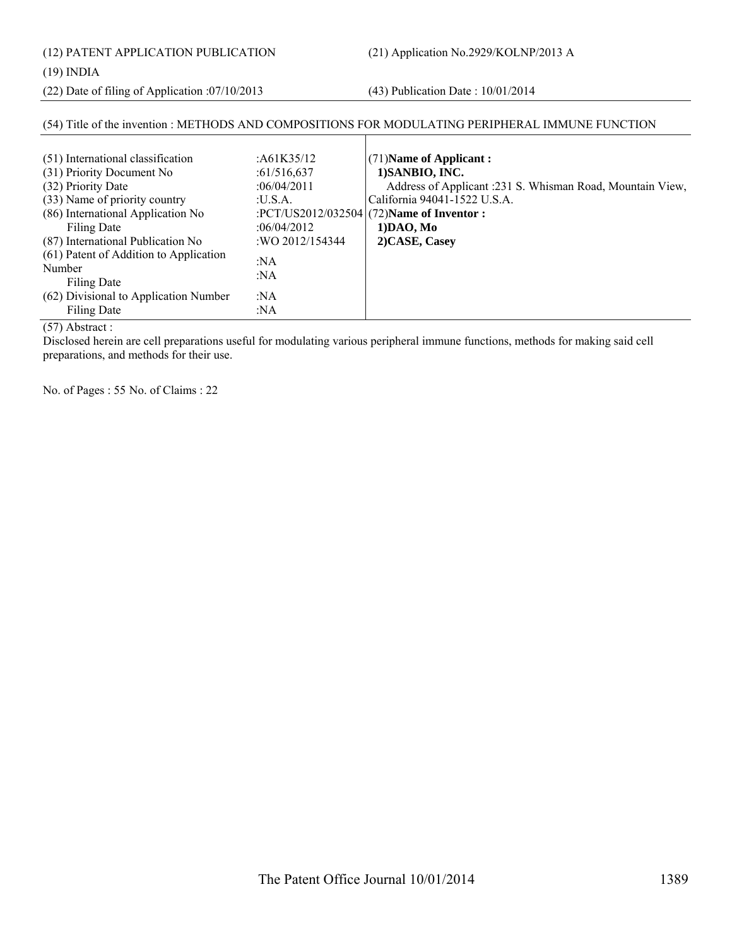(12) PATENT APPLICATION PUBLICATION (21) Application No.2929/KOLNP/2013 A

#### (19) INDIA

(22) Date of filing of Application :07/10/2013 (43) Publication Date : 10/01/2014

#### (54) Title of the invention : METHODS AND COMPOSITIONS FOR MODULATING PERIPHERAL IMMUNE FUNCTION

| (51) International classification<br>(31) Priority Document No                                       | : $A61K35/12$<br>:61/516,637  | $(71)$ Name of Applicant:<br>1) SANBIO, INC.                                              |
|------------------------------------------------------------------------------------------------------|-------------------------------|-------------------------------------------------------------------------------------------|
| (32) Priority Date<br>(33) Name of priority country                                                  | :06/04/2011<br>:U.S.A.        | Address of Applicant :231 S. Whisman Road, Mountain View,<br>California 94041-1522 U.S.A. |
| (86) International Application No<br>Filing Date                                                     | :06/04/2012                   | :PCT/US2012/032504 $(72)$ Name of Inventor :<br>1) DAO, Mo                                |
| (87) International Publication No<br>(61) Patent of Addition to Application<br>Number<br>Filing Date | :WO 2012/154344<br>:NA<br>:NA | 2) CASE, Casey                                                                            |
| (62) Divisional to Application Number<br>Filing Date                                                 | :NA<br>:NA                    |                                                                                           |

#### (57) Abstract :

Disclosed herein are cell preparations useful for modulating various peripheral immune functions, methods for making said cell preparations, and methods for their use.

No. of Pages : 55 No. of Claims : 22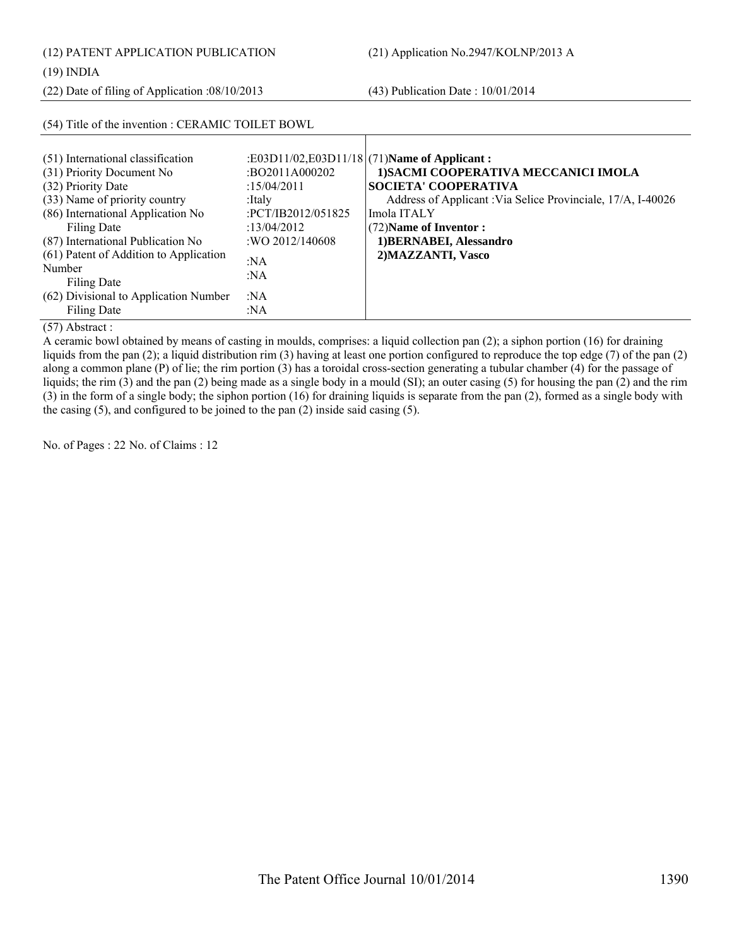| (12) PATENT APPLICATION PUBLICATION<br>$(19)$ INDIA                                                                                                                       |                                                                                        | (21) Application No.2947/KOLNP/2013 A                                                                                                                                                                                 |  |  |
|---------------------------------------------------------------------------------------------------------------------------------------------------------------------------|----------------------------------------------------------------------------------------|-----------------------------------------------------------------------------------------------------------------------------------------------------------------------------------------------------------------------|--|--|
| $(22)$ Date of filing of Application :08/10/2013                                                                                                                          |                                                                                        | $(43)$ Publication Date: $10/01/2014$                                                                                                                                                                                 |  |  |
| (54) Title of the invention : CERAMIC TOILET BOWL                                                                                                                         |                                                                                        |                                                                                                                                                                                                                       |  |  |
| (51) International classification<br>(31) Priority Document No<br>(32) Priority Date<br>(33) Name of priority country<br>(86) International Application No<br>Filing Date | :BO2011A000202<br>:15/04/2011<br>:Italy<br>$\cdot$ PCT/IB2012/051825<br>: $13/04/2012$ | :E03D11/02,E03D11/18 (71) Name of Applicant:<br>1) SACMI COOPERATIVA MECCANICI IMOLA<br>SOCIETA' COOPERATIVA<br>Address of Applicant : Via Selice Provinciale, 17/A, I-40026<br>Imola ITALY<br>(72) Name of Inventor: |  |  |
| (87) International Publication No<br>(61) Patent of Addition to Application                                                                                               | : WO 2012/140608<br>:NA                                                                | 1) BERNABEI, Alessandro<br>2) MAZZANTI, Vasco                                                                                                                                                                         |  |  |

(57) Abstract :

Filing Date

Filing Date

Number

A ceramic bowl obtained by means of casting in moulds, comprises: a liquid collection pan (2); a siphon portion (16) for draining liquids from the pan (2); a liquid distribution rim (3) having at least one portion configured to reproduce the top edge (7) of the pan (2) along a common plane (P) of lie; the rim portion (3) has a toroidal cross-section generating a tubular chamber (4) for the passage of liquids; the rim (3) and the pan (2) being made as a single body in a mould (SI); an outer casing (5) for housing the pan (2) and the rim (3) in the form of a single body; the siphon portion (16) for draining liquids is separate from the pan (2), formed as a single body with the casing (5), and configured to be joined to the pan (2) inside said casing (5).

:NA

:NA :NA

No. of Pages : 22 No. of Claims : 12

(62) Divisional to Application Number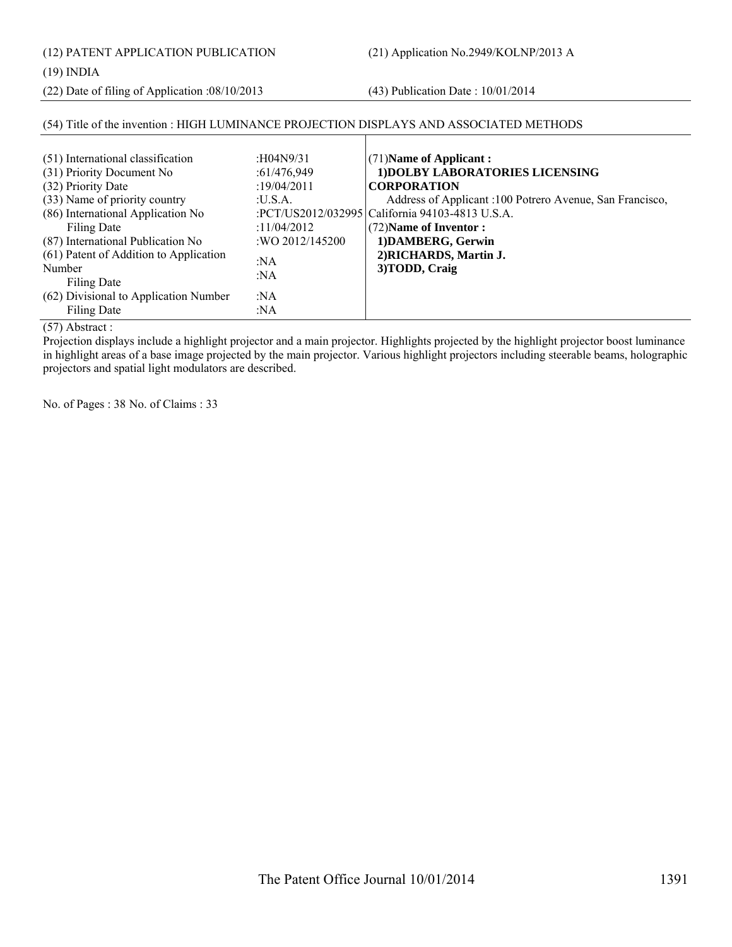(12) PATENT APPLICATION PUBLICATION (21) Application No.2949/KOLNP/2013 A

(22) Date of filing of Application :08/10/2013 (43) Publication Date : 10/01/2014

# (54) Title of the invention : HIGH LUMINANCE PROJECTION DISPLAYS AND ASSOCIATED METHODS

| (51) International classification<br>(31) Priority Document No<br>(32) Priority Date<br>(33) Name of priority country<br>(86) International Application No<br>Filing Date<br>(87) International Publication No<br>(61) Patent of Addition to Application<br>Number<br>Filing Date<br>(62) Divisional to Application Number<br>Filing Date | : $H04N9/31$<br>:61/476,949<br>:19/04/2011<br>:U.S.A.<br>: $11/04/2012$<br>:WO 2012/145200<br>: $NA$<br>:NA<br>:NA<br>:NA | $(71)$ Name of Applicant:<br>1) DOLBY LABORATORIES LICENSING<br><b>CORPORATION</b><br>Address of Applicant :100 Potrero Avenue, San Francisco,<br>:PCT/US2012/032995   California 94103-4813 U.S.A.<br>$(72)$ Name of Inventor :<br>1) DAMBERG, Gerwin<br>2) RICHARDS, Martin J.<br>3) TODD, Craig |
|-------------------------------------------------------------------------------------------------------------------------------------------------------------------------------------------------------------------------------------------------------------------------------------------------------------------------------------------|---------------------------------------------------------------------------------------------------------------------------|----------------------------------------------------------------------------------------------------------------------------------------------------------------------------------------------------------------------------------------------------------------------------------------------------|
|-------------------------------------------------------------------------------------------------------------------------------------------------------------------------------------------------------------------------------------------------------------------------------------------------------------------------------------------|---------------------------------------------------------------------------------------------------------------------------|----------------------------------------------------------------------------------------------------------------------------------------------------------------------------------------------------------------------------------------------------------------------------------------------------|

(57) Abstract :

Projection displays include a highlight projector and a main projector. Highlights projected by the highlight projector boost luminance in highlight areas of a base image projected by the main projector. Various highlight projectors including steerable beams, holographic projectors and spatial light modulators are described.

No. of Pages : 38 No. of Claims : 33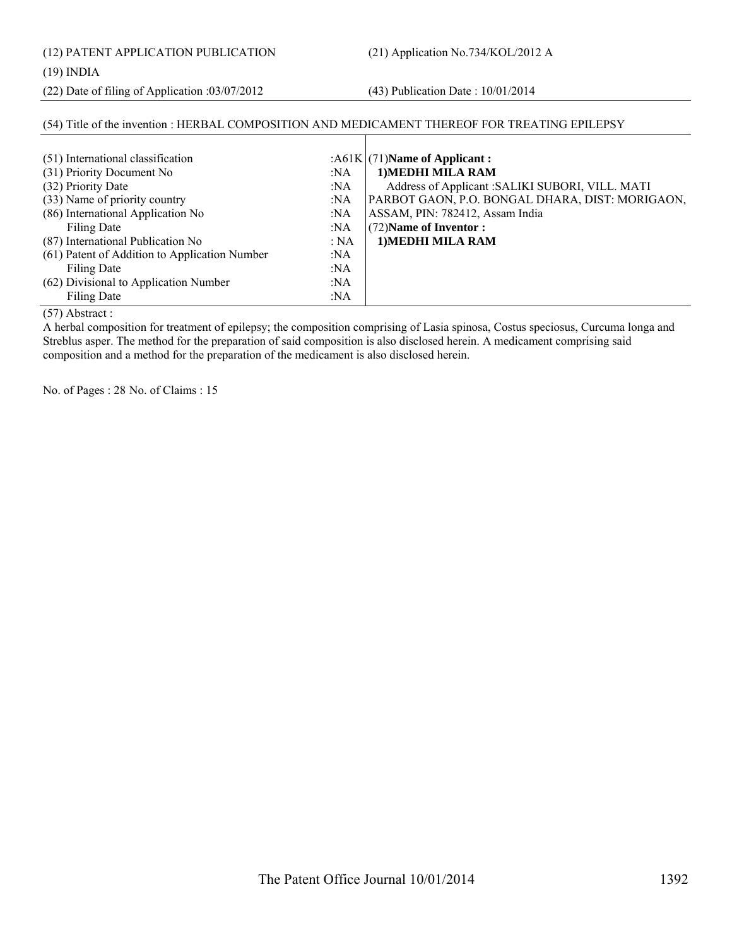(12) PATENT APPLICATION PUBLICATION (21) Application No.734/KOL/2012 A

#### (19) INDIA

(22) Date of filing of Application :03/07/2012 (43) Publication Date : 10/01/2014

#### (54) Title of the invention : HERBAL COMPOSITION AND MEDICAMENT THEREOF FOR TREATING EPILEPSY  $(51)$  International classification :A61K (31) Priority Document No :NA (32) Priority Date :NA (33) Name of priority country :NA (86) International Application No Filing Date :NA :NA (87) International Publication No : NA (61) Patent of Addition to Application Number Filing Date :NA :NA (62) Divisional to Application Number :NA (71)**Name of Applicant : 1)MEDHI MILA RAM** Address of Applicant :SALIKI SUBORI, VILL. MATI PARBOT GAON, P.O. BONGAL DHARA, DIST: MORIGAON, ASSAM, PIN: 782412, Assam India (72)**Name of Inventor : 1)MEDHI MILA RAM**

(57) Abstract :

Filing Date

A herbal composition for treatment of epilepsy; the composition comprising of Lasia spinosa, Costus speciosus, Curcuma longa and Streblus asper. The method for the preparation of said composition is also disclosed herein. A medicament comprising said composition and a method for the preparation of the medicament is also disclosed herein.

:NA

No. of Pages : 28 No. of Claims : 15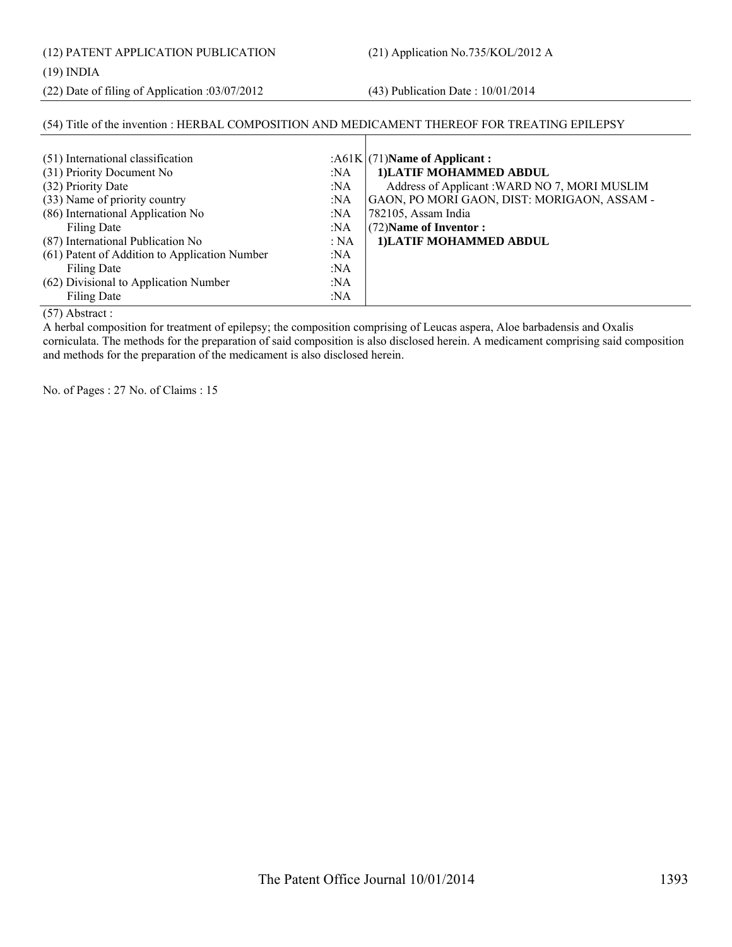(12) PATENT APPLICATION PUBLICATION (21) Application No.735/KOL/2012 A

#### (19) INDIA

(22) Date of filing of Application :03/07/2012 (43) Publication Date : 10/01/2014

## (54) Title of the invention : HERBAL COMPOSITION AND MEDICAMENT THEREOF FOR TREATING EPILEPSY

| (51) International classification<br>(31) Priority Document No<br>(32) Priority Date | :NA<br>:NA | : $A61K/(71)$ Name of Applicant:<br>1) LATIF MOHAMMED ABDUL<br>Address of Applicant: WARD NO 7, MORI MUSLIM |
|--------------------------------------------------------------------------------------|------------|-------------------------------------------------------------------------------------------------------------|
| (33) Name of priority country                                                        | :NA        | GAON, PO MORI GAON, DIST: MORIGAON, ASSAM -                                                                 |
| (86) International Application No                                                    | :NA        | 782105, Assam India                                                                                         |
| Filing Date                                                                          | :NA        | (72) Name of Inventor:                                                                                      |
| (87) International Publication No                                                    | : NA       | 1) LATIF MOHAMMED ABDUL                                                                                     |
| (61) Patent of Addition to Application Number                                        | :NA        |                                                                                                             |
| Filing Date                                                                          | : $NA$     |                                                                                                             |
| (62) Divisional to Application Number                                                | :NA        |                                                                                                             |
| <b>Filing Date</b>                                                                   | :NA        |                                                                                                             |

(57) Abstract :

A herbal composition for treatment of epilepsy; the composition comprising of Leucas aspera, Aloe barbadensis and Oxalis corniculata. The methods for the preparation of said composition is also disclosed herein. A medicament comprising said composition and methods for the preparation of the medicament is also disclosed herein.

No. of Pages : 27 No. of Claims : 15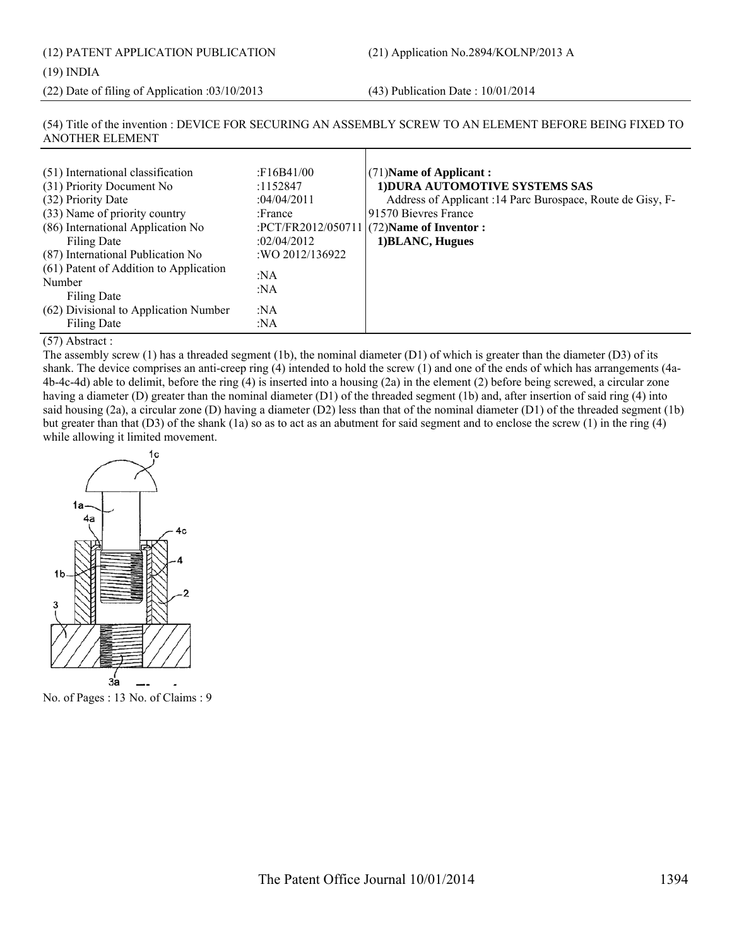#### (19) INDIA

(22) Date of filing of Application :03/10/2013 (43) Publication Date : 10/01/2014

#### (54) Title of the invention : DEVICE FOR SECURING AN ASSEMBLY SCREW TO AN ELEMENT BEFORE BEING FIXED TO ANOTHER ELEMENT

| (51) International classification<br>(31) Priority Document No<br>(32) Priority Date<br>(33) Name of priority country<br>(86) International Application No<br>Filing Date<br>(87) International Publication No<br>(61) Patent of Addition to Application<br>Number<br>Filing Date<br>(62) Divisional to Application Number<br>Filing Date | F16B41/00<br>:1152847<br>:04/04/2011<br>:France<br>:02/04/2012<br>:WO 2012/136922<br>:NA<br>:NA<br>:NA<br>:NA | (71) Name of Applicant:<br>1) DURA AUTOMOTIVE SYSTEMS SAS<br>Address of Applicant :14 Parc Burospace, Route de Gisy, F-<br>191570 Bievres France<br>:PCT/FR2012/050711 $(72)$ Name of Inventor :<br>1) BLANC, Hugues |
|-------------------------------------------------------------------------------------------------------------------------------------------------------------------------------------------------------------------------------------------------------------------------------------------------------------------------------------------|---------------------------------------------------------------------------------------------------------------|----------------------------------------------------------------------------------------------------------------------------------------------------------------------------------------------------------------------|
|-------------------------------------------------------------------------------------------------------------------------------------------------------------------------------------------------------------------------------------------------------------------------------------------------------------------------------------------|---------------------------------------------------------------------------------------------------------------|----------------------------------------------------------------------------------------------------------------------------------------------------------------------------------------------------------------------|

#### (57) Abstract :

The assembly screw (1) has a threaded segment (1b), the nominal diameter (D1) of which is greater than the diameter (D3) of its shank. The device comprises an anti-creep ring (4) intended to hold the screw (1) and one of the ends of which has arrangements (4a-4b-4c-4d) able to delimit, before the ring (4) is inserted into a housing (2a) in the element (2) before being screwed, a circular zone having a diameter (D) greater than the nominal diameter (D1) of the threaded segment (1b) and, after insertion of said ring (4) into said housing (2a), a circular zone (D) having a diameter (D2) less than that of the nominal diameter (D1) of the threaded segment (1b) but greater than that (D3) of the shank (1a) so as to act as an abutment for said segment and to enclose the screw (1) in the ring (4) while allowing it limited movement.



No. of Pages : 13 No. of Claims : 9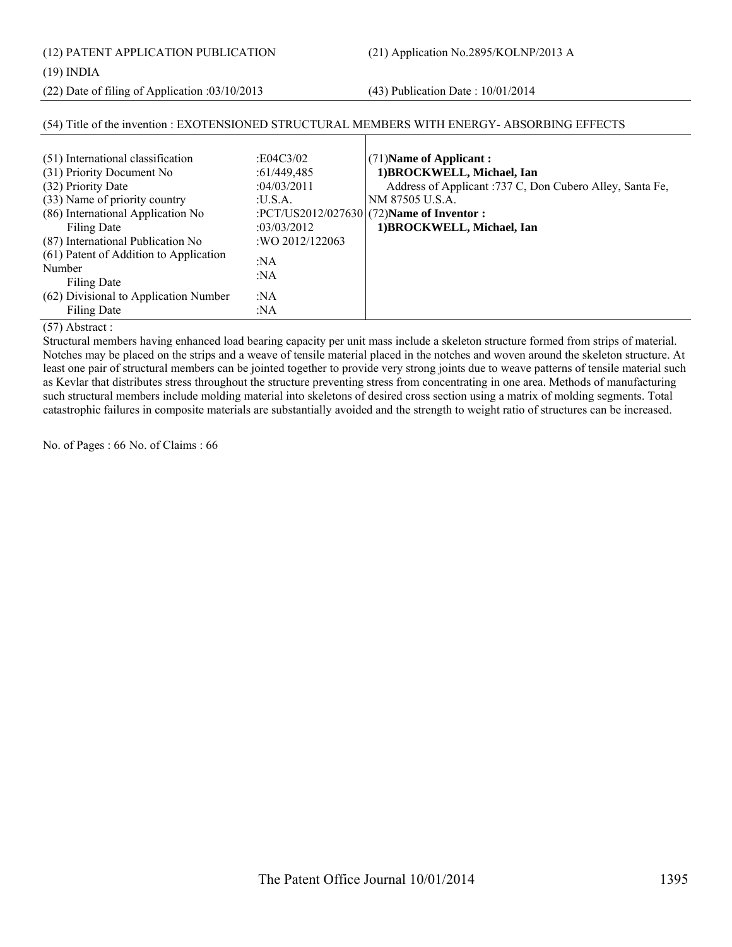(12) PATENT APPLICATION PUBLICATION (21) Application No.2895/KOLNP/2013 A

#### (19) INDIA

(22) Date of filing of Application :03/10/2013 (43) Publication Date : 10/01/2014

| (51) International classification<br>(31) Priority Document No<br>(32) Priority Date<br>(33) Name of priority country<br>(86) International Application No<br>Filing Date<br>(87) International Publication No | :E04C3/02<br>:61/449,485<br>:04/03/2011<br>: <b>U.S.A.</b><br>:03/03/2012<br>: WO 2012/122063 | $(71)$ Name of Applicant:<br>1) BROCKWELL, Michael, Ian<br>Address of Applicant :737 C, Don Cubero Alley, Santa Fe,<br>NM 87505 U.S.A.<br>:PCT/US2012/027630 (72)Name of Inventor :<br>1) BROCKWELL, Michael, Ian |
|----------------------------------------------------------------------------------------------------------------------------------------------------------------------------------------------------------------|-----------------------------------------------------------------------------------------------|-------------------------------------------------------------------------------------------------------------------------------------------------------------------------------------------------------------------|
| (61) Patent of Addition to Application<br>Number<br>Filing Date                                                                                                                                                | :NA<br>:NA                                                                                    |                                                                                                                                                                                                                   |
| (62) Divisional to Application Number<br><b>Filing Date</b>                                                                                                                                                    | :NA<br>:NA                                                                                    |                                                                                                                                                                                                                   |

#### (54) Title of the invention : EXOTENSIONED STRUCTURAL MEMBERS WITH ENERGY- ABSORBING EFFECTS

(57) Abstract :

Structural members having enhanced load bearing capacity per unit mass include a skeleton structure formed from strips of material. Notches may be placed on the strips and a weave of tensile material placed in the notches and woven around the skeleton structure. At least one pair of structural members can be jointed together to provide very strong joints due to weave patterns of tensile material such as Kevlar that distributes stress throughout the structure preventing stress from concentrating in one area. Methods of manufacturing such structural members include molding material into skeletons of desired cross section using a matrix of molding segments. Total catastrophic failures in composite materials are substantially avoided and the strength to weight ratio of structures can be increased.

No. of Pages : 66 No. of Claims : 66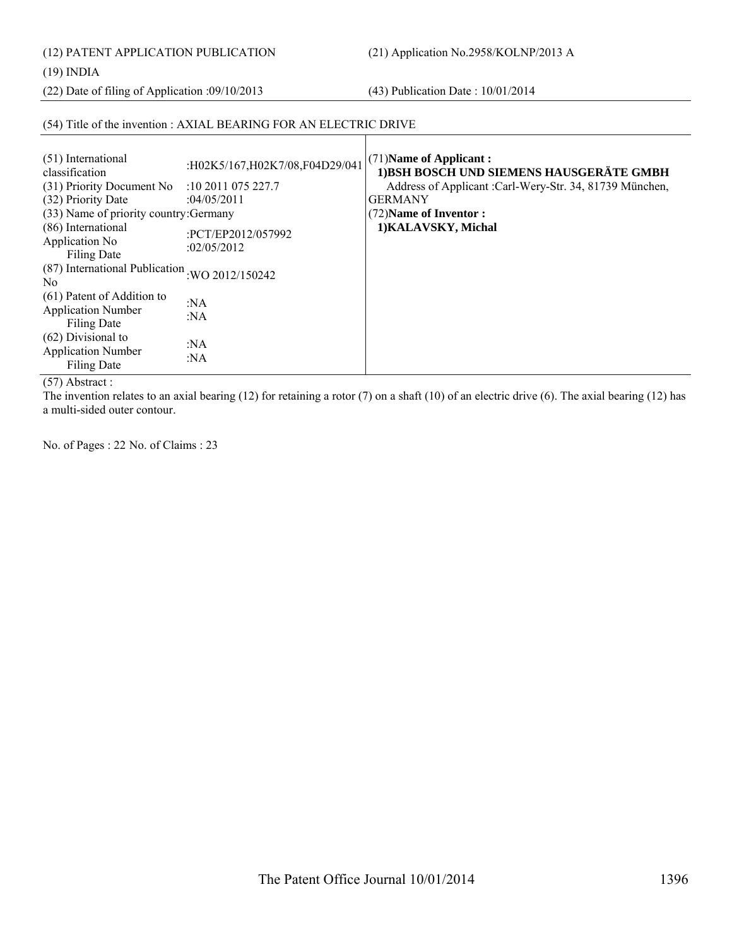(12) PATENT APPLICATION PUBLICATION (21) Application No.2958/KOLNP/2013 A

#### (19) INDIA

(22) Date of filing of Application :09/10/2013 (43) Publication Date : 10/01/2014

#### (54) Title of the invention : AXIAL BEARING FOR AN ELECTRIC DRIVE

| (51) International<br>classification                                          | :H02K5/167,H02K7/08,F04D29/041    | (71) Name of Applicant:<br>1) BSH BOSCH UND SIEMENS HAUSGERÄTE GMBH |
|-------------------------------------------------------------------------------|-----------------------------------|---------------------------------------------------------------------|
| (31) Priority Document No                                                     | :10 2011 075 227.7                | Address of Applicant :Carl-Wery-Str. 34, 81739 München,             |
| (32) Priority Date                                                            | :04/05/2011                       | <b>GERMANY</b>                                                      |
| (33) Name of priority country: Germany                                        |                                   | (72) Name of Inventor:                                              |
| (86) International<br>Application No<br><b>Filing Date</b>                    | :PCT/EP2012/057992<br>:02/05/2012 | 1) KALAVSKY, Michal                                                 |
| (87) International Publication : WO 2012/150242<br>N <sub>0</sub>             |                                   |                                                                     |
| (61) Patent of Addition to<br><b>Application Number</b><br><b>Filing Date</b> | : $NA$<br>: $NA$                  |                                                                     |
| $(62)$ Divisional to<br><b>Application Number</b><br><b>Filing Date</b>       | :NA<br>: $NA$                     |                                                                     |

(57) Abstract :

The invention relates to an axial bearing (12) for retaining a rotor (7) on a shaft (10) of an electric drive (6). The axial bearing (12) has a multi-sided outer contour.

No. of Pages : 22 No. of Claims : 23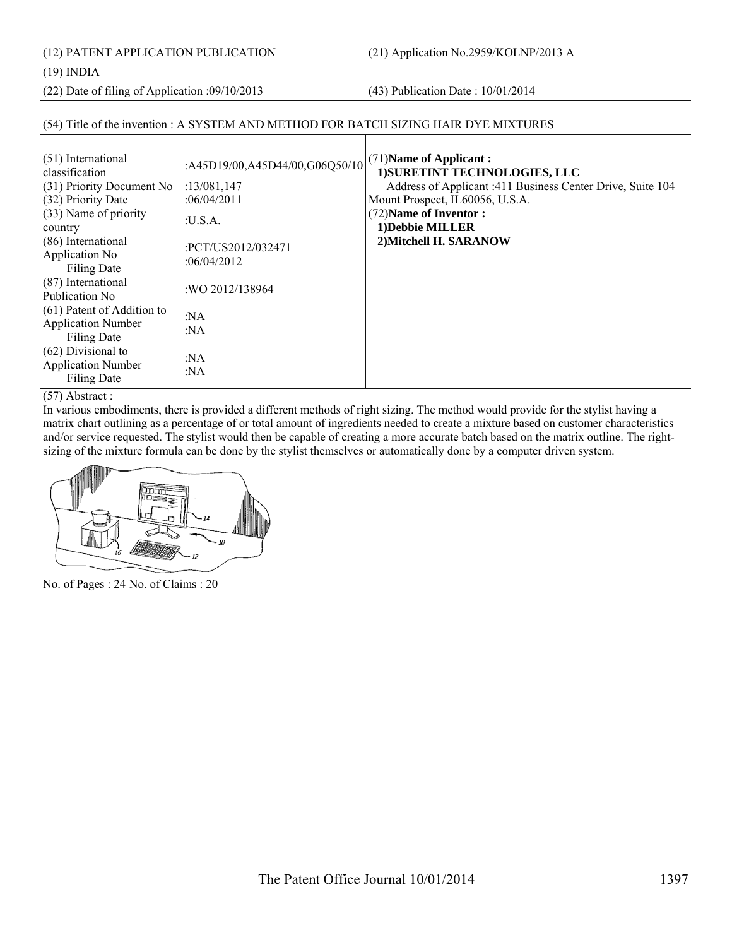(12) PATENT APPLICATION PUBLICATION (21) Application No.2959/KOLNP/2013 A

#### (19) INDIA

(22) Date of filing of Application :09/10/2013 (43) Publication Date : 10/01/2014

#### (54) Title of the invention : A SYSTEM AND METHOD FOR BATCH SIZING HAIR DYE MIXTURES

| (51) International<br>classification<br>(31) Priority Document No<br>(32) Priority Date<br>(33) Name of priority<br>country<br>(86) International<br>Application No<br><b>Filing Date</b> | :A45D19/00,A45D44/00,G06Q50/10<br>:13/081,147<br>:06/04/2011<br>:U.S.A.<br>:PCT/US2012/032471<br>:06/04/2012 | (71) Name of Applicant:<br>1) SURETINT TECHNOLOGIES, LLC<br>Address of Applicant :411 Business Center Drive, Suite 104<br>Mount Prospect, IL60056, U.S.A.<br>(72) Name of Inventor:<br>1) Debbie MILLER<br>2) Mitchell H. SARANOW |
|-------------------------------------------------------------------------------------------------------------------------------------------------------------------------------------------|--------------------------------------------------------------------------------------------------------------|-----------------------------------------------------------------------------------------------------------------------------------------------------------------------------------------------------------------------------------|
| (87) International<br>Publication No.                                                                                                                                                     | :WO 2012/138964                                                                                              |                                                                                                                                                                                                                                   |
| (61) Patent of Addition to<br><b>Application Number</b><br><b>Filing Date</b>                                                                                                             | :NA<br>:NA                                                                                                   |                                                                                                                                                                                                                                   |
| $(62)$ Divisional to<br><b>Application Number</b><br><b>Filing Date</b>                                                                                                                   | :NA<br>: $NA$                                                                                                |                                                                                                                                                                                                                                   |

#### (57) Abstract :

In various embodiments, there is provided a different methods of right sizing. The method would provide for the stylist having a matrix chart outlining as a percentage of or total amount of ingredients needed to create a mixture based on customer characteristics and/or service requested. The stylist would then be capable of creating a more accurate batch based on the matrix outline. The rightsizing of the mixture formula can be done by the stylist themselves or automatically done by a computer driven system.



No. of Pages : 24 No. of Claims : 20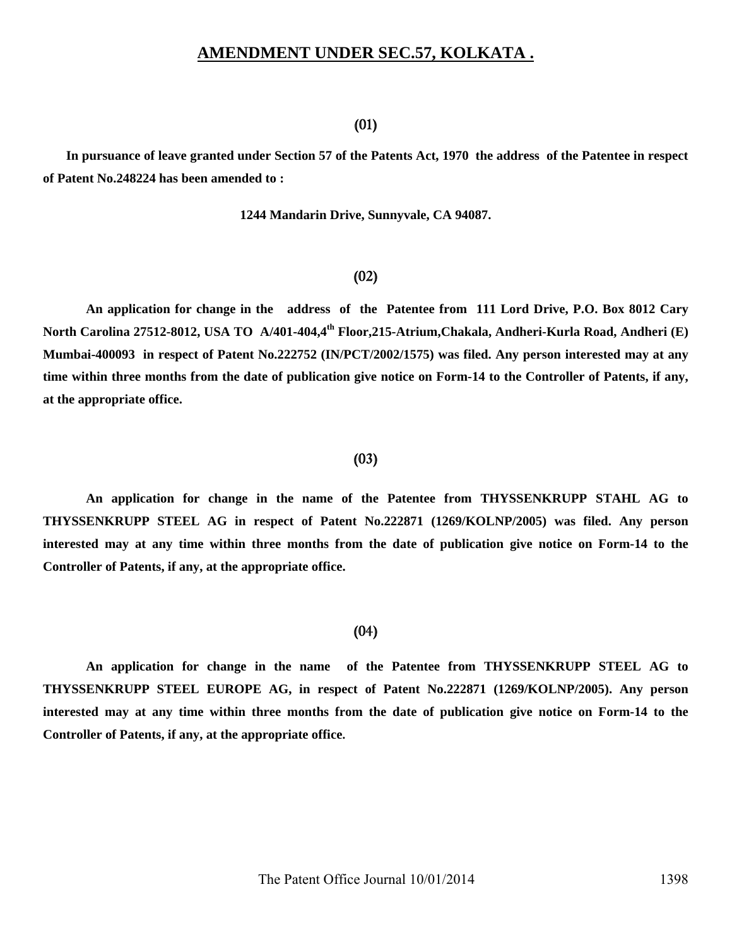### **AMENDMENT UNDER SEC.57, KOLKATA .**

#### (01)

 **In pursuance of leave granted under Section 57 of the Patents Act, 1970 the address of the Patentee in respect of Patent No.248224 has been amended to :** 

**1244 Mandarin Drive, Sunnyvale, CA 94087.** 

### (02)

**An application for change in the address of the Patentee from 111 Lord Drive, P.O. Box 8012 Cary North Carolina 27512-8012, USA TO A/401-404,4th Floor,215-Atrium,Chakala, Andheri-Kurla Road, Andheri (E) Mumbai-400093 in respect of Patent No.222752 (IN/PCT/2002/1575) was filed. Any person interested may at any time within three months from the date of publication give notice on Form-14 to the Controller of Patents, if any, at the appropriate office.** 

#### (03)

**An application for change in the name of the Patentee from THYSSENKRUPP STAHL AG to THYSSENKRUPP STEEL AG in respect of Patent No.222871 (1269/KOLNP/2005) was filed. Any person interested may at any time within three months from the date of publication give notice on Form-14 to the Controller of Patents, if any, at the appropriate office.** 

#### (04)

**An application for change in the name of the Patentee from THYSSENKRUPP STEEL AG to THYSSENKRUPP STEEL EUROPE AG, in respect of Patent No.222871 (1269/KOLNP/2005). Any person interested may at any time within three months from the date of publication give notice on Form-14 to the Controller of Patents, if any, at the appropriate office.**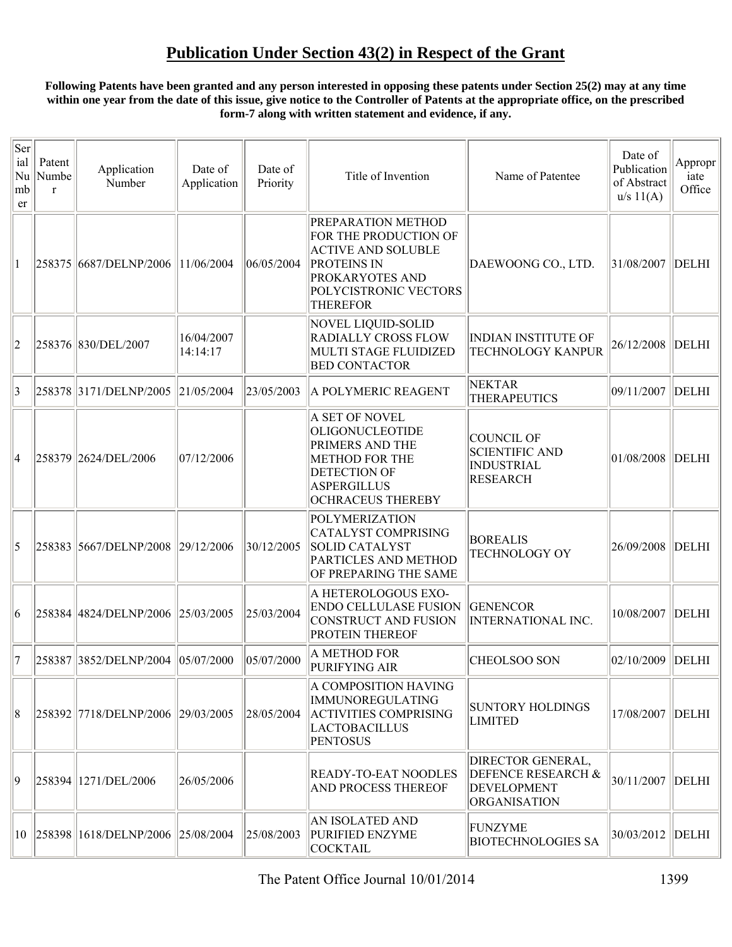#### **Following Patents have been granted and any person interested in opposing these patents under Section 25(2) may at any time within one year from the date of this issue, give notice to the Controller of Patents at the appropriate office, on the prescribed form-7 along with written statement and evidence, if any.**

| Ser<br>ial<br>Nu<br>mb<br>er | Patent<br>Numbe<br>$\mathbf{r}$ | Application<br>Number                | Date of<br>Application | Date of<br>Priority | Title of Invention                                                                                                                                                   | Name of Patentee                                                                     | Date of<br>Publication<br>of Abstract<br>u/s 11(A) | Appropr<br>iate<br>Office |
|------------------------------|---------------------------------|--------------------------------------|------------------------|---------------------|----------------------------------------------------------------------------------------------------------------------------------------------------------------------|--------------------------------------------------------------------------------------|----------------------------------------------------|---------------------------|
| 1                            |                                 | 258375 6687/DELNP/2006               | 11/06/2004             | 06/05/2004          | PREPARATION METHOD<br>FOR THE PRODUCTION OF<br><b>ACTIVE AND SOLUBLE</b><br><b>PROTEINS IN</b><br><b>PROKARYOTES AND</b><br>POLYCISTRONIC VECTORS<br><b>THEREFOR</b> | DAEWOONG CO., LTD.                                                                   | 31/08/2007                                         | DELHI                     |
| 2                            |                                 | 258376 830/DEL/2007                  | 16/04/2007<br>14:14:17 |                     | NOVEL LIQUID-SOLID<br><b>RADIALLY CROSS FLOW</b><br>MULTI STAGE FLUIDIZED<br><b>BED CONTACTOR</b>                                                                    | <b>INDIAN INSTITUTE OF</b><br><b>TECHNOLOGY KANPUR</b>                               | 26/12/2008                                         | DELHI                     |
| 3                            |                                 | 258378 3171/DELNP/2005 21/05/2004    |                        | 23/05/2003          | A POLYMERIC REAGENT                                                                                                                                                  | <b>NEKTAR</b><br><b>THERAPEUTICS</b>                                                 | 09/11/2007 DELHI                                   |                           |
| 14                           |                                 | 258379 2624/DEL/2006                 | 07/12/2006             |                     | A SET OF NOVEL<br><b>OLIGONUCLEOTIDE</b><br><b>PRIMERS AND THE</b><br><b>METHOD FOR THE</b><br><b>DETECTION OF</b><br>ASPERGILLUS<br><b>OCHRACEUS THEREBY</b>        | <b>COUNCIL OF</b><br><b>SCIENTIFIC AND</b><br><b>INDUSTRIAL</b><br><b>RESEARCH</b>   | 01/08/2008 DELHI                                   |                           |
| 5                            |                                 | 258383 5667/DELNP/2008 29/12/2006    |                        | 30/12/2005          | POLYMERIZATION<br>CATALYST COMPRISING<br>SOLID CATALYST<br>PARTICLES AND METHOD<br>OF PREPARING THE SAME                                                             | <b>BOREALIS</b><br><b>TECHNOLOGY OY</b>                                              | 26/09/2008 DELHI                                   |                           |
| 16                           |                                 | 258384 4824/DELNP/2006               | 25/03/2005             | 25/03/2004          | A HETEROLOGOUS EXO-<br><b>ENDO CELLULASE FUSION</b><br>CONSTRUCT AND FUSION<br><b>PROTEIN THEREOF</b>                                                                | <b>GENENCOR</b><br>INTERNATIONAL INC.                                                | 10/08/2007                                         | DELHI                     |
| 17                           |                                 | 258387 3852/DELNP/2004 05/07/2000    |                        | 05/07/2000          | A METHOD FOR<br>PURIFYING AIR                                                                                                                                        | <b>CHEOLSOO SON</b>                                                                  | 02/10/2009 DELHI                                   |                           |
| 8                            |                                 | 258392 7718/DELNP/2006 29/03/2005    |                        | 28/05/2004          | A COMPOSITION HAVING<br>IMMUNOREGULATING<br><b>ACTIVITIES COMPRISING</b><br><b>LACTOBACILLUS</b><br><b>PENTOSUS</b>                                                  | <b>SUNTORY HOLDINGS</b><br><b>LIMITED</b>                                            | 17/08/2007   DELHI                                 |                           |
| 19                           |                                 | 258394 1271/DEL/2006                 | 26/05/2006             |                     | <b>READY-TO-EAT NOODLES</b><br><b>AND PROCESS THEREOF</b>                                                                                                            | DIRECTOR GENERAL,<br>DEFENCE RESEARCH &<br><b>DEVELOPMENT</b><br><b>ORGANISATION</b> | 30/11/2007 DELHI                                   |                           |
|                              |                                 | 10 258398 1618/DELNP/2006 25/08/2004 |                        | 25/08/2003          | AN ISOLATED AND<br>PURIFIED ENZYME<br><b>COCKTAIL</b>                                                                                                                | <b>FUNZYME</b><br><b>BIOTECHNOLOGIES SA</b>                                          | 30/03/2012                                         | DELHI                     |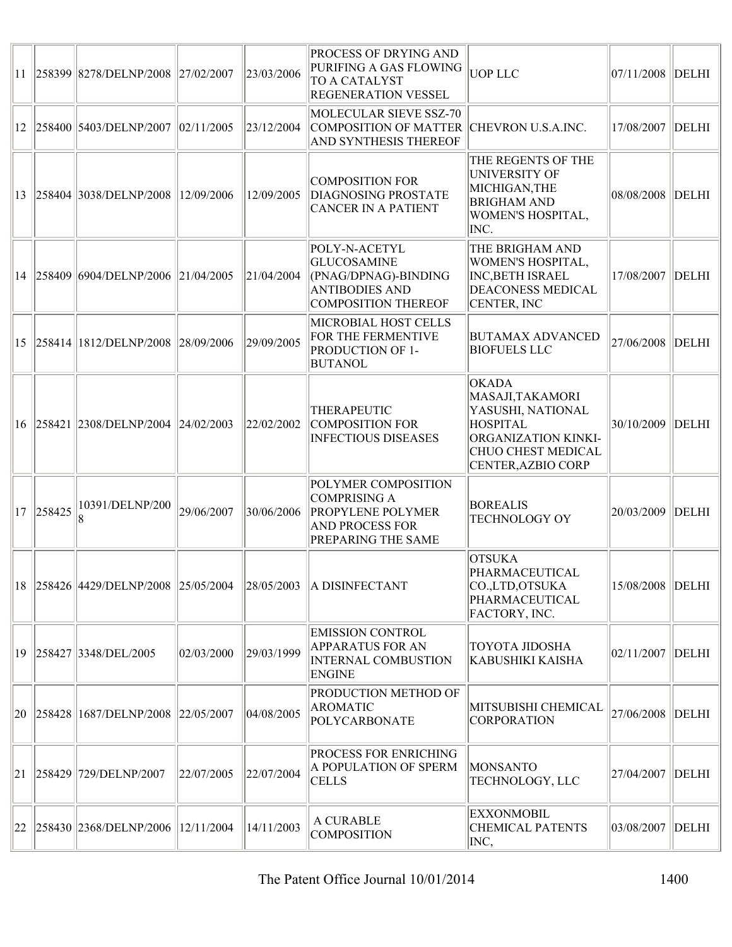|              |           | 11 258399 8278/DELNP/2008 27/02/2007         |            | 23/03/2006 | <b>PROCESS OF DRYING AND</b><br>PURIFING A GAS FLOWING<br><b>TO A CATALYST</b><br><b>REGENERATION VESSEL</b>           | <b>UOP LLC</b>                                                                                                                              | 07/11/2008        | <b>DELHI</b> |
|--------------|-----------|----------------------------------------------|------------|------------|------------------------------------------------------------------------------------------------------------------------|---------------------------------------------------------------------------------------------------------------------------------------------|-------------------|--------------|
|              |           | 12 258400 5403/DELNP/2007 02/11/2005         |            | 23/12/2004 | MOLECULAR SIEVE SSZ-70<br>COMPOSITION OF MATTER CHEVRON U.S.A.INC.<br><b>AND SYNTHESIS THEREOF</b>                     |                                                                                                                                             | 17/08/2007        | DELHI        |
|              |           | 13 258404 3038/DELNP/2008 12/09/2006         |            | 12/09/2005 | COMPOSITION FOR<br><b>DIAGNOSING PROSTATE</b><br><b>CANCER IN A PATIENT</b>                                            | THE REGENTS OF THE<br>UNIVERSITY OF<br>MICHIGAN, THE<br><b>BRIGHAM AND</b><br>WOMEN'S HOSPITAL,<br>INC.                                     | 08/08/2008        | DELHI        |
|              |           | 14 258409 6904/DELNP/2006 21/04/2005         |            | 21/04/2004 | POLY-N-ACETYL<br><b>GLUCOSAMINE</b><br>(PNAG/DPNAG)-BINDING<br><b>ANTIBODIES AND</b><br>COMPOSITION THEREOF            | THE BRIGHAM AND<br>WOMEN'S HOSPITAL,<br><b>INC, BETH ISRAEL</b><br><b>DEACONESS MEDICAL</b><br>CENTER, INC                                  | 17/08/2007        | <b>DELHI</b> |
|              |           | 15 258414 1812/DELNP/2008 28/09/2006         |            | 29/09/2005 | MICROBIAL HOST CELLS<br>FOR THE FERMENTIVE<br><b>PRODUCTION OF 1-</b><br><b>BUTANOL</b>                                | <b>BUTAMAX ADVANCED</b><br><b>BIOFUELS LLC</b>                                                                                              | 27/06/2008        | DELHI        |
|              |           | 16 258421 2308/DELNP/2004 24/02/2003         |            | 22/02/2002 | <b>THERAPEUTIC</b><br>COMPOSITION FOR<br><b>INFECTIOUS DISEASES</b>                                                    | <b>OKADA</b><br>MASAJI, TAKAMORI<br>YASUSHI, NATIONAL<br><b>HOSPITAL</b><br>ORGANIZATION KINKI-<br>CHUO CHEST MEDICAL<br>CENTER, AZBIO CORP | 30/10/2009        | DELHI        |
|              | 17 258425 | 10391/DELNP/200                              | 29/06/2007 | 30/06/2006 | POLYMER COMPOSITION<br>COMPRISING A<br><b>PROPYLENE POLYMER</b><br><b>AND PROCESS FOR</b><br><b>PREPARING THE SAME</b> | <b>BOREALIS</b><br><b>TECHNOLOGY OY</b>                                                                                                     | 20/03/2009        | DELHI        |
|              |           | 18 258426 4429 / DELNP / 2008 25 / 05 / 2004 |            | 28/05/2003 | <b>A DISINFECTANT</b>                                                                                                  | <b>OTSUKA</b><br>PHARMACEUTICAL<br>CO.,LTD,OTSUKA<br>PHARMACEUTICAL<br>FACTORY, INC.                                                        | 15/08/2008  DELHI |              |
|              |           | 19 258427 3348/DEL/2005                      | 02/03/2000 | 29/03/1999 | <b>EMISSION CONTROL</b><br><b>APPARATUS FOR AN</b><br><b>INTERNAL COMBUSTION</b><br><b>ENGINE</b>                      | <b>TOYOTA JIDOSHA</b><br>KABUSHIKI KAISHA                                                                                                   | 02/11/2007        | DELHI        |
|              |           | 20 258428 1687/DELNP/2008 22/05/2007         |            | 04/08/2005 | <b>PRODUCTION METHOD OF</b><br><b>AROMATIC</b><br>POLYCARBONATE                                                        | MITSUBISHI CHEMICAL<br><b>CORPORATION</b>                                                                                                   | 27/06/2008        | <b>DELHI</b> |
| 21           |           | 258429  729/DELNP/2007                       | 22/07/2005 | 22/07/2004 | <b>PROCESS FOR ENRICHING</b><br>A POPULATION OF SPERM<br><b>CELLS</b>                                                  | <b>MONSANTO</b><br>TECHNOLOGY, LLC                                                                                                          | 27/04/2007        | DELHI        |
| $ 22\rangle$ |           | 258430  2368/DELNP/2006   12/11/2004         |            | 14/11/2003 | A CURABLE<br><b>COMPOSITION</b>                                                                                        | <b>EXXONMOBIL</b><br><b>CHEMICAL PATENTS</b><br>INC,                                                                                        | 03/08/2007        | <b>DELHI</b> |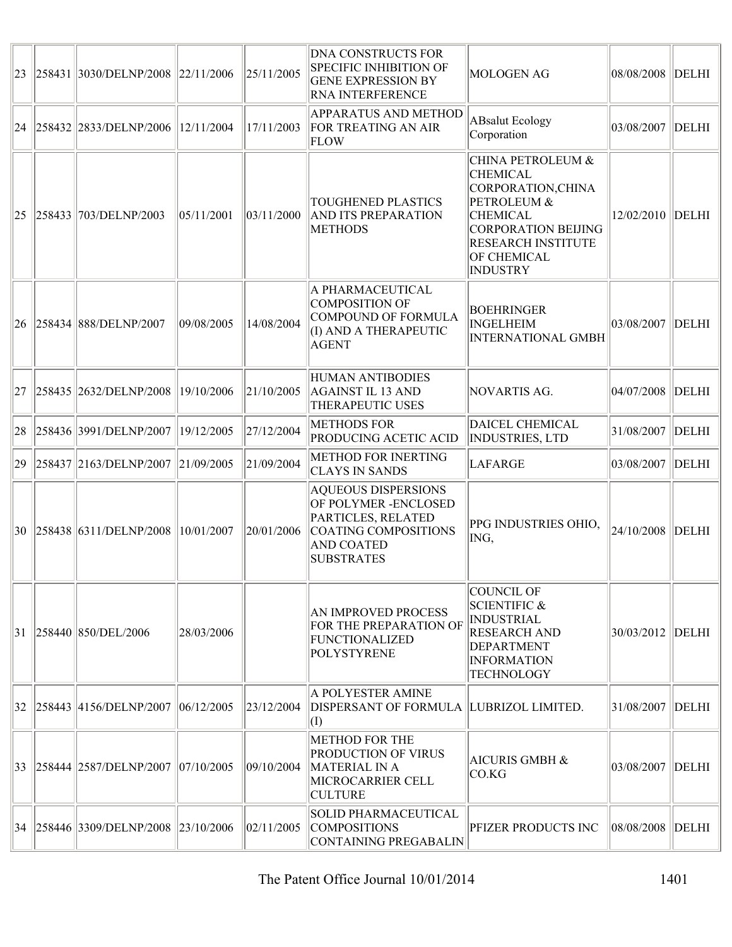| $ 23\rangle$ | 258431  3030/DELNP/2008  22/11/2006  |            | 25/11/2005 | <b>DNA CONSTRUCTS FOR</b><br><b>SPECIFIC INHIBITION OF</b><br><b>GENE EXPRESSION BY</b><br><b>RNA INTERFERENCE</b>                          | <b>MOLOGEN AG</b>                                                                                                                                                                             | 08/08/2008 DELHI   |            |
|--------------|--------------------------------------|------------|------------|---------------------------------------------------------------------------------------------------------------------------------------------|-----------------------------------------------------------------------------------------------------------------------------------------------------------------------------------------------|--------------------|------------|
| $ 24\rangle$ | 258432  2833/DELNP/2006  12/11/2004  |            | 17/11/2003 | <b>APPARATUS AND METHOD</b><br><b>FOR TREATING AN AIR</b><br><b>FLOW</b>                                                                    | <b>ABsalut Ecology</b><br>Corporation                                                                                                                                                         | 03/08/2007         | DELHI      |
| $ 25\rangle$ | 258433  703/DELNP/2003               | 05/11/2001 | 03/11/2000 | <b>TOUGHENED PLASTICS</b><br><b>AND ITS PREPARATION</b><br><b>METHODS</b>                                                                   | <b>CHINA PETROLEUM &amp;</b><br><b>CHEMICAL</b><br>CORPORATION, CHINA<br>PETROLEUM &<br><b>CHEMICAL</b><br>CORPORATION BEIJING<br><b>RESEARCH INSTITUTE</b><br>OF CHEMICAL<br><b>INDUSTRY</b> | 12/02/2010   DELHI |            |
|              | 26 258434 888/DELNP/2007             | 09/08/2005 | 14/08/2004 | A PHARMACEUTICAL<br>COMPOSITION OF<br>COMPOUND OF FORMULA<br>(I) AND A THERAPEUTIC<br><b>AGENT</b>                                          | <b>BOEHRINGER</b><br><b>INGELHEIM</b><br><b>INTERNATIONAL GMBH</b>                                                                                                                            | 03/08/2007         | DELHI      |
|              | 27 258435 2632/DELNP/2008            | 19/10/2006 | 21/10/2005 | HUMAN ANTIBODIES<br><b>AGAINST IL 13 AND</b><br>THERAPEUTIC USES                                                                            | NOVARTIS AG.                                                                                                                                                                                  | 04/07/2008         | DELHI      |
| 28           | 258436  3991/DELNP/2007              | 19/12/2005 | 27/12/2004 | <b>METHODS FOR</b><br>PRODUCING ACETIC ACID                                                                                                 | DAICEL CHEMICAL<br><b>INDUSTRIES, LTD</b>                                                                                                                                                     | 31/08/2007         | $\ $ DELHI |
| 29           | 258437  2163/DELNP/2007  21/09/2005  |            | 21/09/2004 | <b>METHOD FOR INERTING</b><br><b>CLAYS IN SANDS</b>                                                                                         | <b>LAFARGE</b>                                                                                                                                                                                | 03/08/2007 DELHI   |            |
|              | $30$  258438 6311/DELNP/2008         | 10/01/2007 | 20/01/2006 | <b>AQUEOUS DISPERSIONS</b><br>OF POLYMER - ENCLOSED<br>PARTICLES, RELATED<br>COATING COMPOSITIONS<br><b>AND COATED</b><br><b>SUBSTRATES</b> | PPG INDUSTRIES OHIO,<br>ING,                                                                                                                                                                  | 24/10/2008         | DELHI      |
| 31           | 258440   850/DEL/2006                | 28/03/2006 |            | AN IMPROVED PROCESS<br>FOR THE PREPARATION OF<br>FUNCTIONALIZED<br><b>POLYSTYRENE</b>                                                       | COUNCIL OF<br><b>SCIENTIFIC &amp;</b><br><b>INDUSTRIAL</b><br><b>RESEARCH AND</b><br><b>DEPARTMENT</b><br><b>INFORMATION</b><br><b>TECHNOLOGY</b>                                             | 30/03/2012         | DELHI      |
|              | 32 258443 4156 DELNP / 2007          | 06/12/2005 | 23/12/2004 | A POLYESTER AMINE<br>DISPERSANT OF FORMULA LUBRIZOL LIMITED.<br>$\vert (I)$                                                                 |                                                                                                                                                                                               | 31/08/2007         | $\ $ DELHI |
| $ 33\rangle$ | 258444  2587/DELNP/2007  07/10/2005  |            | 09/10/2004 | <b>METHOD FOR THE</b><br><b>PRODUCTION OF VIRUS</b><br>MATERIAL IN A<br>MICROCARRIER CELL<br><b>CULTURE</b>                                 | <b>AICURIS GMBH &amp;</b><br>CO.KG                                                                                                                                                            | 03/08/2007   DELHI |            |
|              | 34 258446 3309/DELNP/2008 23/10/2006 |            | 02/11/2005 | SOLID PHARMACEUTICAL<br><b>COMPOSITIONS</b><br>CONTAINING PREGABALIN                                                                        | PFIZER PRODUCTS INC                                                                                                                                                                           | 08/08/2008 DELHI   |            |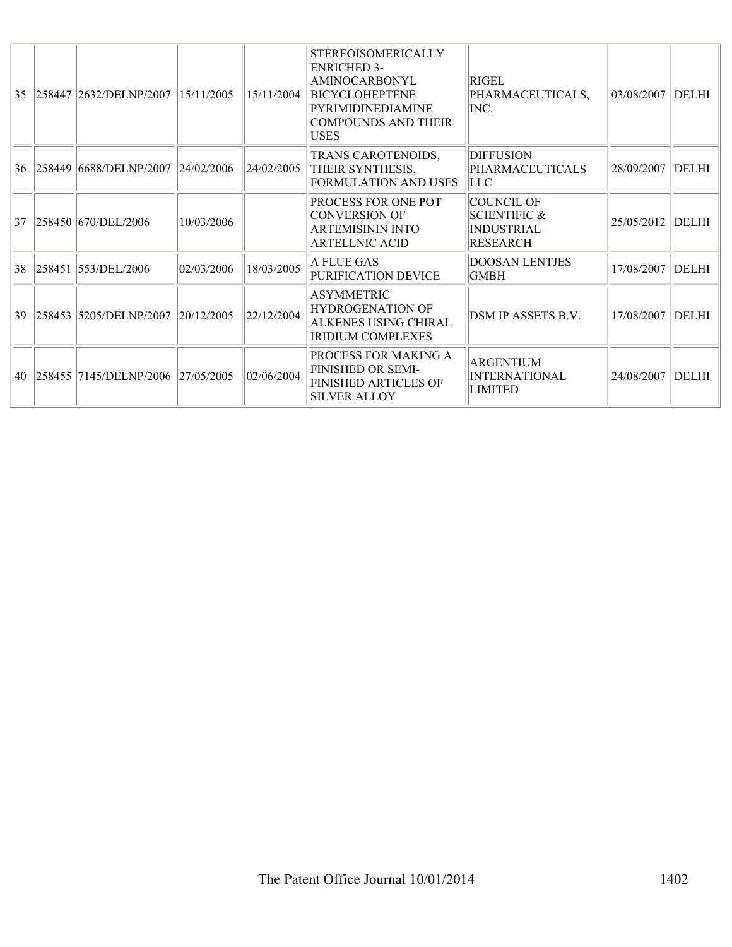|    | 35 258447 2632 DELNP (2007)          | $\frac{15}{12005}$ | 15/11/2004 | <b>STEREOISOMERICALLY</b><br><b>ENRICHED 3-</b><br>AMINOCARBONYL<br><b>BICYCLOHEPTENE</b><br>PYRIMIDINEDIAMINE<br>COMPOUNDS AND THEIR<br><b>USES</b> | RIGEL<br>PHARMACEUTICALS,<br>INC.                                      | 03/08/2007       | DELHI        |
|----|--------------------------------------|--------------------|------------|------------------------------------------------------------------------------------------------------------------------------------------------------|------------------------------------------------------------------------|------------------|--------------|
|    | 36 258449 6688/DELNP/2007 24/02/2006 |                    | 24/02/2005 | TRANS CAROTENOIDS,<br>THEIR SYNTHESIS,<br><b>FORMULATION AND USES</b>                                                                                | <b>DIFFUSION</b><br>PHARMACEUTICALS<br>LLC                             | 28/09/2007       | DELHI        |
|    | 37 258450 670/DEL/2006               | 10/03/2006         |            | <b>PROCESS FOR ONE POT</b><br>CONVERSION OF<br><b>ARTEMISININ INTO</b><br><b>ARTELLNIC ACID</b>                                                      | COUNCIL OF<br><b>SCIENTIFIC &amp;</b><br><b>INDUSTRIAL</b><br>RESEARCH | 25/05/2012 DELHI |              |
| 38 | 258451 553/DEL/2006                  | 02/03/2006         | 18/03/2005 | A FLUE GAS<br>PURIFICATION DEVICE                                                                                                                    | <b>DOOSAN LENTJES</b><br><b>GMBH</b>                                   | 17/08/2007       | <b>DELHI</b> |
|    | 39 258453 5205/DELNP/2007 20/12/2005 |                    | 22/12/2004 | <b>ASYMMETRIC</b><br><b>HYDROGENATION OF</b><br>ALKENES USING CHIRAL<br><b>IRIDIUM COMPLEXES</b>                                                     | DSM IP ASSETS B.V.                                                     | 17/08/2007       | DELHI        |
|    | 40 258455 7145/DELNP/2006 27/05/2005 |                    | 02/06/2004 | PROCESS FOR MAKING A<br><b>FINISHED OR SEMI-</b><br><b>FINISHED ARTICLES OF</b><br><b>SILVER ALLOY</b>                                               | <b>ARGENTIUM</b><br><b>INTERNATIONAL</b><br><b>LIMITED</b>             | 24/08/2007       | <b>DELHI</b> |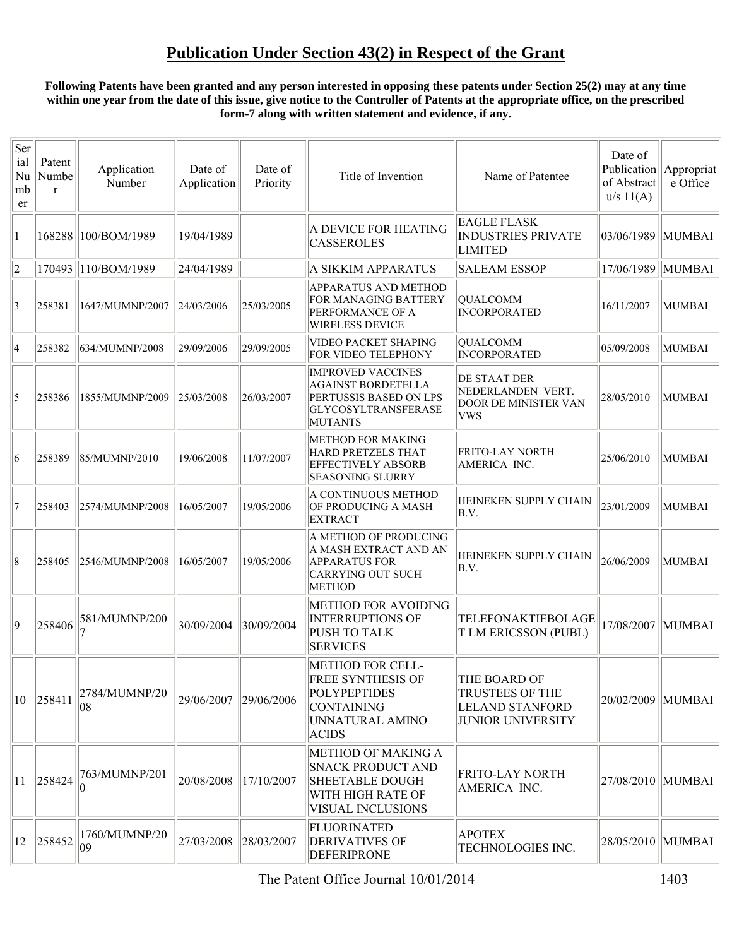#### **Following Patents have been granted and any person interested in opposing these patents under Section 25(2) may at any time within one year from the date of this issue, give notice to the Controller of Patents at the appropriate office, on the prescribed form-7 along with written statement and evidence, if any.**

| Ser<br>ial<br>Nu<br>mb<br>er | Patent<br>Numbe<br>$\mathbf{r}$ | Application<br>Number     | Date of<br>Application | Date of<br>Priority | Title of Invention                                                                                                                 | Name of Patentee                                                                             | Date of<br>Publication<br>of Abstract<br>u/s 11(A) | Appropriat<br>e Office |
|------------------------------|---------------------------------|---------------------------|------------------------|---------------------|------------------------------------------------------------------------------------------------------------------------------------|----------------------------------------------------------------------------------------------|----------------------------------------------------|------------------------|
| 1                            |                                 | 168288 100/BOM/1989       | 19/04/1989             |                     | A DEVICE FOR HEATING<br><b>CASSEROLES</b>                                                                                          | <b>EAGLE FLASK</b><br><b>INDUSTRIES PRIVATE</b><br><b>LIMITED</b>                            | 03/06/1989                                         | MUMBAI                 |
| $ 2\rangle$                  |                                 | 170493 110/BOM/1989       | 24/04/1989             |                     | A SIKKIM APPARATUS                                                                                                                 | <b>SALEAM ESSOP</b>                                                                          | 17/06/1989   MUMBAI                                |                        |
| $\vert 3 \vert$              | 258381                          | 1647/MUMNP/2007           | 24/03/2006             | 25/03/2005          | <b>APPARATUS AND METHOD</b><br>FOR MANAGING BATTERY<br><b>PERFORMANCE OF A</b><br><b>WIRELESS DEVICE</b>                           | <b>QUALCOMM</b><br>INCORPORATED                                                              | 16/11/2007                                         | MUMBAI                 |
| 4                            | 258382                          | 634/MUMNP/2008            | 29/09/2006             | 29/09/2005          | VIDEO PACKET SHAPING<br>FOR VIDEO TELEPHONY                                                                                        | QUALCOMM<br><b>INCORPORATED</b>                                                              | 05/09/2008                                         | MUMBAI                 |
| 5                            | 258386                          | 1855/MUMNP/2009           | 25/03/2008             | 26/03/2007          | <b>IMPROVED VACCINES</b><br><b>AGAINST BORDETELLA</b><br>PERTUSSIS BASED ON LPS<br>GLYCOSYLTRANSFERASE<br><b>MUTANTS</b>           | DE STAAT DER<br>NEDERLANDEN VERT.<br><b>DOOR DE MINISTER VAN</b><br><b>VWS</b>               | 28/05/2010                                         | MUMBAI                 |
| 6                            | 258389                          | 85/MUMNP/2010             | 19/06/2008             | 11/07/2007          | <b>METHOD FOR MAKING</b><br>HARD PRETZELS THAT<br><b>EFFECTIVELY ABSORB</b><br><b>SEASONING SLURRY</b>                             | <b>FRITO-LAY NORTH</b><br>AMERICA INC.                                                       | 25/06/2010                                         | <b>MUMBAI</b>          |
| 17                           | 258403                          | 2574/MUMNP/2008           | 16/05/2007             | 19/05/2006          | A CONTINUOUS METHOD<br>OF PRODUCING A MASH<br><b>EXTRACT</b>                                                                       | <b>HEINEKEN SUPPLY CHAIN</b><br>B.V.                                                         | 23/01/2009                                         | <b>MUMBAI</b>          |
| 18                           | 258405                          | 2546/MUMNP/2008           | 16/05/2007             | 19/05/2006          | A METHOD OF PRODUCING<br>A MASH EXTRACT AND AN<br><b>APPARATUS FOR</b><br>CARRYING OUT SUCH<br><b>METHOD</b>                       | <b>HEINEKEN SUPPLY CHAIN</b><br>B.V.                                                         | 26/06/2009                                         | MUMBAI                 |
| 9                            | 258406                          | 581/MUMNP/200             | 30/09/2004             | 30/09/2004          | METHOD FOR AVOIDING<br><b>INTERRUPTIONS OF</b><br><b>PUSH TO TALK</b><br><b>SERVICES</b>                                           | TELEFONAKTIEBOLAGE<br>T LM ERICSSON (PUBL)                                                   |                                                    | 17/08/2007   MUMBAI    |
| $ 10\rangle$                 | 258411                          | 2784/MUMNP/20<br>08       | 29/06/2007             | 29/06/2006          | <b>METHOD FOR CELL-</b><br><b>FREE SYNTHESIS OF</b><br><b>POLYPEPTIDES</b><br><b>CONTAINING</b><br>UNNATURAL AMINO<br><b>ACIDS</b> | THE BOARD OF<br><b>TRUSTEES OF THE</b><br><b>LELAND STANFORD</b><br><b>JUNIOR UNIVERSITY</b> | 20/02/2009   MUMBAI                                |                        |
| $ 11\rangle$                 | 258424                          | 763/MUMNP/201<br>$\theta$ | 20/08/2008             | 17/10/2007          | <b>METHOD OF MAKING A</b><br><b>SNACK PRODUCT AND</b><br><b>SHEETABLE DOUGH</b><br>WITH HIGH RATE OF<br><b>VISUAL INCLUSIONS</b>   | FRITO-LAY NORTH<br>AMERICA INC.                                                              | 27/08/2010   MUMBAI                                |                        |
| $ 12\rangle$                 | 258452                          | 1760/MUMNP/20<br>09       | 27/03/2008             | 28/03/2007          | <b>FLUORINATED</b><br><b>DERIVATIVES OF</b><br><b>DEFERIPRONE</b>                                                                  | <b>APOTEX</b><br>TECHNOLOGIES INC.                                                           | 28/05/2010   MUMBAI                                |                        |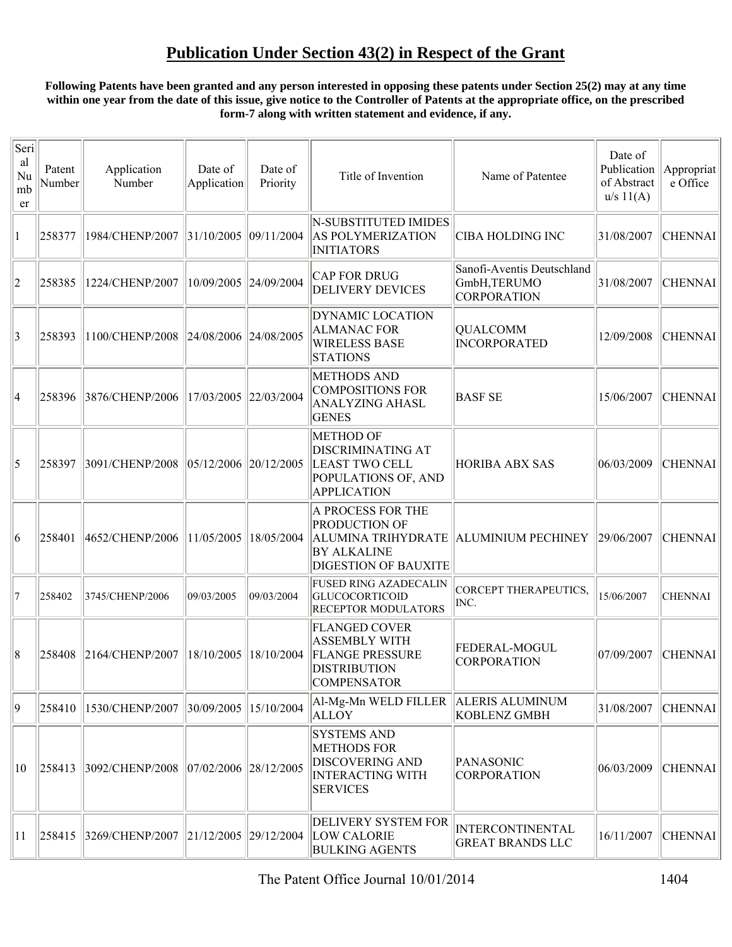#### **Following Patents have been granted and any person interested in opposing these patents under Section 25(2) may at any time within one year from the date of this issue, give notice to the Controller of Patents at the appropriate office, on the prescribed form-7 along with written statement and evidence, if any.**

| Seri<br>al<br>Nu<br>mb<br>er | Patent<br>Number | Application<br>Number                     | Date of<br>Application                 | Date of<br>Priority | Title of Invention                                                                                                  | Name of Patentee                                                 | Date of<br>Publication<br>of Abstract<br>u/s 11(A) | Appropriat<br>e Office |
|------------------------------|------------------|-------------------------------------------|----------------------------------------|---------------------|---------------------------------------------------------------------------------------------------------------------|------------------------------------------------------------------|----------------------------------------------------|------------------------|
|                              | 258377           | 1984/CHENP/2007                           | 31/10/2005  09/11/2004                 |                     | N-SUBSTITUTED IMIDES<br><b>AS POLYMERIZATION</b><br><b>INITIATORS</b>                                               | CIBA HOLDING INC                                                 | 31/08/2007                                         | <b>CHENNAI</b>         |
| $ 2\rangle$                  | 258385           | 1224/CHENP/2007                           | 10/09/2005 24/09/2004                  |                     | <b>CAP FOR DRUG</b><br><b>DELIVERY DEVICES</b>                                                                      | Sanofi-Aventis Deutschland<br>GmbH, TERUMO<br><b>CORPORATION</b> | 31/08/2007                                         | <b>CHENNAI</b>         |
| $\vert 3 \vert$              | 258393           | 1100/CHENP/2008   24/08/2006   24/08/2005 |                                        |                     | DYNAMIC LOCATION<br><b>ALMANAC FOR</b><br><b>WIRELESS BASE</b><br><b>STATIONS</b>                                   | <b>QUALCOMM</b><br><b>INCORPORATED</b>                           | 12/09/2008                                         | <b>CHENNAI</b>         |
| 4                            | 258396           | 3876/CHENP/2006   17/03/2005   22/03/2004 |                                        |                     | <b>METHODS AND</b><br><b>COMPOSITIONS FOR</b><br><b>ANALYZING AHASL</b><br><b>GENES</b>                             | <b>BASF SE</b>                                                   | 15/06/2007                                         | <b>CHENNAI</b>         |
| $\overline{5}$               | 258397           | 3091/CHENP/2008                           | $\left  05/12/2006 \right  20/12/2005$ |                     | <b>METHOD OF</b><br><b>DISCRIMINATING AT</b><br><b>LEAST TWO CELL</b><br>POPULATIONS OF, AND<br><b>APPLICATION</b>  | <b>HORIBA ABX SAS</b>                                            | 06/03/2009                                         | <b>CHENNAI</b>         |
| $ 6\rangle$                  | 258401           | 4652/CHENP/2006   11/05/2005   18/05/2004 |                                        |                     | A PROCESS FOR THE<br>PRODUCTION OF<br>ALUMINA TRIHYDRATE<br><b>BY ALKALINE</b><br><b>DIGESTION OF BAUXITE</b>       | ALUMINIUM PECHINEY                                               | 29/06/2007                                         | <b>CHENNAI</b>         |
| 17                           | 258402           | 3745/CHENP/2006                           | 09/03/2005                             | 09/03/2004          | <b>FUSED RING AZADECALIN</b><br><b>GLUCOCORTICOID</b><br><b>RECEPTOR MODULATORS</b>                                 | CORCEPT THERAPEUTICS,<br>INC.                                    | 15/06/2007                                         | <b>CHENNAI</b>         |
| 8                            | 258408           | 2164/CHENP/2007                           | 18/10/2005 18/10/2004                  |                     | <b>FLANGED COVER</b><br><b>ASSEMBLY WITH</b><br><b>FLANGE PRESSURE</b><br><b>DISTRIBUTION</b><br><b>COMPENSATOR</b> | FEDERAL-MOGUL<br>CORPORATION                                     | 07/09/2007                                         | <b>CHENNAI</b>         |
| 19                           | 258410           | 1530/CHENP/2007 30/09/2005 15/10/2004     |                                        |                     | Al-Mg-Mn WELD FILLER<br><b>ALLOY</b>                                                                                | <b>ALERIS ALUMINUM</b><br><b>KOBLENZ GMBH</b>                    | 31/08/2007                                         | <b>CHENNAI</b>         |
| 10                           |                  | 258413 3092/CHENP/2008                    | 07/02/2006  28/12/2005                 |                     | <b>SYSTEMS AND</b><br><b>METHODS FOR</b><br><b>DISCOVERING AND</b><br><b>INTERACTING WITH</b><br><b>SERVICES</b>    | <b>PANASONIC</b><br><b>CORPORATION</b>                           | 06/03/2009                                         | <b>CHENNAI</b>         |
| 11                           | 258415           | 3269/CHENP/2007   21/12/2005   29/12/2004 |                                        |                     | DELIVERY SYSTEM FOR<br><b>LOW CALORIE</b><br><b>BULKING AGENTS</b>                                                  | <b>INTERCONTINENTAL</b><br><b>GREAT BRANDS LLC</b>               | 16/11/2007                                         | <b>CHENNAI</b>         |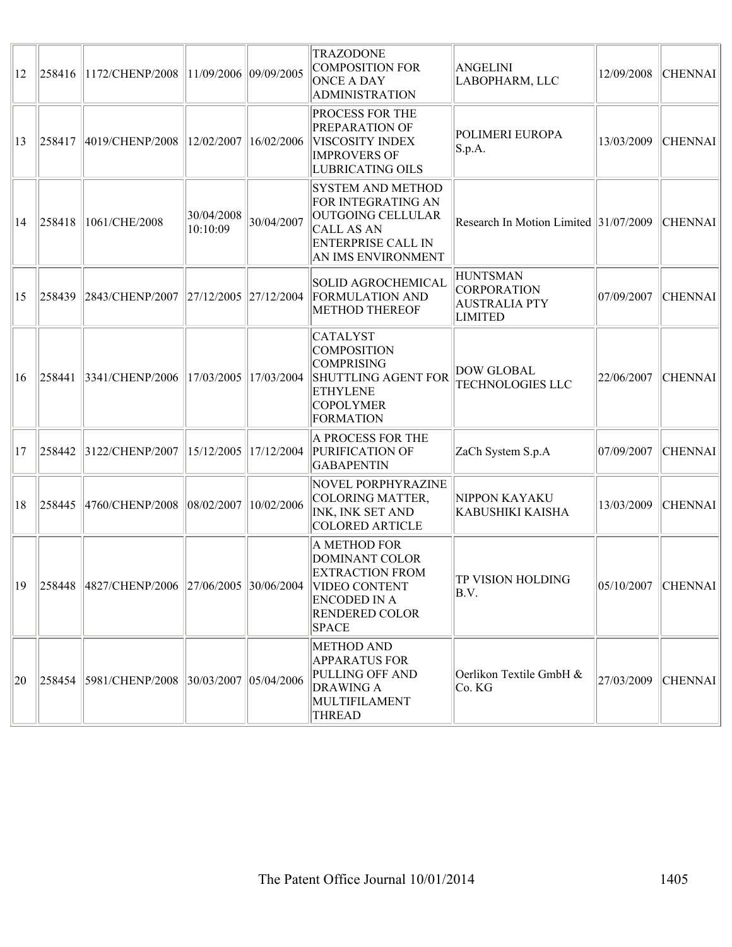| $ 12\rangle$ | 258416 | 1172/CHENP/2008                                            | 11/09/2006  09/09/2005 |            | <b>TRAZODONE</b><br><b>COMPOSITION FOR</b><br><b>ONCE A DAY</b><br><b>ADMINISTRATION</b>                                                     | <b>ANGELINI</b><br>LABOPHARM, LLC                                               | 12/09/2008             | CHENNAI        |
|--------------|--------|------------------------------------------------------------|------------------------|------------|----------------------------------------------------------------------------------------------------------------------------------------------|---------------------------------------------------------------------------------|------------------------|----------------|
| $ 13\rangle$ | 258417 | 4019/CHENP/2008   12/02/2007   16/02/2006                  |                        |            | <b>PROCESS FOR THE</b><br>PREPARATION OF<br>VISCOSITY INDEX<br><b>IMPROVERS OF</b><br>LUBRICATING OILS                                       | POLIMERI EUROPA<br>S.p.A.                                                       | 13/03/2009             | <b>CHENNAI</b> |
| 14           | 258418 | 1061/CHE/2008                                              | 30/04/2008<br>10:10:09 | 30/04/2007 | <b>SYSTEM AND METHOD</b><br>FOR INTEGRATING AN<br>OUTGOING CELLULAR<br><b>CALL AS AN</b><br><b>ENTERPRISE CALL IN</b><br>AN IMS ENVIRONMENT  | Research In Motion Limited $ 31/07/2009 $                                       |                        | <b>CHENNAI</b> |
| $ 15\rangle$ | 258439 | 2843/CHENP/2007                                            | 27/12/2005  27/12/2004 |            | SOLID AGROCHEMICAL<br><b>FORMULATION AND</b><br><b>METHOD THEREOF</b>                                                                        | <b>HUNTSMAN</b><br><b>CORPORATION</b><br><b>AUSTRALIA PTY</b><br><b>LIMITED</b> | 07/09/2007             | <b>CHENNAI</b> |
| 16           | 258441 | 3341/CHENP/2006 17/03/2005 17/03/2004                      |                        |            | <b>CATALYST</b><br><b>COMPOSITION</b><br><b>COMPRISING</b><br><b>SHUTTLING AGENT FOR</b><br><b>ETHYLENE</b><br><b>COPOLYMER</b><br>FORMATION | <b>DOW GLOBAL</b><br><b>TECHNOLOGIES LLC</b>                                    | 22/06/2007             | <b>CHENNAI</b> |
| 17           | 258442 | 3122/CHENP/2007                                            | 15/12/2005 17/12/2004  |            | A PROCESS FOR THE<br>PURIFICATION OF<br><b>GABAPENTIN</b>                                                                                    | ZaCh System S.p.A                                                               | 07/09/2007             | <b>CHENNAI</b> |
| 18           | 258445 | 4760/CHENP/2008 08/02/2007 10/02/2006                      |                        |            | NOVEL PORPHYRAZINE<br>COLORING MATTER,<br>INK, INK SET AND<br>COLORED ARTICLE                                                                | NIPPON KAYAKU<br><b>KABUSHIKI KAISHA</b>                                        | 13/03/2009             | <b>CHENNAI</b> |
| 19           |        | 258448 4827/CHENP/2006 27/06/2005 30/06/2004 VIDEO CONTENT |                        |            | A METHOD FOR<br><b>DOMINANT COLOR</b><br><b>EXTRACTION FROM</b><br>ENCODED IN A<br><b>RENDERED COLOR</b><br> SPACE                           | TP VISION HOLDING<br>B.V.                                                       | $ 05/10/2007 $ CHENNAI |                |
| $ 20\rangle$ |        | 258454 5981/CHENP/2008 30/03/2007 05/04/2006               |                        |            | <b>METHOD AND</b><br><b>APPARATUS FOR</b><br>PULLING OFF AND<br><b>DRAWING A</b><br>MULTIFILAMENT<br><b>THREAD</b>                           | Oerlikon Textile GmbH &<br>Co. KG                                               | 27/03/2009             | <b>CHENNAI</b> |